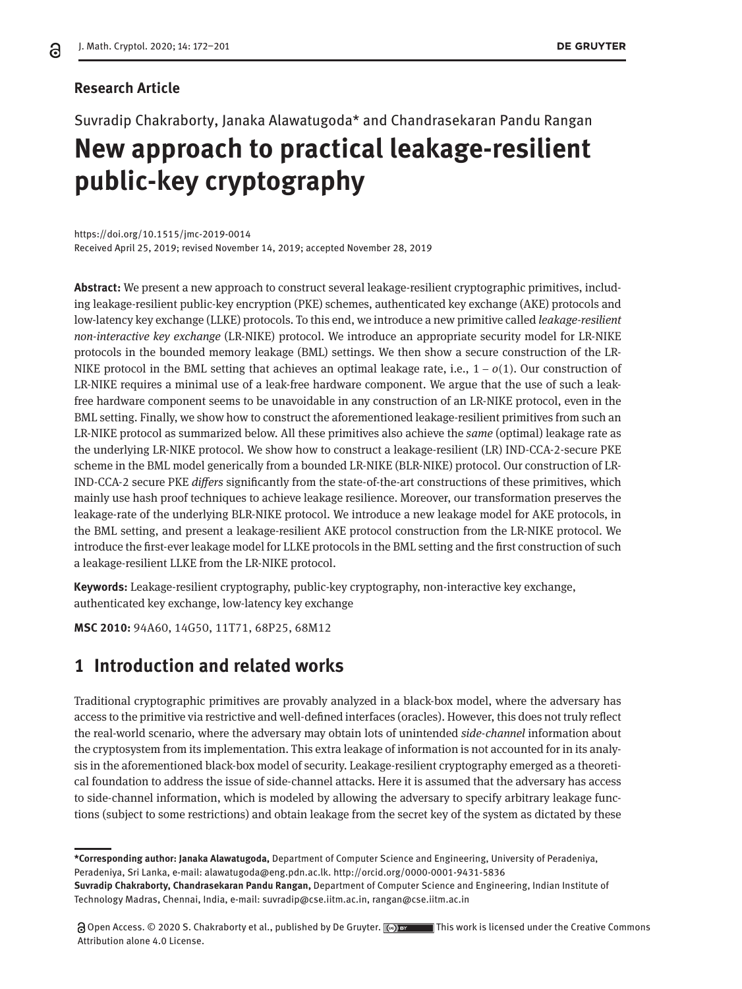## **Research Article**

# Suvradip Chakraborty, Janaka Alawatugoda\* and Chandrasekaran Pandu Rangan **New approach to practical leakage-resilient public-key cryptography**

https://doi.org/10.1515/jmc-2019-0014 Received April 25, 2019; revised November 14, 2019; accepted November 28, 2019

**Abstract:** We present a new approach to construct several leakage-resilient cryptographic primitives, including leakage-resilient public-key encryption (PKE) schemes, authenticated key exchange (AKE) protocols and low-latency key exchange (LLKE) protocols. To this end, we introduce a new primitive called *leakage-resilient non-interactive key exchange* (LR-NIKE) protocol. We introduce an appropriate security model for LR-NIKE protocols in the bounded memory leakage (BML) settings. We then show a secure construction of the LR-NIKE protocol in the BML setting that achieves an optimal leakage rate, i.e., 1 − *o*(1). Our construction of LR-NIKE requires a minimal use of a leak-free hardware component. We argue that the use of such a leakfree hardware component seems to be unavoidable in any construction of an LR-NIKE protocol, even in the BML setting. Finally, we show how to construct the aforementioned leakage-resilient primitives from such an LR-NIKE protocol as summarized below. All these primitives also achieve the *same* (optimal) leakage rate as the underlying LR-NIKE protocol. We show how to construct a leakage-resilient (LR) IND-CCA-2-secure PKE scheme in the BML model generically from a bounded LR-NIKE (BLR-NIKE) protocol. Our construction of LR-IND-CCA-2 secure PKE *differs* significantly from the state-of-the-art constructions of these primitives, which mainly use hash proof techniques to achieve leakage resilience. Moreover, our transformation preserves the leakage-rate of the underlying BLR-NIKE protocol. We introduce a new leakage model for AKE protocols, in the BML setting, and present a leakage-resilient AKE protocol construction from the LR-NIKE protocol. We introduce the first-ever leakage model for LLKE protocols in the BML setting and the first construction of such a leakage-resilient LLKE from the LR-NIKE protocol.

**Keywords:** Leakage-resilient cryptography, public-key cryptography, non-interactive key exchange, authenticated key exchange, low-latency key exchange

**MSC 2010:** 94A60, 14G50, 11T71, 68P25, 68M12

## **1 Introduction and related works**

Traditional cryptographic primitives are provably analyzed in a black-box model, where the adversary has access to the primitive via restrictive and well-defined interfaces (oracles). However, this does not truly reflect the real-world scenario, where the adversary may obtain lots of unintended *side-channel* information about the cryptosystem from its implementation. This extra leakage of information is not accounted for in its analysis in the aforementioned black-box model of security. Leakage-resilient cryptography emerged as a theoretical foundation to address the issue of side-channel attacks. Here it is assumed that the adversary has access to side-channel information, which is modeled by allowing the adversary to specify arbitrary leakage functions (subject to some restrictions) and obtain leakage from the secret key of the system as dictated by these

**\*Corresponding author: Janaka Alawatugoda,** Department of Computer Science and Engineering, University of Peradeniya, Peradeniya, Sri Lanka, e-mail: alawatugoda@eng.pdn.ac.lk. http://orcid.org/0000-0001-9431-5836 **Suvradip Chakraborty, Chandrasekaran Pandu Rangan,** Department of Computer Science and Engineering, Indian Institute of

Technology Madras, Chennai, India, e-mail: suvradip@cse.iitm.ac.in, rangan@cse.iitm.ac.in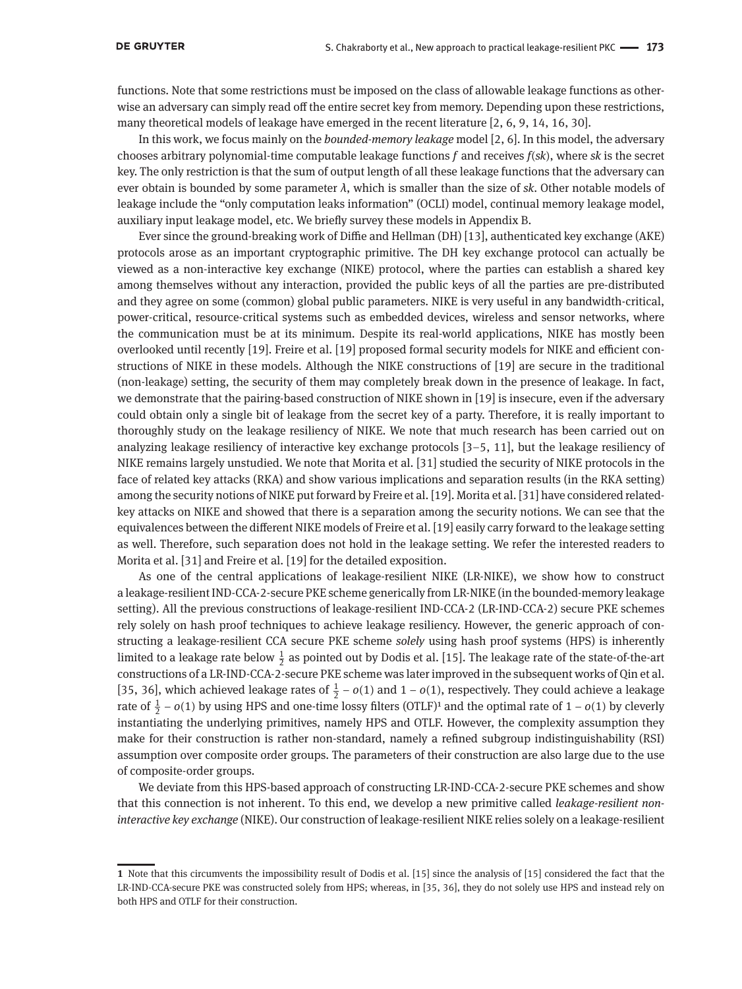functions. Note that some restrictions must be imposed on the class of allowable leakage functions as otherwise an adversary can simply read off the entire secret key from memory. Depending upon these restrictions, many theoretical models of leakage have emerged in the recent literature [2, 6, 9, 14, 16, 30].

In this work, we focus mainly on the *bounded-memory leakage* model [2, 6]. In this model, the adversary chooses arbitrary polynomial-time computable leakage functions *f* and receives *f*(*sk*), where *sk* is the secret key. The only restriction is that the sum of output length of all these leakage functions that the adversary can ever obtain is bounded by some parameter *λ*, which is smaller than the size of *sk*. Other notable models of leakage include the "only computation leaks information" (OCLI) model, continual memory leakage model, auxiliary input leakage model, etc. We briefly survey these models in Appendix B.

Ever since the ground-breaking work of Diffie and Hellman (DH) [13], authenticated key exchange (AKE) protocols arose as an important cryptographic primitive. The DH key exchange protocol can actually be viewed as a non-interactive key exchange (NIKE) protocol, where the parties can establish a shared key among themselves without any interaction, provided the public keys of all the parties are pre-distributed and they agree on some (common) global public parameters. NIKE is very useful in any bandwidth-critical, power-critical, resource-critical systems such as embedded devices, wireless and sensor networks, where the communication must be at its minimum. Despite its real-world applications, NIKE has mostly been overlooked until recently [19]. Freire et al. [19] proposed formal security models for NIKE and efficient constructions of NIKE in these models. Although the NIKE constructions of [19] are secure in the traditional (non-leakage) setting, the security of them may completely break down in the presence of leakage. In fact, we demonstrate that the pairing-based construction of NIKE shown in [19] is insecure, even if the adversary could obtain only a single bit of leakage from the secret key of a party. Therefore, it is really important to thoroughly study on the leakage resiliency of NIKE. We note that much research has been carried out on analyzing leakage resiliency of interactive key exchange protocols [3–5, 11], but the leakage resiliency of NIKE remains largely unstudied. We note that Morita et al. [31] studied the security of NIKE protocols in the face of related key attacks (RKA) and show various implications and separation results (in the RKA setting) among the security notions of NIKE put forward by Freire et al. [19]. Morita et al. [31] have considered relatedkey attacks on NIKE and showed that there is a separation among the security notions. We can see that the equivalences between the different NIKE models of Freire et al. [19] easily carry forward to the leakage setting as well. Therefore, such separation does not hold in the leakage setting. We refer the interested readers to Morita et al. [31] and Freire et al. [19] for the detailed exposition.

As one of the central applications of leakage-resilient NIKE (LR-NIKE), we show how to construct a leakage-resilient IND-CCA-2-secure PKE scheme generically from LR-NIKE (in the bounded-memory leakage setting). All the previous constructions of leakage-resilient IND-CCA-2 (LR-IND-CCA-2) secure PKE schemes rely solely on hash proof techniques to achieve leakage resiliency. However, the generic approach of constructing a leakage-resilient CCA secure PKE scheme *solely* using hash proof systems (HPS) is inherently limited to a leakage rate below  $\frac{1}{2}$  as pointed out by Dodis et al. [15]. The leakage rate of the state-of-the-art constructions of a LR-IND-CCA-2-secure PKE scheme was later improved in the subsequent works of Qin et al. [35, 36], which achieved leakage rates of  $\frac{1}{2} - o(1)$  and  $1 - o(1)$ , respectively. They could achieve a leakage rate of  $\frac{1}{2} - o(1)$  by using HPS and one-time lossy filters (OTLF)<sup>1</sup> and the optimal rate of 1 – *o*(1) by cleverly instantiating the underlying primitives, namely HPS and OTLF. However, the complexity assumption they make for their construction is rather non-standard, namely a refined subgroup indistinguishability (RSI) assumption over composite order groups. The parameters of their construction are also large due to the use of composite-order groups.

We deviate from this HPS-based approach of constructing LR-IND-CCA-2-secure PKE schemes and show that this connection is not inherent. To this end, we develop a new primitive called *leakage-resilient noninteractive key exchange* (NIKE). Our construction of leakage-resilient NIKE relies solely on a leakage-resilient

**<sup>1</sup>** Note that this circumvents the impossibility result of Dodis et al. [15] since the analysis of [15] considered the fact that the LR-IND-CCA-secure PKE was constructed solely from HPS; whereas, in [35, 36], they do not solely use HPS and instead rely on both HPS and OTLF for their construction.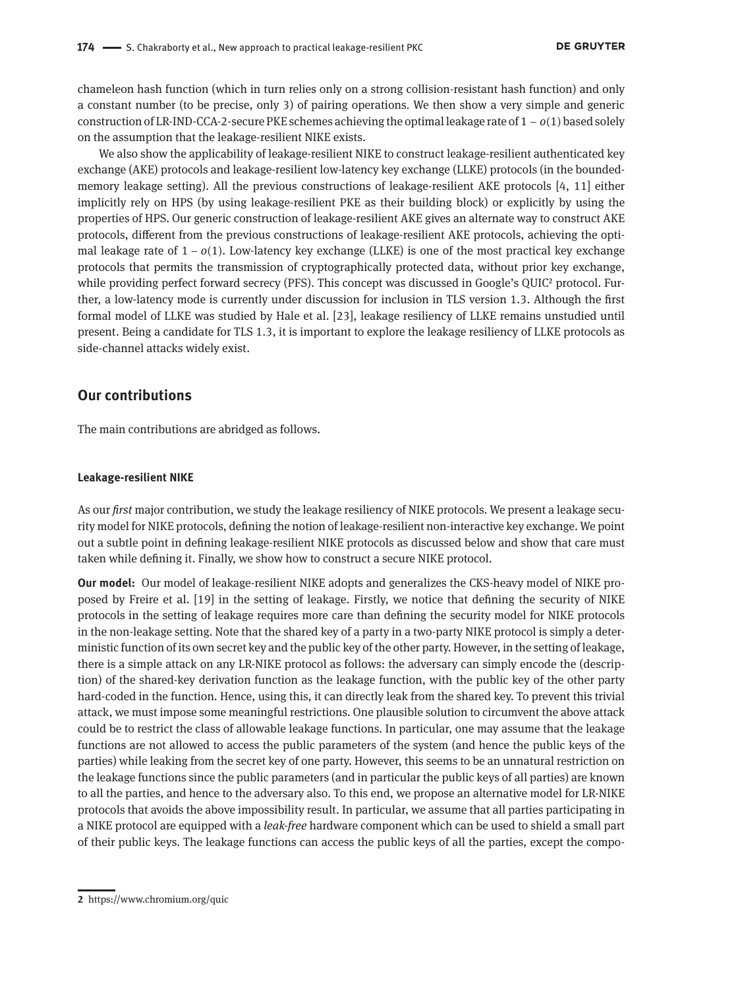chameleon hash function (which in turn relies only on a strong collision-resistant hash function) and only a constant number (to be precise, only 3) of pairing operations. We then show a very simple and generic construction of LR-IND-CCA-2-secure PKE schemes achieving the optimal leakage rate of 1 − *o*(1) based solely on the assumption that the leakage-resilient NIKE exists.

We also show the applicability of leakage-resilient NIKE to construct leakage-resilient authenticated key exchange (AKE) protocols and leakage-resilient low-latency key exchange (LLKE) protocols (in the boundedmemory leakage setting). All the previous constructions of leakage-resilient AKE protocols [4, 11] either implicitly rely on HPS (by using leakage-resilient PKE as their building block) or explicitly by using the properties of HPS. Our generic construction of leakage-resilient AKE gives an alternate way to construct AKE protocols, different from the previous constructions of leakage-resilient AKE protocols, achieving the optimal leakage rate of 1 − *o*(1). Low-latency key exchange (LLKE) is one of the most practical key exchange protocols that permits the transmission of cryptographically protected data, without prior key exchange, while providing perfect forward secrecy (PFS). This concept was discussed in Google's QUIC<sup>2</sup> protocol. Further, a low-latency mode is currently under discussion for inclusion in TLS version 1.3. Although the first formal model of LLKE was studied by Hale et al. [23], leakage resiliency of LLKE remains unstudied until present. Being a candidate for TLS 1.3, it is important to explore the leakage resiliency of LLKE protocols as side-channel attacks widely exist.

### **Our contributions**

The main contributions are abridged as follows.

#### **Leakage-resilient NIKE**

As our *first* major contribution, we study the leakage resiliency of NIKE protocols. We present a leakage security model for NIKE protocols, defining the notion of leakage-resilient non-interactive key exchange. We point out a subtle point in defining leakage-resilient NIKE protocols as discussed below and show that care must taken while defining it. Finally, we show how to construct a secure NIKE protocol.

**Our model:** Our model of leakage-resilient NIKE adopts and generalizes the CKS-heavy model of NIKE proposed by Freire et al. [19] in the setting of leakage. Firstly, we notice that defining the security of NIKE protocols in the setting of leakage requires more care than defining the security model for NIKE protocols in the non-leakage setting. Note that the shared key of a party in a two-party NIKE protocol is simply a deterministic function of its own secret key and the public key of the other party. However, in the setting of leakage, there is a simple attack on any LR-NIKE protocol as follows: the adversary can simply encode the (description) of the shared-key derivation function as the leakage function, with the public key of the other party hard-coded in the function. Hence, using this, it can directly leak from the shared key. To prevent this trivial attack, we must impose some meaningful restrictions. One plausible solution to circumvent the above attack could be to restrict the class of allowable leakage functions. In particular, one may assume that the leakage functions are not allowed to access the public parameters of the system (and hence the public keys of the parties) while leaking from the secret key of one party. However, this seems to be an unnatural restriction on the leakage functions since the public parameters (and in particular the public keys of all parties) are known to all the parties, and hence to the adversary also. To this end, we propose an alternative model for LR-NIKE protocols that avoids the above impossibility result. In particular, we assume that all parties participating in a NIKE protocol are equipped with a *leak-free* hardware component which can be used to shield a small part of their public keys. The leakage functions can access the public keys of all the parties, except the compo-

**<sup>2</sup>** https://www.chromium.org/quic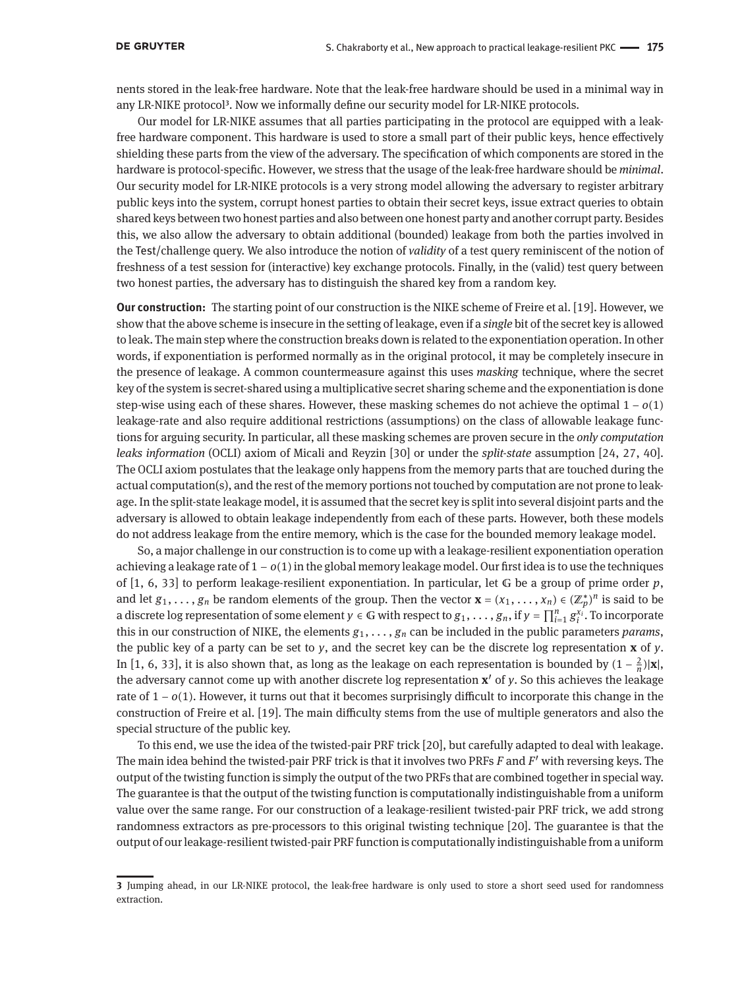nents stored in the leak-free hardware. Note that the leak-free hardware should be used in a minimal way in any LR-NIKE protocol³. Now we informally define our security model for LR-NIKE protocols.

Our model for LR-NIKE assumes that all parties participating in the protocol are equipped with a leakfree hardware component. This hardware is used to store a small part of their public keys, hence effectively shielding these parts from the view of the adversary. The specification of which components are stored in the hardware is protocol-specific. However, we stress that the usage of the leak-free hardware should be *minimal*. Our security model for LR-NIKE protocols is a very strong model allowing the adversary to register arbitrary public keys into the system, corrupt honest parties to obtain their secret keys, issue extract queries to obtain shared keys between two honest parties and also between one honest party and another corrupt party. Besides this, we also allow the adversary to obtain additional (bounded) leakage from both the parties involved in the Test/challenge query. We also introduce the notion of *validity* of a test query reminiscent of the notion of freshness of a test session for (interactive) key exchange protocols. Finally, in the (valid) test query between two honest parties, the adversary has to distinguish the shared key from a random key.

**Our construction:** The starting point of our construction is the NIKE scheme of Freire et al. [19]. However, we show that the above scheme is insecure in the setting of leakage, even if a *single* bit of the secret key is allowed to leak. The main step where the construction breaks down is related to the exponentiation operation. In other words, if exponentiation is performed normally as in the original protocol, it may be completely insecure in the presence of leakage. A common countermeasure against this uses *masking* technique, where the secret key of the system is secret-shared using a multiplicative secret sharing scheme and the exponentiation is done step-wise using each of these shares. However, these masking schemes do not achieve the optimal 1 − *o*(1) leakage-rate and also require additional restrictions (assumptions) on the class of allowable leakage functions for arguing security. In particular, all these masking schemes are proven secure in the *only computation leaks information* (OCLI) axiom of Micali and Reyzin [30] or under the *split-state* assumption [24, 27, 40]. The OCLI axiom postulates that the leakage only happens from the memory parts that are touched during the actual computation(s), and the rest of the memory portions not touched by computation are not prone to leakage. In the split-state leakage model, it is assumed that the secret key is split into several disjoint parts and the adversary is allowed to obtain leakage independently from each of these parts. However, both these models do not address leakage from the entire memory, which is the case for the bounded memory leakage model.

So, a major challenge in our construction is to come up with a leakage-resilient exponentiation operation achieving a leakage rate of 1 − *o*(1) in the global memory leakage model. Our first idea is to use the techniques of  $[1, 6, 33]$  to perform leakage-resilient exponentiation. In particular, let G be a group of prime order  $p$ , and let  $g_1, \ldots, g_n$  be random elements of the group. Then the vector  $\mathbf{x} = (x_1, \ldots, x_n) \in (\mathbb{Z}_p^*)^n$  is said to be a discrete log representation of some element  $y \in \mathbb{G}$  with respect to  $g_1, \ldots, g_n$ , if  $y = \prod_{i=1}^n g_i^{x_i}$ . To incorporate this in our construction of NIKE, the elements  $g_1, \ldots, g_n$  can be included in the public parameters *params*, the public key of a party can be set to *y*, and the secret key can be the discrete log representation **x** of *y*. In [1, 6, 33], it is also shown that, as long as the leakage on each representation is bounded by  $(1 - \frac{2}{n})|x|$ , the adversary cannot come up with another discrete log representation **x'** of y. So this achieves the leakage rate of 1 − *o*(1). However, it turns out that it becomes surprisingly difficult to incorporate this change in the construction of Freire et al. [19]. The main difficulty stems from the use of multiple generators and also the special structure of the public key.

To this end, we use the idea of the twisted-pair PRF trick [20], but carefully adapted to deal with leakage. The main idea behind the twisted-pair PRF trick is that it involves two PRFs *F* and *F* with reversing keys. The output of the twisting function is simply the output of the two PRFs that are combined together in special way. The guarantee is that the output of the twisting function is computationally indistinguishable from a uniform value over the same range. For our construction of a leakage-resilient twisted-pair PRF trick, we add strong randomness extractors as pre-processors to this original twisting technique [20]. The guarantee is that the output of our leakage-resilient twisted-pair PRF function is computationally indistinguishable from a uniform

**<sup>3</sup>** Jumping ahead, in our LR-NIKE protocol, the leak-free hardware is only used to store a short seed used for randomness extraction.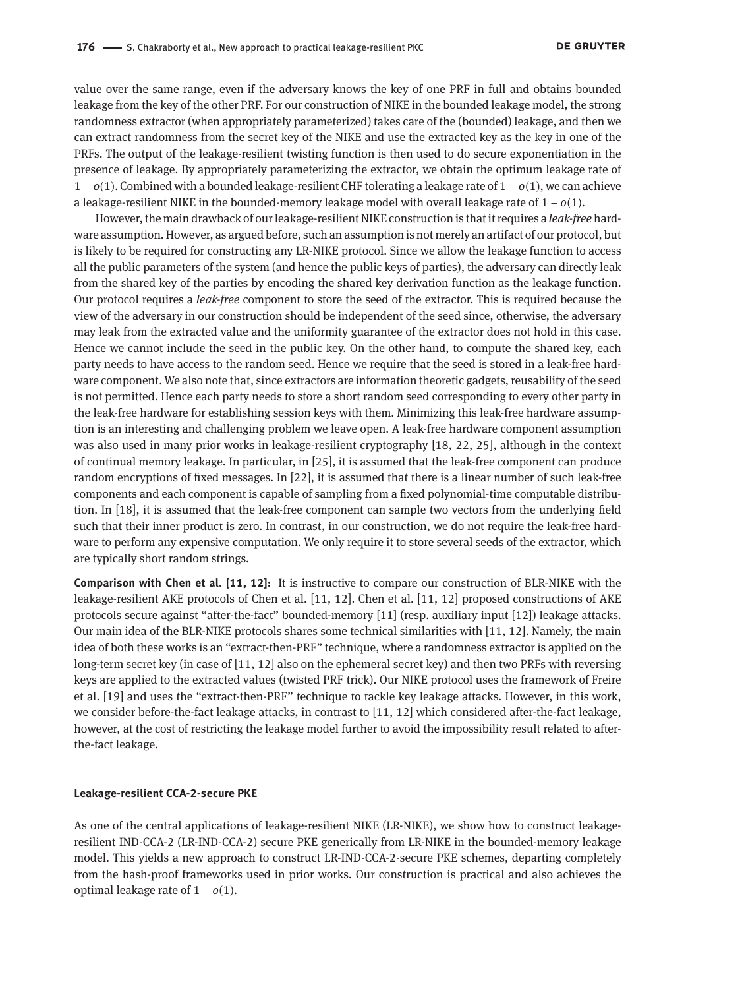value over the same range, even if the adversary knows the key of one PRF in full and obtains bounded leakage from the key of the other PRF. For our construction of NIKE in the bounded leakage model, the strong randomness extractor (when appropriately parameterized) takes care of the (bounded) leakage, and then we can extract randomness from the secret key of the NIKE and use the extracted key as the key in one of the PRFs. The output of the leakage-resilient twisting function is then used to do secure exponentiation in the presence of leakage. By appropriately parameterizing the extractor, we obtain the optimum leakage rate of 1 − *o*(1). Combined with a bounded leakage-resilient CHF tolerating a leakage rate of 1 − *o*(1), we can achieve a leakage-resilient NIKE in the bounded-memory leakage model with overall leakage rate of 1 − *o*(1).

However, the main drawback of our leakage-resilient NIKE construction is that it requires a *leak-free* hardware assumption. However, as argued before, such an assumption is not merely an artifact of our protocol, but is likely to be required for constructing any LR-NIKE protocol. Since we allow the leakage function to access all the public parameters of the system (and hence the public keys of parties), the adversary can directly leak from the shared key of the parties by encoding the shared key derivation function as the leakage function. Our protocol requires a *leak-free* component to store the seed of the extractor. This is required because the view of the adversary in our construction should be independent of the seed since, otherwise, the adversary may leak from the extracted value and the uniformity guarantee of the extractor does not hold in this case. Hence we cannot include the seed in the public key. On the other hand, to compute the shared key, each party needs to have access to the random seed. Hence we require that the seed is stored in a leak-free hardware component. We also note that, since extractors are information theoretic gadgets, reusability of the seed is not permitted. Hence each party needs to store a short random seed corresponding to every other party in the leak-free hardware for establishing session keys with them. Minimizing this leak-free hardware assumption is an interesting and challenging problem we leave open. A leak-free hardware component assumption was also used in many prior works in leakage-resilient cryptography [18, 22, 25], although in the context of continual memory leakage. In particular, in [25], it is assumed that the leak-free component can produce random encryptions of fixed messages. In [22], it is assumed that there is a linear number of such leak-free components and each component is capable of sampling from a fixed polynomial-time computable distribution. In [18], it is assumed that the leak-free component can sample two vectors from the underlying field such that their inner product is zero. In contrast, in our construction, we do not require the leak-free hardware to perform any expensive computation. We only require it to store several seeds of the extractor, which are typically short random strings.

**Comparison with Chen et al. [11, 12]:** It is instructive to compare our construction of BLR-NIKE with the leakage-resilient AKE protocols of Chen et al. [11, 12]. Chen et al. [11, 12] proposed constructions of AKE protocols secure against "after-the-fact" bounded-memory [11] (resp. auxiliary input [12]) leakage attacks. Our main idea of the BLR-NIKE protocols shares some technical similarities with [11, 12]. Namely, the main idea of both these works is an "extract-then-PRF" technique, where a randomness extractor is applied on the long-term secret key (in case of [11, 12] also on the ephemeral secret key) and then two PRFs with reversing keys are applied to the extracted values (twisted PRF trick). Our NIKE protocol uses the framework of Freire et al. [19] and uses the "extract-then-PRF" technique to tackle key leakage attacks. However, in this work, we consider before-the-fact leakage attacks, in contrast to [11, 12] which considered after-the-fact leakage, however, at the cost of restricting the leakage model further to avoid the impossibility result related to afterthe-fact leakage.

#### **Leakage-resilient CCA-2-secure PKE**

As one of the central applications of leakage-resilient NIKE (LR-NIKE), we show how to construct leakageresilient IND-CCA-2 (LR-IND-CCA-2) secure PKE generically from LR-NIKE in the bounded-memory leakage model. This yields a new approach to construct LR-IND-CCA-2-secure PKE schemes, departing completely from the hash-proof frameworks used in prior works. Our construction is practical and also achieves the optimal leakage rate of 1 − *o*(1).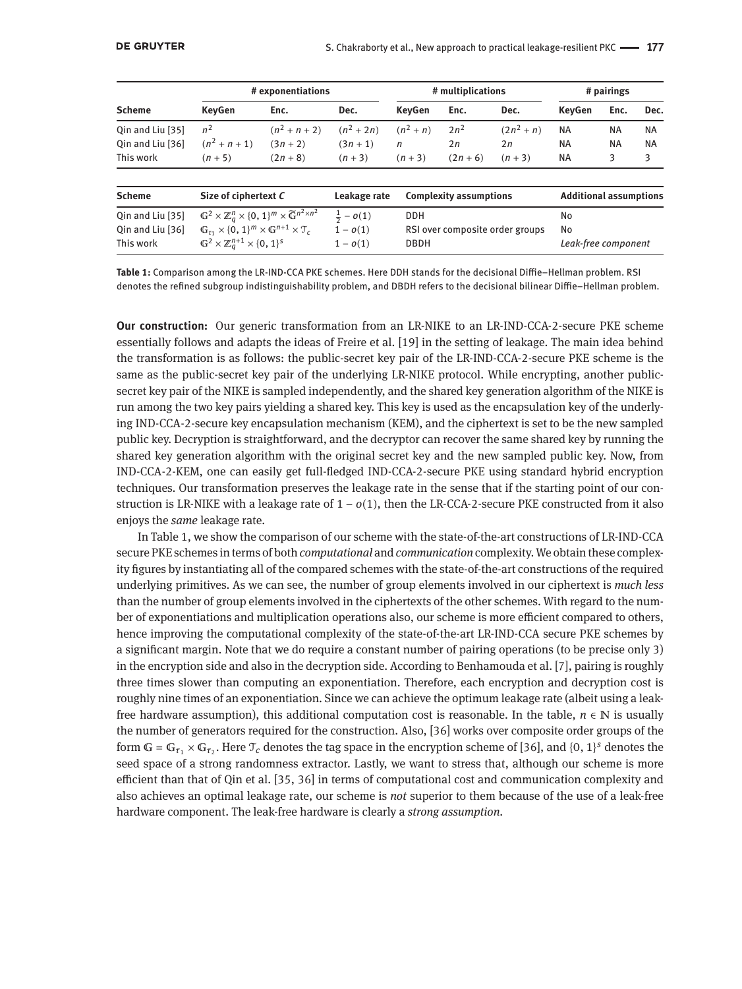|                  | # exponentiations                                                                                    |                 |                    | # multiplications               |                               |                     | # pairings                    |           |           |
|------------------|------------------------------------------------------------------------------------------------------|-----------------|--------------------|---------------------------------|-------------------------------|---------------------|-------------------------------|-----------|-----------|
| <b>Scheme</b>    | KeyGen                                                                                               | Enc.            | Dec.               | KeyGen                          | Enc.                          | Dec.                | <b>KeyGen</b>                 | Enc.      | Dec.      |
| Qin and Liu [35] | $n^2$                                                                                                | $(n^2 + n + 2)$ | $(n^2 + 2n)$       | $(n^2 + n)$                     | $2n^2$                        | $(2n^2 + n)$        | <b>NA</b>                     | <b>NA</b> | <b>NA</b> |
| Qin and Liu [36] | $(n^2 + n + 1)$                                                                                      | $(3n + 2)$      | $(3n + 1)$         | $\mathsf{n}$                    | 2n                            | 2n                  | <b>NA</b>                     | <b>NA</b> | <b>NA</b> |
| This work        | $(n + 5)$                                                                                            | $(2n + 8)$      | $(n + 3)$          | $(n + 3)$                       | $(2n + 6)$                    | $(n + 3)$           | <b>NA</b>                     | 3         | 3         |
|                  |                                                                                                      |                 |                    |                                 |                               |                     |                               |           |           |
| <b>Scheme</b>    | Size of ciphertext C                                                                                 |                 | Leakage rate       |                                 | <b>Complexity assumptions</b> |                     | <b>Additional assumptions</b> |           |           |
| Qin and Liu [35] | $\mathbb{G}^2 \times \mathbb{Z}_q^n \times \{0,1\}^m \times \widetilde{\mathbb{G}}^{n^2 \times n^2}$ |                 | $rac{1}{2} - o(1)$ | <b>DDH</b>                      |                               |                     | No                            |           |           |
| Qin and Liu [36] | $\mathbb{G}_{\tau_1}\times \{0,1\}^m\times \mathbb{G}^{n+1}\times \mathcal{T}_c$                     |                 | $1 - o(1)$         | RSI over composite order groups |                               | No                  |                               |           |           |
| This work        | $\mathbb{G}^2 \times \mathbb{Z}_q^{n+1} \times \{0, 1\}^s$                                           |                 | $1 - o(1)$         | <b>DBDH</b>                     |                               | Leak-free component |                               |           |           |
|                  |                                                                                                      |                 |                    |                                 |                               |                     |                               |           |           |

**Table 1:** Comparison among the LR-IND-CCA PKE schemes. Here DDH stands for the decisional Diffie–Hellman problem. RSI denotes the refined subgroup indistinguishability problem, and DBDH refers to the decisional bilinear Diffie–Hellman problem.

**Our construction:** Our generic transformation from an LR-NIKE to an LR-IND-CCA-2-secure PKE scheme essentially follows and adapts the ideas of Freire et al. [19] in the setting of leakage. The main idea behind the transformation is as follows: the public-secret key pair of the LR-IND-CCA-2-secure PKE scheme is the same as the public-secret key pair of the underlying LR-NIKE protocol. While encrypting, another publicsecret key pair of the NIKE is sampled independently, and the shared key generation algorithm of the NIKE is run among the two key pairs yielding a shared key. This key is used as the encapsulation key of the underlying IND-CCA-2-secure key encapsulation mechanism (KEM), and the ciphertext is set to be the new sampled public key. Decryption is straightforward, and the decryptor can recover the same shared key by running the shared key generation algorithm with the original secret key and the new sampled public key. Now, from IND-CCA-2-KEM, one can easily get full-fledged IND-CCA-2-secure PKE using standard hybrid encryption techniques. Our transformation preserves the leakage rate in the sense that if the starting point of our construction is LR-NIKE with a leakage rate of 1 − *o*(1), then the LR-CCA-2-secure PKE constructed from it also enjoys the *same* leakage rate.

In Table 1, we show the comparison of our scheme with the state-of-the-art constructions of LR-IND-CCA secure PKE schemes in terms of both *computational* and *communication* complexity. We obtain these complexity figures by instantiating all of the compared schemes with the state-of-the-art constructions of the required underlying primitives. As we can see, the number of group elements involved in our ciphertext is *much less* than the number of group elements involved in the ciphertexts of the other schemes. With regard to the number of exponentiations and multiplication operations also, our scheme is more efficient compared to others, hence improving the computational complexity of the state-of-the-art LR-IND-CCA secure PKE schemes by a significant margin. Note that we do require a constant number of pairing operations (to be precise only 3) in the encryption side and also in the decryption side. According to Benhamouda et al. [7], pairing is roughly three times slower than computing an exponentiation. Therefore, each encryption and decryption cost is roughly nine times of an exponentiation. Since we can achieve the optimum leakage rate (albeit using a leakfree hardware assumption), this additional computation cost is reasonable. In the table,  $n \in \mathbb{N}$  is usually the number of generators required for the construction. Also, [36] works over composite order groups of the form  $G = G_{\tau_1} \times G_{\tau_2}$ . Here  $\tau_c$  denotes the tag space in the encryption scheme of [36], and {0, 1}<sup>s</sup> denotes the seed space of a strong randomness extractor. Lastly, we want to stress that, although our scheme is more efficient than that of Qin et al. [35, 36] in terms of computational cost and communication complexity and also achieves an optimal leakage rate, our scheme is *not* superior to them because of the use of a leak-free hardware component. The leak-free hardware is clearly a *strong assumption*.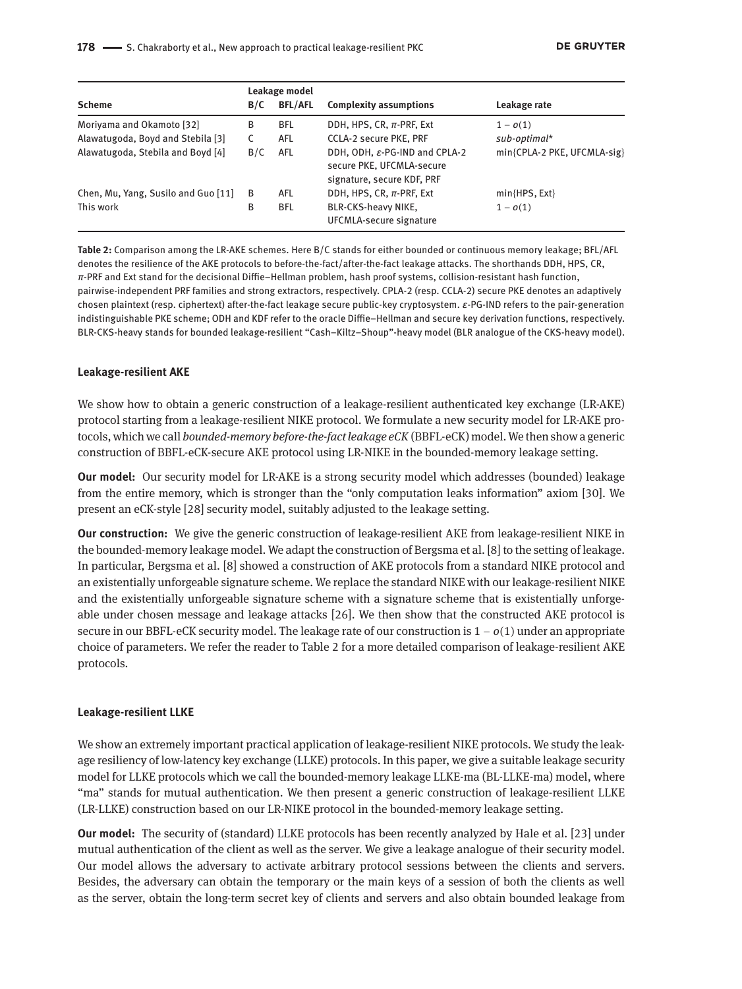|                                     | Leakage model |                |                                                                                                       |                             |
|-------------------------------------|---------------|----------------|-------------------------------------------------------------------------------------------------------|-----------------------------|
| <b>Scheme</b>                       | B/C           | <b>BFL/AFL</b> | <b>Complexity assumptions</b>                                                                         | Leakage rate                |
| Moriyama and Okamoto [32]           | B             | <b>BFL</b>     | DDH, HPS, CR, $\pi$ -PRF, Ext                                                                         | $1 - o(1)$                  |
| Alawatugoda, Boyd and Stebila [3]   |               | AFL            | <b>CCLA-2 secure PKE, PRF</b>                                                                         | sub-optimal*                |
| Alawatugoda, Stebila and Boyd [4]   | B/C           | AFL            | DDH, ODH, $\varepsilon$ -PG-IND and CPLA-2<br>secure PKE, UFCMLA-secure<br>signature, secure KDF, PRF | min{CPLA-2 PKE, UFCMLA-sig} |
| Chen, Mu, Yang, Susilo and Guo [11] | B             | AFL            | DDH, HPS, CR, $\pi$ -PRF, Ext                                                                         | $min\{HPS, Ext\}$           |
| This work                           | В             | <b>BFL</b>     | <b>BLR-CKS-heavy NIKE,</b><br>UFCMLA-secure signature                                                 | $1 - o(1)$                  |

**Table 2:** Comparison among the LR-AKE schemes. Here B/C stands for either bounded or continuous memory leakage; BFL/AFL denotes the resilience of the AKE protocols to before-the-fact/after-the-fact leakage attacks. The shorthands DDH, HPS, CR, *π*-PRF and Ext stand for the decisional Diffie–Hellman problem, hash proof systems, collision-resistant hash function, pairwise-independent PRF families and strong extractors, respectively. CPLA-2 (resp. CCLA-2) secure PKE denotes an adaptively chosen plaintext (resp. ciphertext) after-the-fact leakage secure public-key cryptosystem. *ε*-PG-IND refers to the pair-generation indistinguishable PKE scheme; ODH and KDF refer to the oracle Diffie–Hellman and secure key derivation functions, respectively. BLR-CKS-heavy stands for bounded leakage-resilient "Cash–Kiltz–Shoup"-heavy model (BLR analogue of the CKS-heavy model).

#### **Leakage-resilient AKE**

We show how to obtain a generic construction of a leakage-resilient authenticated key exchange (LR-AKE) protocol starting from a leakage-resilient NIKE protocol. We formulate a new security model for LR-AKE protocols, which we call *bounded-memory before-the-fact leakage eCK* (BBFL-eCK) model. We then show a generic construction of BBFL-eCK-secure AKE protocol using LR-NIKE in the bounded-memory leakage setting.

**Our model:** Our security model for LR-AKE is a strong security model which addresses (bounded) leakage from the entire memory, which is stronger than the "only computation leaks information" axiom [30]. We present an eCK-style [28] security model, suitably adjusted to the leakage setting.

**Our construction:** We give the generic construction of leakage-resilient AKE from leakage-resilient NIKE in the bounded-memory leakage model. We adapt the construction of Bergsma et al. [8] to the setting of leakage. In particular, Bergsma et al. [8] showed a construction of AKE protocols from a standard NIKE protocol and an existentially unforgeable signature scheme. We replace the standard NIKE with our leakage-resilient NIKE and the existentially unforgeable signature scheme with a signature scheme that is existentially unforgeable under chosen message and leakage attacks [26]. We then show that the constructed AKE protocol is secure in our BBFL-eCK security model. The leakage rate of our construction is 1 − *o*(1) under an appropriate choice of parameters. We refer the reader to Table 2 for a more detailed comparison of leakage-resilient AKE protocols.

#### **Leakage-resilient LLKE**

We show an extremely important practical application of leakage-resilient NIKE protocols. We study the leakage resiliency of low-latency key exchange (LLKE) protocols. In this paper, we give a suitable leakage security model for LLKE protocols which we call the bounded-memory leakage LLKE-ma (BL-LLKE-ma) model, where "ma" stands for mutual authentication. We then present a generic construction of leakage-resilient LLKE (LR-LLKE) construction based on our LR-NIKE protocol in the bounded-memory leakage setting.

**Our model:** The security of (standard) LLKE protocols has been recently analyzed by Hale et al. [23] under mutual authentication of the client as well as the server. We give a leakage analogue of their security model. Our model allows the adversary to activate arbitrary protocol sessions between the clients and servers. Besides, the adversary can obtain the temporary or the main keys of a session of both the clients as well as the server, obtain the long-term secret key of clients and servers and also obtain bounded leakage from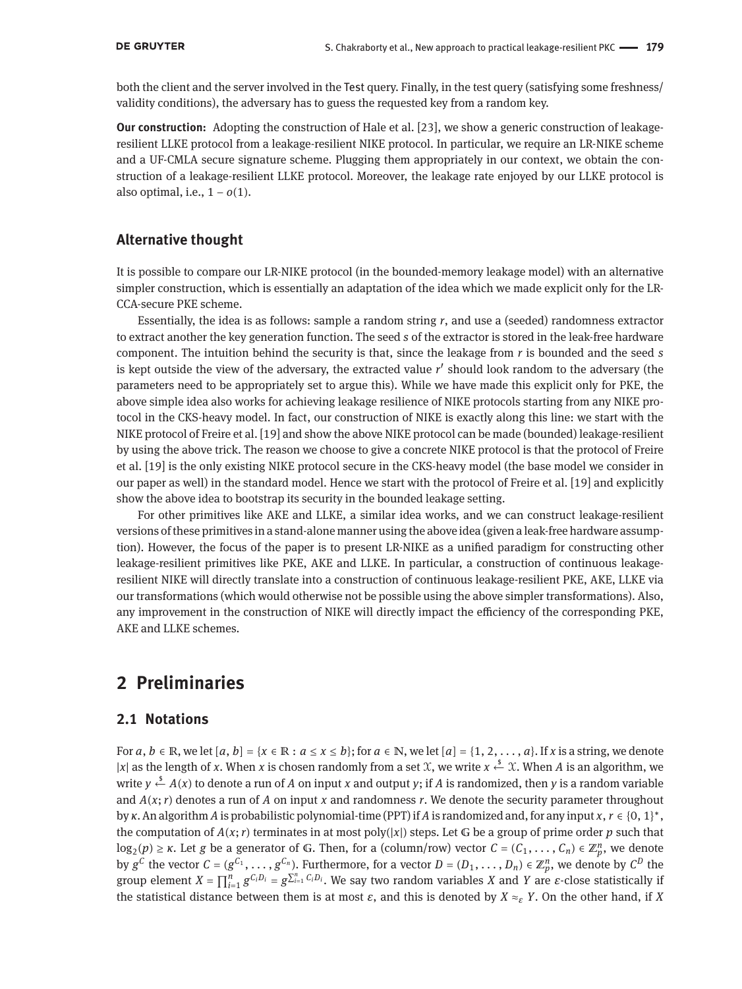both the client and the server involved in the Test query. Finally, in the test query (satisfying some freshness/ validity conditions), the adversary has to guess the requested key from a random key.

**Our construction:** Adopting the construction of Hale et al. [23], we show a generic construction of leakageresilient LLKE protocol from a leakage-resilient NIKE protocol. In particular, we require an LR-NIKE scheme and a UF-CMLA secure signature scheme. Plugging them appropriately in our context, we obtain the construction of a leakage-resilient LLKE protocol. Moreover, the leakage rate enjoyed by our LLKE protocol is also optimal, i.e., 1 − *o*(1).

### **Alternative thought**

It is possible to compare our LR-NIKE protocol (in the bounded-memory leakage model) with an alternative simpler construction, which is essentially an adaptation of the idea which we made explicit only for the LR-CCA-secure PKE scheme.

Essentially, the idea is as follows: sample a random string *r*, and use a (seeded) randomness extractor to extract another the key generation function. The seed *s* of the extractor is stored in the leak-free hardware component. The intuition behind the security is that, since the leakage from *r* is bounded and the seed *s* is kept outside the view of the adversary, the extracted value r' should look random to the adversary (the parameters need to be appropriately set to argue this). While we have made this explicit only for PKE, the above simple idea also works for achieving leakage resilience of NIKE protocols starting from any NIKE protocol in the CKS-heavy model. In fact, our construction of NIKE is exactly along this line: we start with the NIKE protocol of Freire et al. [19] and show the above NIKE protocol can be made (bounded) leakage-resilient by using the above trick. The reason we choose to give a concrete NIKE protocol is that the protocol of Freire et al. [19] is the only existing NIKE protocol secure in the CKS-heavy model (the base model we consider in our paper as well) in the standard model. Hence we start with the protocol of Freire et al. [19] and explicitly show the above idea to bootstrap its security in the bounded leakage setting.

For other primitives like AKE and LLKE, a similar idea works, and we can construct leakage-resilient versions of these primitives in a stand-alone manner using the above idea (given a leak-free hardware assumption). However, the focus of the paper is to present LR-NIKE as a unified paradigm for constructing other leakage-resilient primitives like PKE, AKE and LLKE. In particular, a construction of continuous leakageresilient NIKE will directly translate into a construction of continuous leakage-resilient PKE, AKE, LLKE via our transformations (which would otherwise not be possible using the above simpler transformations). Also, any improvement in the construction of NIKE will directly impact the efficiency of the corresponding PKE, AKE and LLKE schemes.

## **2 Preliminaries**

#### **2.1 Notations**

For  $a, b \in \mathbb{R}$ , we let  $[a, b] = \{x \in \mathbb{R} : a \le x \le b\}$ ; for  $a \in \mathbb{N}$ , we let  $[a] = \{1, 2, \ldots, a\}$ . If  $x$  is a string, we denote  $|x|$  as the length of *x*. When *x* is chosen randomly from a set  $\mathfrak X$ , we write  $x \stackrel{s}{\leftarrow} \mathfrak X$ . When *A* is an algorithm, we write *y* \$← *A*(*x*) to denote a run of *A* on input *x* and output *y*; if *A* is randomized, then *y* is a random variable and *A*(*x*; *r*) denotes a run of *A* on input *x* and randomness *r*. We denote the security parameter throughout by *κ*. An algorithm *A* is probabilistic polynomial-time (PPT) if *A* is randomized and, for any input *x*, *r* ∈ {0, 1} ∗ , the computation of  $A(x; r)$  terminates in at most poly(|x|) steps. Let G be a group of prime order *p* such that  $\log_2(p) \geq \kappa$ . Let *g* be a generator of G. Then, for a (column/row) vector  $C = (C_1, \ldots, C_n) \in \mathbb{Z}_p^n$ , we denote by  $g^C$  the vector  $C=(g^{C_1},\ldots,g^{C_n})$ . Furthermore, for a vector  $D=(D_1,\ldots,D_n)\in\mathbb{Z}_p^n,$  we denote by  $C^D$  the group element  $X = \prod_{i=1}^n g^{C_i D_i} = g^{\sum_{i=1}^n C_i D_i}$ . We say two random variables X and Y are  $\varepsilon$ -close statistically if the statistical distance between them is at most *ε*, and this is denoted by *X* ≈*<sup>ε</sup> Y*. On the other hand, if *X*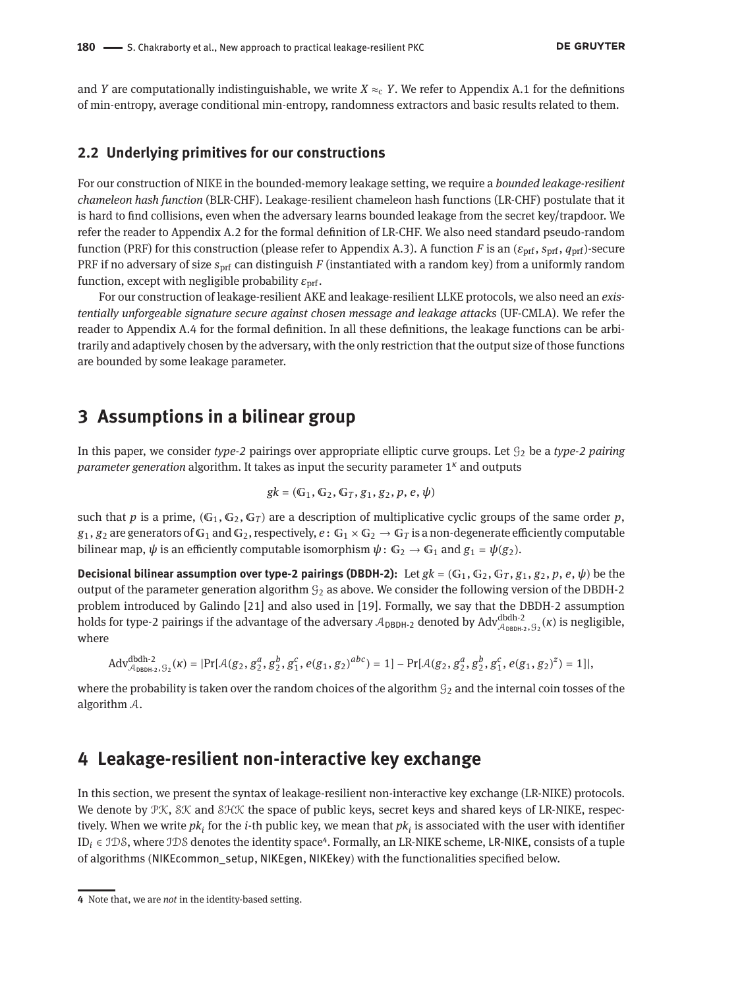and *Y* are computationally indistinguishable, we write  $X \approx_{c} Y$ . We refer to Appendix A.1 for the definitions of min-entropy, average conditional min-entropy, randomness extractors and basic results related to them.

### **2.2 Underlying primitives for our constructions**

For our construction of NIKE in the bounded-memory leakage setting, we require a *bounded leakage-resilient chameleon hash function* (BLR-CHF). Leakage-resilient chameleon hash functions (LR-CHF) postulate that it is hard to find collisions, even when the adversary learns bounded leakage from the secret key/trapdoor. We refer the reader to Appendix A.2 for the formal definition of LR-CHF. We also need standard pseudo-random function (PRF) for this construction (please refer to Appendix A.3). A function *F* is an (*ε*prf, *s*prf, *q*prf)-secure PRF if no adversary of size  $s_{\text{prf}}$  can distinguish *F* (instantiated with a random key) from a uniformly random function, except with negligible probability *ε*prf.

For our construction of leakage-resilient AKE and leakage-resilient LLKE protocols, we also need an *existentially unforgeable signature secure against chosen message and leakage attacks* (UF-CMLA). We refer the reader to Appendix A.4 for the formal definition. In all these definitions, the leakage functions can be arbitrarily and adaptively chosen by the adversary, with the only restriction that the output size of those functions are bounded by some leakage parameter.

## **3 Assumptions in a bilinear group**

In this paper, we consider *type-2* pairings over appropriate elliptic curve groups. Let  $\mathcal{G}_2$  be a *type-2 pairing parameter generation* algorithm. It takes as input the security parameter 1 *<sup>κ</sup>* and outputs

$$
gk=(\mathbb{G}_1,\mathbb{G}_2,\mathbb{G}_T,g_1,g_2,p,e,\psi)
$$

such that *p* is a prime,  $(G_1, G_2, G_T)$  are a description of multiplicative cyclic groups of the same order *p*,  $g_1, g_2$  are generators of  $\mathbb{G}_1$  and  $\mathbb{G}_2$ , respectively,  $e \colon \mathbb{G}_1 \times \mathbb{G}_2 \to \mathbb{G}_T$  is a non-degenerate efficiently computable bilinear map,  $\psi$  is an efficiently computable isomorphism  $\psi: \mathbb{G}_2 \to \mathbb{G}_1$  and  $g_1 = \psi(g_2)$ .

**Decisional bilinear assumption over type-2 pairings (DBDH-2):** Let  $gk = (G_1, G_2, G_T, g_1, g_2, p, e, \psi)$  be the output of the parameter generation algorithm  $\mathcal{G}_2$  as above. We consider the following version of the DBDH-2 problem introduced by Galindo [21] and also used in [19]. Formally, we say that the DBDH-2 assumption holds for type-2 pairings if the advantage of the adversary  $\mathcal{A}_{\sf DBDH-2}$  denoted by  $\sf{Adv}_{\mathcal{A}_{\sf DBDH-2},\mathcal{G}_2}^{dbdh-2}(\kappa)$  is negligible, where

$$
Adv_{\mathcal{A}_{\text{DBDH-2}}S_2}^{\text{dbdh-2}}(k) = |Pr[\mathcal{A}(g_2, g_2^a, g_2^b, g_1^c, e(g_1, g_2)^{abc}) = 1] - Pr[\mathcal{A}(g_2, g_2^a, g_2^b, g_1^c, e(g_1, g_2)^z) = 1]|,
$$

where the probability is taken over the random choices of the algorithm  $\mathcal{G}_2$  and the internal coin tosses of the algorithm A.

## **4 Leakage-resilient non-interactive key exchange**

In this section, we present the syntax of leakage-resilient non-interactive key exchange (LR-NIKE) protocols. We denote by  $\mathcal{PK}$ ,  $\mathcal{SK}$  and  $\mathcal{SHK}$  the space of public keys, secret keys and shared keys of LR-NIKE, respectively. When we write  $pk_i$  for the  $i$ -th public key, we mean that  $pk_i$  is associated with the user with identifier ID<sub>i</sub>  $\in$  1DS, where 1DS denotes the identity space<sup>4</sup>. Formally, an LR-NIKE scheme, LR-NIKE, consists of a tuple of algorithms (NIKEcommon\_setup, NIKEgen, NIKEkey) with the functionalities specified below.

**<sup>4</sup>** Note that, we are *not* in the identity-based setting.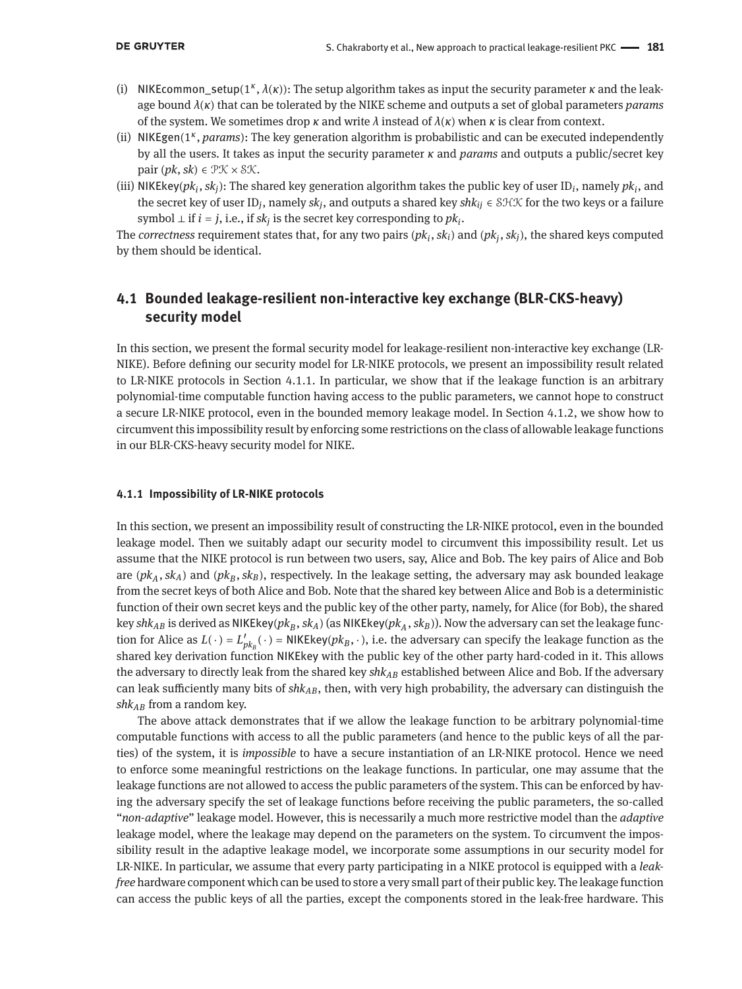- (i) NIKE common\_setup( $1^k$ ,  $\lambda$ ( $\kappa$ )): The setup algorithm takes as input the security parameter  $\kappa$  and the leakage bound *λ*(*κ*) that can be tolerated by the NIKE scheme and outputs a set of global parameters *params* of the system. We sometimes drop *κ* and write *λ* instead of *λ*(*κ*) when *κ* is clear from context.
- (ii) NIKEgen(1<sup>k</sup>, *params*): The key generation algorithm is probabilistic and can be executed independently by all the users. It takes as input the security parameter *κ* and *params* and outputs a public/secret key pair  $(pk, sk) \in \mathcal{PK} \times \mathcal{SK}$ .
- (iii)  $N$ IKEkey( $pk_i, sk_j$ ): The shared key generation algorithm takes the public key of user ID $_i$ , namely  $pk_i$ , and the secret key of user ID*<sup>j</sup>* , namely *sk<sup>j</sup>* , and outputs a shared key *shkij* ∈ SHK for the two keys or a failure symbol  $\perp$  if  $i = j$ , i.e., if *sk<sub>j</sub>* is the secret key corresponding to  $pk_i$ .

The *correctness* requirement states that, for any two pairs (*pk<sup>i</sup>* , *ski*) and (*pk<sup>j</sup>* , *skj*), the shared keys computed by them should be identical.

## **4.1 Bounded leakage-resilient non-interactive key exchange (BLR-CKS-heavy) security model**

In this section, we present the formal security model for leakage-resilient non-interactive key exchange (LR-NIKE). Before defining our security model for LR-NIKE protocols, we present an impossibility result related to LR-NIKE protocols in Section 4.1.1. In particular, we show that if the leakage function is an arbitrary polynomial-time computable function having access to the public parameters, we cannot hope to construct a secure LR-NIKE protocol, even in the bounded memory leakage model. In Section 4.1.2, we show how to circumvent this impossibility result by enforcing some restrictions on the class of allowable leakage functions in our BLR-CKS-heavy security model for NIKE.

#### **4.1.1 Impossibility of LR-NIKE protocols**

In this section, we present an impossibility result of constructing the LR-NIKE protocol, even in the bounded leakage model. Then we suitably adapt our security model to circumvent this impossibility result. Let us assume that the NIKE protocol is run between two users, say, Alice and Bob. The key pairs of Alice and Bob are  $(\mathit{pk}_A, \mathit{sk}_A)$  and  $(\mathit{pk}_B, \mathit{sk}_B)$ , respectively. In the leakage setting, the adversary may ask bounded leakage from the secret keys of both Alice and Bob. Note that the shared key between Alice and Bob is a deterministic function of their own secret keys and the public key of the other party, namely, for Alice (for Bob), the shared key  $shk_{AB}$  is derived as NIKEkey( $pk_B$ ,  $sk_A$ ) (as NIKEkey( $pk_A$ ,  $sk_B$ )). Now the adversary can set the leakage function for Alice as  $L(\cdot) = L'_{pk_B}(\cdot) = \textsf{NIKEkey}(pk_B, \cdot)$ , i.e. the adversary can specify the leakage function as the shared key derivation function NIKEkey with the public key of the other party hard-coded in it. This allows the adversary to directly leak from the shared key *shkAB* established between Alice and Bob. If the adversary can leak sufficiently many bits of *shkAB*, then, with very high probability, the adversary can distinguish the *shkAB* from a random key.

The above attack demonstrates that if we allow the leakage function to be arbitrary polynomial-time computable functions with access to all the public parameters (and hence to the public keys of all the parties) of the system, it is *impossible* to have a secure instantiation of an LR-NIKE protocol. Hence we need to enforce some meaningful restrictions on the leakage functions. In particular, one may assume that the leakage functions are not allowed to access the public parameters of the system. This can be enforced by having the adversary specify the set of leakage functions before receiving the public parameters, the so-called "*non-adaptive*" leakage model. However, this is necessarily a much more restrictive model than the *adaptive* leakage model, where the leakage may depend on the parameters on the system. To circumvent the impossibility result in the adaptive leakage model, we incorporate some assumptions in our security model for LR-NIKE. In particular, we assume that every party participating in a NIKE protocol is equipped with a *leakfree* hardware component which can be used to store a very small part of their public key. The leakage function can access the public keys of all the parties, except the components stored in the leak-free hardware. This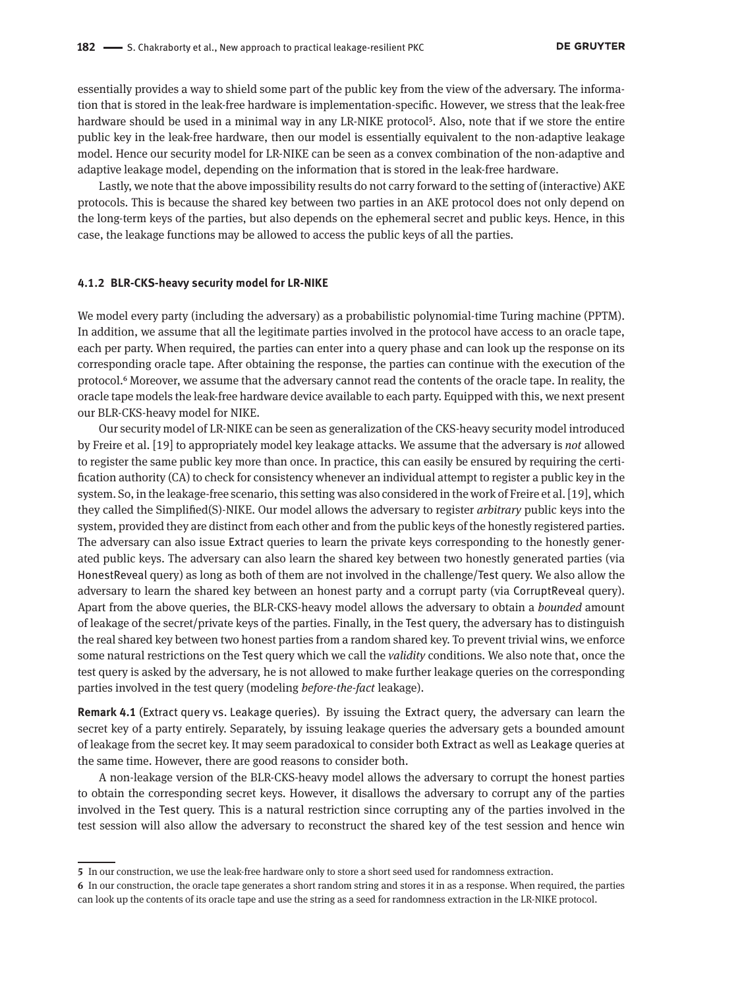essentially provides a way to shield some part of the public key from the view of the adversary. The information that is stored in the leak-free hardware is implementation-specific. However, we stress that the leak-free hardware should be used in a minimal way in any LR-NIKE protocol<sup>5</sup>. Also, note that if we store the entire public key in the leak-free hardware, then our model is essentially equivalent to the non-adaptive leakage model. Hence our security model for LR-NIKE can be seen as a convex combination of the non-adaptive and adaptive leakage model, depending on the information that is stored in the leak-free hardware.

Lastly, we note that the above impossibility results do not carry forward to the setting of (interactive) AKE protocols. This is because the shared key between two parties in an AKE protocol does not only depend on the long-term keys of the parties, but also depends on the ephemeral secret and public keys. Hence, in this case, the leakage functions may be allowed to access the public keys of all the parties.

#### **4.1.2 BLR-CKS-heavy security model for LR-NIKE**

We model every party (including the adversary) as a probabilistic polynomial-time Turing machine (PPTM). In addition, we assume that all the legitimate parties involved in the protocol have access to an oracle tape, each per party. When required, the parties can enter into a query phase and can look up the response on its corresponding oracle tape. After obtaining the response, the parties can continue with the execution of the protocol.⁶ Moreover, we assume that the adversary cannot read the contents of the oracle tape. In reality, the oracle tape models the leak-free hardware device available to each party. Equipped with this, we next present our BLR-CKS-heavy model for NIKE.

Our security model of LR-NIKE can be seen as generalization of the CKS-heavy security model introduced by Freire et al. [19] to appropriately model key leakage attacks. We assume that the adversary is *not* allowed to register the same public key more than once. In practice, this can easily be ensured by requiring the certification authority (CA) to check for consistency whenever an individual attempt to register a public key in the system. So, in the leakage-free scenario, this setting was also considered in the work of Freire et al. [19], which they called the Simplified(S)-NIKE. Our model allows the adversary to register *arbitrary* public keys into the system, provided they are distinct from each other and from the public keys of the honestly registered parties. The adversary can also issue Extract queries to learn the private keys corresponding to the honestly generated public keys. The adversary can also learn the shared key between two honestly generated parties (via HonestReveal query) as long as both of them are not involved in the challenge/Test query. We also allow the adversary to learn the shared key between an honest party and a corrupt party (via CorruptReveal query). Apart from the above queries, the BLR-CKS-heavy model allows the adversary to obtain a *bounded* amount of leakage of the secret/private keys of the parties. Finally, in the Test query, the adversary has to distinguish the real shared key between two honest parties from a random shared key. To prevent trivial wins, we enforce some natural restrictions on the Test query which we call the *validity* conditions. We also note that, once the test query is asked by the adversary, he is not allowed to make further leakage queries on the corresponding parties involved in the test query (modeling *before-the-fact* leakage).

**Remark 4.1** (Extract query vs. Leakage queries). By issuing the Extract query, the adversary can learn the secret key of a party entirely. Separately, by issuing leakage queries the adversary gets a bounded amount of leakage from the secret key. It may seem paradoxical to consider both Extract as well as Leakage queries at the same time. However, there are good reasons to consider both.

A non-leakage version of the BLR-CKS-heavy model allows the adversary to corrupt the honest parties to obtain the corresponding secret keys. However, it disallows the adversary to corrupt any of the parties involved in the Test query. This is a natural restriction since corrupting any of the parties involved in the test session will also allow the adversary to reconstruct the shared key of the test session and hence win

**<sup>5</sup>** In our construction, we use the leak-free hardware only to store a short seed used for randomness extraction.

**<sup>6</sup>** In our construction, the oracle tape generates a short random string and stores it in as a response. When required, the parties can look up the contents of its oracle tape and use the string as a seed for randomness extraction in the LR-NIKE protocol.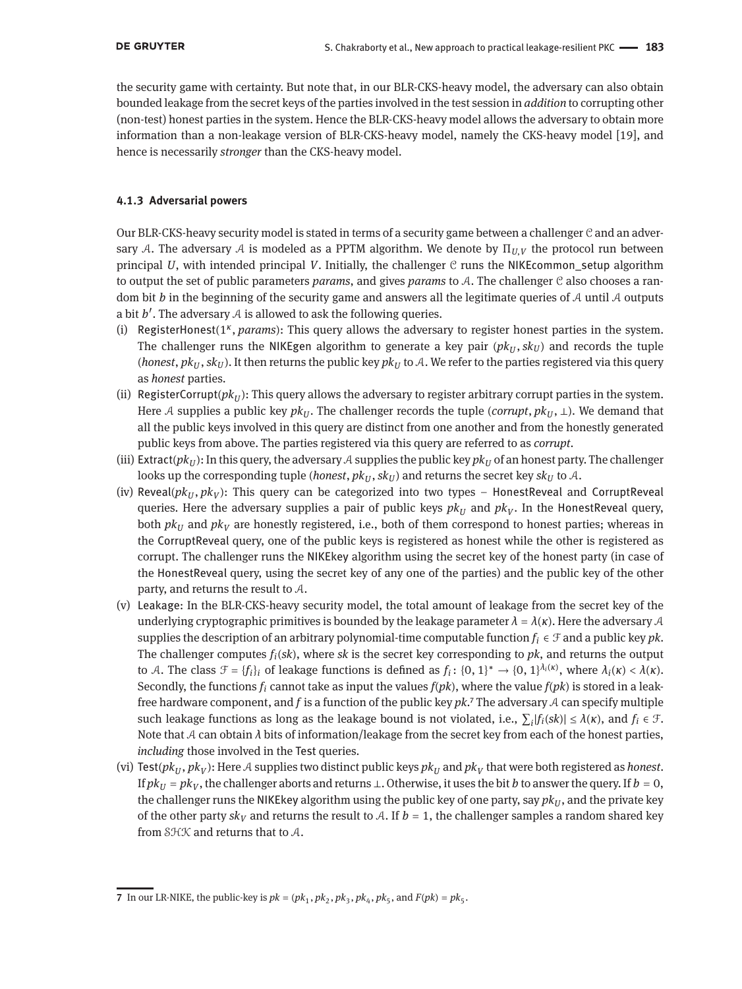the security game with certainty. But note that, in our BLR-CKS-heavy model, the adversary can also obtain bounded leakage from the secret keys of the parties involved in the test session in *addition* to corrupting other (non-test) honest parties in the system. Hence the BLR-CKS-heavy model allows the adversary to obtain more information than a non-leakage version of BLR-CKS-heavy model, namely the CKS-heavy model [19], and hence is necessarily *stronger* than the CKS-heavy model.

#### **4.1.3 Adversarial powers**

Our BLR-CKS-heavy security model is stated in terms of a security game between a challenger C and an adversary A. The adversary A is modeled as a PPTM algorithm. We denote by  $\Pi_{U,V}$  the protocol run between principal *U*, with intended principal *V*. Initially, the challenger C runs the NIKEcommon\_setup algorithm to output the set of public parameters *params*, and gives *params* to A. The challenger C also chooses a random bit *b* in the beginning of the security game and answers all the legitimate queries of A until A outputs a bit  $b'$ . The adversary  $A$  is allowed to ask the following queries.

- (i) RegisterHonest(1<sup>k</sup>, params): This query allows the adversary to register honest parties in the system. The challenger runs the NIKEgen algorithm to generate a key pair  $(pk_U, sk_U)$  and records the tuple (*honest*,  $pk_{U}$ ,  $sk_{U}$ ). It then returns the public key  $pk_{U}$  to A. We refer to the parties registered via this query as *honest* parties.
- (ii) RegisterCorrupt( $pk_{U}$ ): This query allows the adversary to register arbitrary corrupt parties in the system. Here A supplies a public key  $pk_{U}$ . The challenger records the tuple (*corrupt*,  $pk_{U}$ , ⊥). We demand that all the public keys involved in this query are distinct from one another and from the honestly generated public keys from above. The parties registered via this query are referred to as *corrupt*.
- (iii) Extract( $pk_{U}$ ): In this query, the adversary A supplies the public key  $pk_{U}$  of an honest party. The challenger looks up the corresponding tuple (*honest*,  $pk_U$ ,  $sk_U$ ) and returns the secret key  $sk_U$  to A.
- (iv) Reveal( $pk<sub>U</sub>$ ,  $pk<sub>V</sub>$ ): This query can be categorized into two types HonestReveal and CorruptReveal queries. Here the adversary supplies a pair of public keys  $pk<sub>U</sub>$  and  $pk<sub>V</sub>$ . In the HonestReveal query, both  $pk<sub>U</sub>$  and  $pk<sub>V</sub>$  are honestly registered, i.e., both of them correspond to honest parties; whereas in the CorruptReveal query, one of the public keys is registered as honest while the other is registered as corrupt. The challenger runs the NIKEkey algorithm using the secret key of the honest party (in case of the HonestReveal query, using the secret key of any one of the parties) and the public key of the other party, and returns the result to A.
- (v) Leakage: In the BLR-CKS-heavy security model, the total amount of leakage from the secret key of the underlying cryptographic primitives is bounded by the leakage parameter  $\lambda = \lambda(\kappa)$ . Here the adversary  $\mathcal A$ supplies the description of an arbitrary polynomial-time computable function  $f_i \in \mathcal{F}$  and a public key *pk*. The challenger computes  $f_i(sk)$ , where  $sk$  is the secret key corresponding to  $pk$ , and returns the output to A. The class  $\mathcal{F} = \{f_i\}_i$  of leakage functions is defined as  $f_i: \{0, 1\}^* \to \{0, 1\}^{\lambda_i(\kappa)}$ , where  $\lambda_i(\kappa) < \lambda(\kappa)$ . Secondly, the functions  $f_i$  cannot take as input the values  $f(pk)$ , where the value  $f(pk)$  is stored in a leakfree hardware component, and  $f$  is a function of the public key  $pk$ .<sup> $\tau$ </sup> The adversary  $\mathcal A$  can specify multiple such leakage functions as long as the leakage bound is not violated, i.e.,  $\sum_i |f_i(s k)| \leq \lambda(\kappa)$ , and  $f_i \in \mathcal{F}$ . Note that A can obtain *λ* bits of information/leakage from the secret key from each of the honest parties, *including* those involved in the Test queries.
- (vi) Test( $pk_U, pk_V$ ): Here A supplies two distinct public keys  $pk_U$  and  $pk_V$  that were both registered as *honest*. If  $pk_{U} = pk_{U}$ , the challenger aborts and returns ⊥. Otherwise, it uses the bit *b* to answer the query. If *b* = 0, the challenger runs the NIKEkey algorithm using the public key of one party, say *pkU*, and the private key of the other party  $sk_V$  and returns the result to A. If  $b = 1$ , the challenger samples a random shared key from SHK and returns that to A.

**<sup>7</sup>** In our LR-NIKE, the public-key is  $pk = (pk_1, pk_2, pk_3, pk_4, pk_5, and F(pk) = pk_5$ .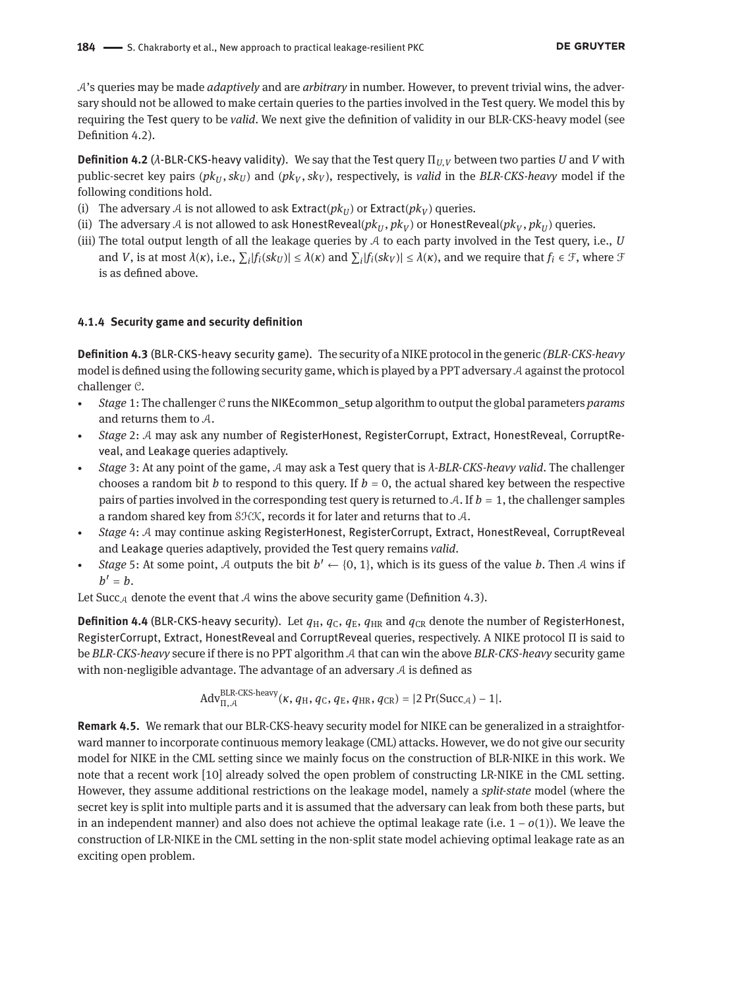A's queries may be made *adaptively* and are *arbitrary* in number. However, to prevent trivial wins, the adversary should not be allowed to make certain queries to the parties involved in the Test query. We model this by requiring the Test query to be *valid*. We next give the definition of validity in our BLR-CKS-heavy model (see Definition 4.2).

**Definition 4.2** ( $λ$ -BLR-CKS-heavy validity). We say that the Test query  $\Pi$ <sub>*U<sub>, V</sub>* between two parties *U* and *V* with</sub> public-secret key pairs  $(pk_U, sk_U)$  and  $(pk_V, sk_V)$ , respectively, is *valid* in the *BLR-CKS-heavy* model if the following conditions hold.

- (i) The adversary A is not allowed to ask Extract( $pk_{U}$ ) or Extract( $pk_{V}$ ) queries.
- (ii) The adversary A is not allowed to ask HonestReveal( $pk_{U}$ ,  $pk_{V}$ ) or HonestReveal( $pk_{V}$ ,  $pk_{U}$ ) queries.
- (iii) The total output length of all the leakage queries by A to each party involved in the Test query, i.e., *U* and V, is at most  $\lambda(\kappa)$ , i.e.,  $\sum_i |f_i(s k_U)| \leq \lambda(\kappa)$  and  $\sum_i |f_i(s k_V)| \leq \lambda(\kappa)$ , and we require that  $f_i \in \mathcal{F}$ , where  $\mathcal{F}$ is as defined above.

#### **4.1.4 Security game and security definition**

**Definition 4.3** (BLR-CKS-heavy security game). The security of a NIKE protocol in the generic *(BLR-CKS-heavy* model is defined using the following security game, which is played by a PPT adversary A against the protocol challenger C.

- ∙ *Stage* 1: The challenger C runs the NIKEcommon\_setup algorithm to output the global parameters *params* and returns them to A.
- ∙ *Stage* 2: A may ask any number of RegisterHonest, RegisterCorrupt, Extract, HonestReveal, CorruptReveal, and Leakage queries adaptively.
- ∙ *Stage* 3: At any point of the game, A may ask a Test query that is *λ-BLR-CKS-heavy valid*. The challenger chooses a random bit *b* to respond to this query. If  $b = 0$ , the actual shared key between the respective pairs of parties involved in the corresponding test query is returned to A. If  $b = 1$ , the challenger samples a random shared key from  $SHK$ , records it for later and returns that to A.
- ∙ *Stage* 4: A may continue asking RegisterHonest, RegisterCorrupt, Extract, HonestReveal, CorruptReveal and Leakage queries adaptively, provided the Test query remains *valid*.
- ∙ *Stage* 5: At some point, A outputs the bit *b* ← {0, 1}, which is its guess of the value *b*. Then A wins if  $b' = b$ .

Let Succ<sub>A</sub> denote the event that A wins the above security game (Definition 4.3).

**Definition 4.4** (BLR-CKS-heavy security). Let  $q_H$ ,  $q_C$ ,  $q_E$ ,  $q_H$  and  $q_{CR}$  denote the number of RegisterHonest, RegisterCorrupt, Extract, HonestReveal and CorruptReveal queries, respectively. A NIKE protocol Π is said to be *BLR-CKS-heavy* secure if there is no PPT algorithm A that can win the above *BLR-CKS-heavy* security game with non-negligible advantage. The advantage of an adversary  $A$  is defined as

Adv<sub>II,A</sub><sup>BLR-CKS-heavy</sup> (
$$
\kappa
$$
,  $q_H$ ,  $q_C$ ,  $q_E$ ,  $q_{HR}$ ,  $q_{CR}$ ) = |2 Pr(Succ<sub>A</sub>) – 1|.

**Remark 4.5.** We remark that our BLR-CKS-heavy security model for NIKE can be generalized in a straightforward manner to incorporate continuous memory leakage (CML) attacks. However, we do not give our security model for NIKE in the CML setting since we mainly focus on the construction of BLR-NIKE in this work. We note that a recent work [10] already solved the open problem of constructing LR-NIKE in the CML setting. However, they assume additional restrictions on the leakage model, namely a *split-state* model (where the secret key is split into multiple parts and it is assumed that the adversary can leak from both these parts, but in an independent manner) and also does not achieve the optimal leakage rate (i.e. 1 − *o*(1)). We leave the construction of LR-NIKE in the CML setting in the non-split state model achieving optimal leakage rate as an exciting open problem.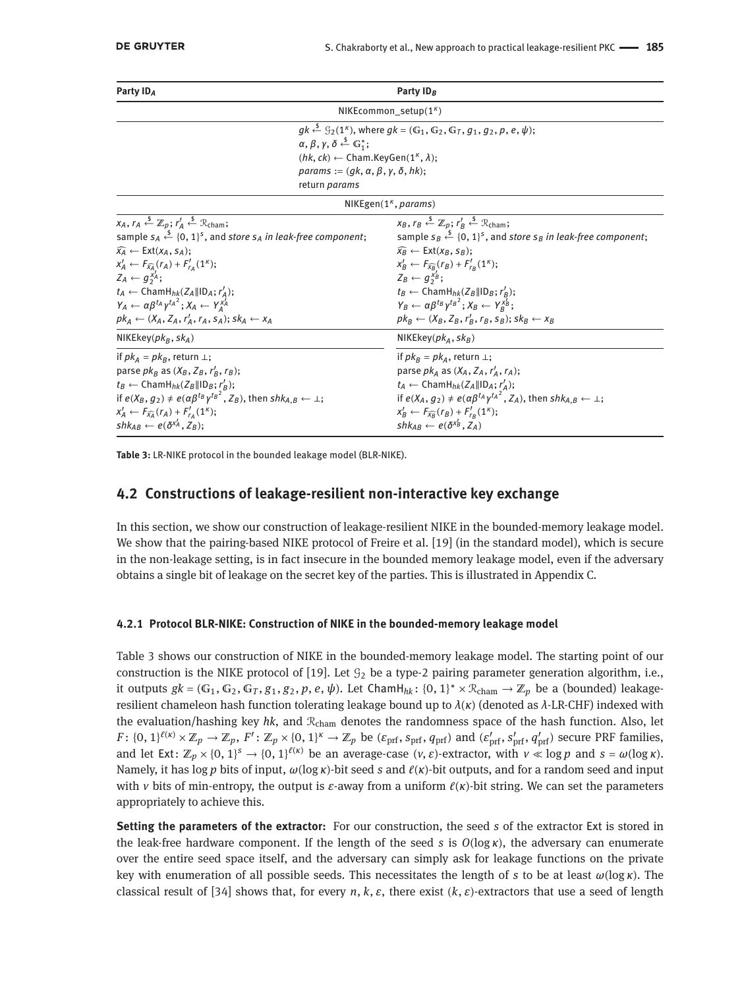| Party ID <sub>A</sub>                                                                                                                                                                                                                                                                                                                                                                                                                                                                                                                                                                          | Party $ID_R$                                                                                                                                                                                                                                                                                                                                                                                                                                                                                                                                                                                      |  |  |  |  |
|------------------------------------------------------------------------------------------------------------------------------------------------------------------------------------------------------------------------------------------------------------------------------------------------------------------------------------------------------------------------------------------------------------------------------------------------------------------------------------------------------------------------------------------------------------------------------------------------|---------------------------------------------------------------------------------------------------------------------------------------------------------------------------------------------------------------------------------------------------------------------------------------------------------------------------------------------------------------------------------------------------------------------------------------------------------------------------------------------------------------------------------------------------------------------------------------------------|--|--|--|--|
|                                                                                                                                                                                                                                                                                                                                                                                                                                                                                                                                                                                                | $N$ IKEcommon_setup $(1K)$                                                                                                                                                                                                                                                                                                                                                                                                                                                                                                                                                                        |  |  |  |  |
| $qk \stackrel{5}{\leftarrow} \mathcal{G}_2(1^k)$ , where $qk = (\mathbb{G}_1, \mathbb{G}_2, \mathbb{G}_7, g_1, g_2, p, e, \psi);$<br>$\alpha, \beta, \gamma, \delta \stackrel{s}{\leftarrow} \mathbb{G}_1^*$ ;<br>$(hk, ck) \leftarrow \text{Cham.KevGen}(1^k, \lambda)$ :<br>params := $(gk, \alpha, \beta, \gamma, \delta, hk);$<br>return params                                                                                                                                                                                                                                            |                                                                                                                                                                                                                                                                                                                                                                                                                                                                                                                                                                                                   |  |  |  |  |
| NIKEgen(1 <sup>K</sup> , <i>params</i> )                                                                                                                                                                                                                                                                                                                                                                                                                                                                                                                                                       |                                                                                                                                                                                                                                                                                                                                                                                                                                                                                                                                                                                                   |  |  |  |  |
| $X_A, r_A \stackrel{\$}{\leftarrow} \mathbb{Z}_p; r_A' \stackrel{\$}{\leftarrow} \mathcal{R}_{\text{cham}};$<br>sample $s_A \stackrel{\$}{\leftarrow} \{0,1\}^s$ , and store $s_A$ in leak-free component;<br>$\widehat{X_4} \leftarrow \text{Ext}(X_4, S_4)$ :<br>$x'_A \leftarrow F_{\widehat{X}_A}(r_A) + F'_{r_A}(1^k);$<br>$Z_A \leftarrow q_2^{X'_A}$ ;<br>$t_A \leftarrow \text{ChamH}_{hk}(Z_A \parallel \text{ID}_A; r'_A);$<br>$Y_A \leftarrow \alpha \beta^{t_A} \gamma^{t_A^2}$ ; $X_A \leftarrow Y_A^{x'_A}$<br>$pk_A \leftarrow (X_A, Z_A, r'_A, r_A, s_A); sk_A \leftarrow x_A$ | $x_B, r_B \stackrel{\$}{\leftarrow} \mathbb{Z}_p; r_B \stackrel{\$}{\leftarrow} \mathbb{R}_{\text{cham}};$<br>sample $s_B \stackrel{\$}{\leftarrow} \{0,1\}^s$ , and store $s_B$ in leak-free component;<br>$\widehat{X}_B \leftarrow \text{Ext}(X_B, S_B)$ :<br>$x'_{B} \leftarrow F_{\widehat{X_B}}(r_B) + F'_{r_B}(1^k);$<br>$Z_B \leftarrow q_2^{x'_B}$ ;<br>$t_B \leftarrow \text{ChamH}_{hk}(Z_B \parallel \text{ID}_B; r'_B);$<br>$Y_B \leftarrow \alpha \beta^{t_B} \gamma^{t_B^2}$ ; $X_B \leftarrow Y_A^{x_B^2}$ ;<br>$pk_B \leftarrow (X_B, Z_B, r'_B, r_B, s_B); sk_B \leftarrow x_B$ |  |  |  |  |
| NIKEkey( $pk_B$ , $sk_A$ )                                                                                                                                                                                                                                                                                                                                                                                                                                                                                                                                                                     | NIKEkey( $pkA$ , $skB$ )                                                                                                                                                                                                                                                                                                                                                                                                                                                                                                                                                                          |  |  |  |  |
| if $pk_A = pk_B$ , return $\perp$ ;<br>parse $pkP$ as $(XB, ZB, YP, YB)$ :<br>$t_B \leftarrow \textsf{ChamH}_{hk}(Z_B \parallel \textsf{ID}_B; r'_B);$<br>if $e(X_B, g_2) \neq e(\alpha \beta^{t_B} \gamma^{t_B^2}, Z_B)$ , then sh $k_{A,B} \leftarrow \perp$ ;<br>$x'_A \leftarrow F_{\widehat{X}_A}(r_A) + F'_{r_A}(1^k);$<br>$shk_{AB} \leftarrow e(\delta^{x'_A}, Z_B);$                                                                                                                                                                                                                  | if $pk_{p} = pk_{A}$ , return $\perp$ :<br>parse $p_{k_A}$ as $(X_A, Z_A, r_A', r_A)$ :<br>$t_A \leftarrow \textsf{ChamH}_{hk}(Z_A \parallel \textsf{ID}_A; r'_A);$<br>if $e(X_A, q_2) \neq e(\alpha \beta^{t_A} \gamma^{t_A^2}, Z_A)$ , then sh $k_{A,B} \leftarrow \perp$ ;<br>$x'_{B} \leftarrow F_{\widehat{X_B}}(r_B) + F'_{r_B}(1^k);$<br>$shk_{AB} \leftarrow e(\delta^{x'_B}, Z_A)$                                                                                                                                                                                                       |  |  |  |  |

**Table 3:** LR-NIKE protocol in the bounded leakage model (BLR-NIKE).

### **4.2 Constructions of leakage-resilient non-interactive key exchange**

In this section, we show our construction of leakage-resilient NIKE in the bounded-memory leakage model. We show that the pairing-based NIKE protocol of Freire et al. [19] (in the standard model), which is secure in the non-leakage setting, is in fact insecure in the bounded memory leakage model, even if the adversary obtains a single bit of leakage on the secret key of the parties. This is illustrated in Appendix C.

#### **4.2.1 Protocol BLR-NIKE: Construction of NIKE in the bounded-memory leakage model**

Table 3 shows our construction of NIKE in the bounded-memory leakage model. The starting point of our construction is the NIKE protocol of [19]. Let  $\mathcal{G}_2$  be a type-2 pairing parameter generation algorithm, i.e., it outputs  $gk = (G_1, G_2, G_T, g_1, g_2, p, e, \psi)$ . Let ChamH<sub>hk</sub>:  $\{0, 1\}^* \times \mathcal{R}_{\text{cham}} \to \mathbb{Z}_p$  be a (bounded) leakageresilient chameleon hash function tolerating leakage bound up to *λ*(*κ*) (denoted as *λ*-LR-CHF) indexed with the evaluation/hashing key hk, and  $\mathcal{R}_{\text{cham}}$  denotes the randomness space of the hash function. Also, let  $F: \{0,1\}^{\ell(k)} \times \mathbb{Z}_p \to \mathbb{Z}_p, F': \mathbb{Z}_p \times \{0,1\}^k \to \mathbb{Z}_p$  be  $(\varepsilon_{\text{prf}}, s_{\text{prf}}, q_{\text{prf}})$  and  $(\varepsilon_{\text{prf}}', s_{\text{prf}}', q_{\text{prf}}')$  secure PRF families, and let  $Ext: \mathbb{Z}_p \times \{0, 1\}^s \to \{0, 1\}^{\ell(\kappa)}$  be an average-case  $(v, \varepsilon)$ -extractor, with  $v \ll \log p$  and  $s = \omega(\log \kappa)$ . Namely, it has log *p* bits of input, *ω*(log *κ*)-bit seed *s* and ℓ(*κ*)-bit outputs, and for a random seed and input with *v* bits of min-entropy, the output is  $\varepsilon$ -away from a uniform  $\ell(\kappa)$ -bit string. We can set the parameters appropriately to achieve this.

**Setting the parameters of the extractor:** For our construction, the seed *s* of the extractor Ext is stored in the leak-free hardware component. If the length of the seed *s* is  $O(log \kappa)$ , the adversary can enumerate over the entire seed space itself, and the adversary can simply ask for leakage functions on the private key with enumeration of all possible seeds. This necessitates the length of *s* to be at least *ω*(log *κ*). The classical result of [34] shows that, for every *n*, *k*, *ε*, there exist (*k*, *ε*)-extractors that use a seed of length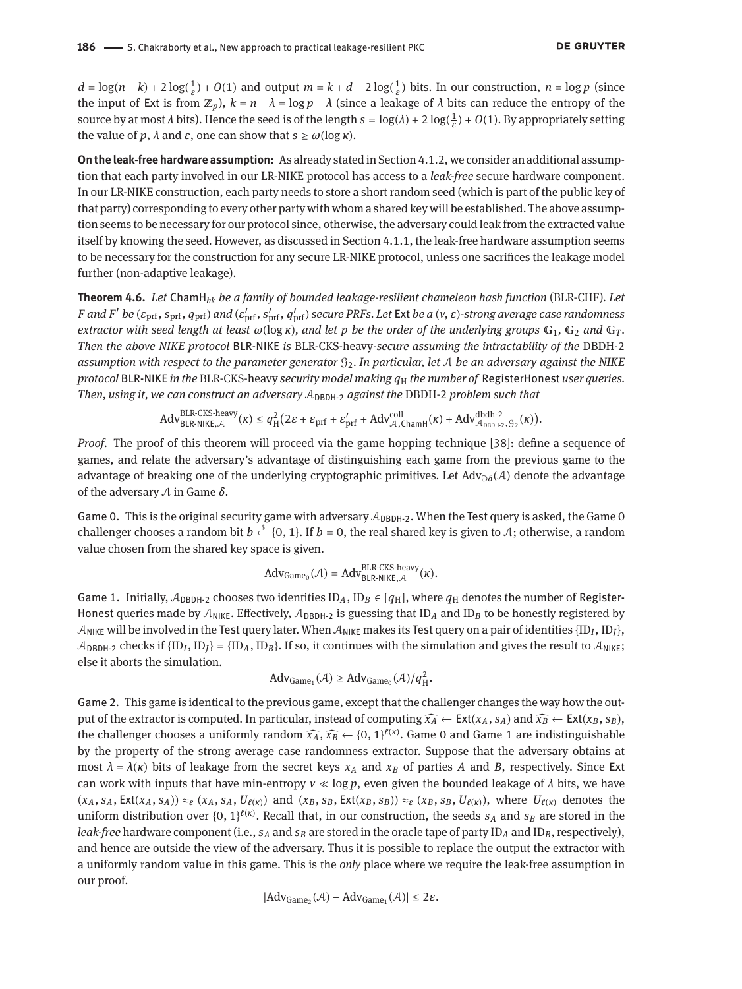$d = \log(n - k) + 2\log(\frac{1}{\varepsilon}) + O(1)$  and output  $m = k + d - 2\log(\frac{1}{\varepsilon})$  bits. In our construction,  $n = \log p$  (since the input of Ext is from  $\mathbb{Z}_p$ ),  $k = n - \lambda = \log p - \lambda$  (since a leakage of  $\lambda$  bits can reduce the entropy of the source by at most *λ* bits). Hence the seed is of the length  $s = \log(\lambda) + 2\log(\frac{1}{\varepsilon}) + O(1)$ . By appropriately setting the value of *p*, *λ* and *ε*, one can show that  $s \geq \omega(\log \kappa)$ .

**On the leak-free hardware assumption:** As already stated in Section 4.1.2, we consider an additional assumption that each party involved in our LR-NIKE protocol has access to a *leak-free* secure hardware component. In our LR-NIKE construction, each party needs to store a short random seed (which is part of the public key of that party) corresponding to every other party with whom a shared key will be established. The above assumption seems to be necessary for our protocol since, otherwise, the adversary could leak from the extracted value itself by knowing the seed. However, as discussed in Section 4.1.1, the leak-free hardware assumption seems to be necessary for the construction for any secure LR-NIKE protocol, unless one sacrifices the leakage model further (non-adaptive leakage).

**Theorem 4.6.** *Let* ChamH*hk be a family of bounded leakage-resilient chameleon hash function* (BLR-CHF)*. Let* F and F' be ( $\varepsilon_{\rm prf}$ ,  $s_{\rm prf}$ ,  $q_{\rm prf}$ ) and ( $\varepsilon'_{\rm prf}$ ,  $s'_{\rm prf}$ ,  $q'_{\rm prf}$ ) secure PRFs. Let Ext be a (v,  $\varepsilon$ )-strong average case randomness *extractor with seed length at least*  $\omega(\log \kappa)$ *, and let p be the order of the underlying groups*  $G_1$ *,*  $G_2$  *and*  $G_T$ *. Then the above NIKE protocol* BLR-NIKE *is* BLR-CKS-heavy*-secure assuming the intractability of the* DBDH-2 *assumption with respect to the parameter generator* G2*. In particular, let* A *be an adversary against the NIKE protocol* BLR-NIKE *in the* BLR-CKS-heavy *security model making*  $q_H$  *the number of* RegisterHonest *user queries. Then, using it, we can construct an adversary*  $A_{DBDH-2}$  *against the DBDH-2 problem such that* 

$$
Adv_{BLR\text{-}NIKE,A}^{BLR\text{-}CKS\text{-}heavy}(\kappa) \leq q_H^2(2\varepsilon + \varepsilon_{\text{prf}} + \varepsilon_{\text{prf}}' + Adv_{A,\text{ChamH}}^{coll}(\kappa) + Adv_{A_{\text{DBDH-2}},\mathcal{G}_2}^{dbdh-2}(\kappa)).
$$

*Proof.* The proof of this theorem will proceed via the game hopping technique [38]: define a sequence of games, and relate the adversary's advantage of distinguishing each game from the previous game to the advantage of breaking one of the underlying cryptographic primitives. Let Adv*δ*(A) denote the advantage of the adversary A in Game *δ*.

Game 0. This is the original security game with adversary  $A_{DBDH-2}$ . When the Test query is asked, the Game 0 challenger chooses a random bit  $b \stackrel{\$}{\leftarrow} \{0,1\}$ . If  $b = 0$ , the real shared key is given to A; otherwise, a random value chosen from the shared key space is given.

$$
Adv_{Game_0}(\mathcal{A}) = Adv_{BLR\text{-}NIKE, \mathcal{A}}^{BLR\text{-}CKS\text{-}heavy}(\kappa).
$$

Game 1. Initially,  $A_{\text{DBDH-2}}$  chooses two identities ID<sub>A</sub>, ID<sub>B</sub>  $\in$  [ $q_H$ ], where  $q_H$  denotes the number of Register-Honest queries made by  $A_{NIKE}$ . Effectively,  $A_{DBDH-2}$  is guessing that ID<sub>A</sub> and ID<sub>B</sub> to be honestly registered by  ${\cal A}_{\sf NIKE}$  will be involved in the Test query later. When  ${\cal A}_{\sf NIKE}$  makes its Test query on a pair of identities {ID<sub>I</sub> , ID<sub>J</sub>},  $A_{\sf DBDH-2}$  checks if  $\{ID_I, ID_J\} = \{ID_A, ID_B\}$ . If so, it continues with the simulation and gives the result to  $A_{\sf NIKE}$ ; else it aborts the simulation.

$$
Adv_{Game_1}(\mathcal{A}) \ge Adv_{Game_0}(\mathcal{A})/q_H^2.
$$

Game 2. This game is identical to the previous game, except that the challenger changes the way how the output of the extractor is computed. In particular, instead of computing  $\widehat{x_A} \leftarrow \text{Ext}(x_A, s_A)$  and  $\widehat{x_B} \leftarrow \text{Ext}(x_B, s_B)$ , the challenger chooses a uniformly random  $\widehat{x_A},\widehat{x_B}\leftarrow\{0,1\}^{\ell(\kappa)}.$  Game 0 and Game 1 are indistinguishable by the property of the strong average case randomness extractor. Suppose that the adversary obtains at most  $λ = λ(κ)$  bits of leakage from the secret keys  $x_A$  and  $x_B$  of parties *A* and *B*, respectively. Since Ext can work with inputs that have min-entropy  $v \ll \log p$ , even given the bounded leakage of  $\lambda$  bits, we have  $(x_A, s_A, \text{Ext}(x_A, s_A)) \approx_{\varepsilon} (x_A, s_A, U_{\ell(x)})$  and  $(x_B, s_B, \text{Ext}(x_B, s_B)) \approx_{\varepsilon} (x_B, s_B, U_{\ell(x)})$ , where  $U_{\ell(x)}$  denotes the uniform distribution over {0, 1}<sup> $\ell(x)$ </sup>. Recall that, in our construction, the seeds  $s_A$  and  $s_B$  are stored in the *leak-free* hardware component (i.e., *s<sup>A</sup>* and *s<sup>B</sup>* are stored in the oracle tape of party ID*<sup>A</sup>* and ID*B*, respectively), and hence are outside the view of the adversary. Thus it is possible to replace the output the extractor with a uniformly random value in this game. This is the *only* place where we require the leak-free assumption in our proof.

$$
|Adv_{Game_2}(\mathcal{A}) - Adv_{Game_1}(\mathcal{A})| \leq 2\epsilon.
$$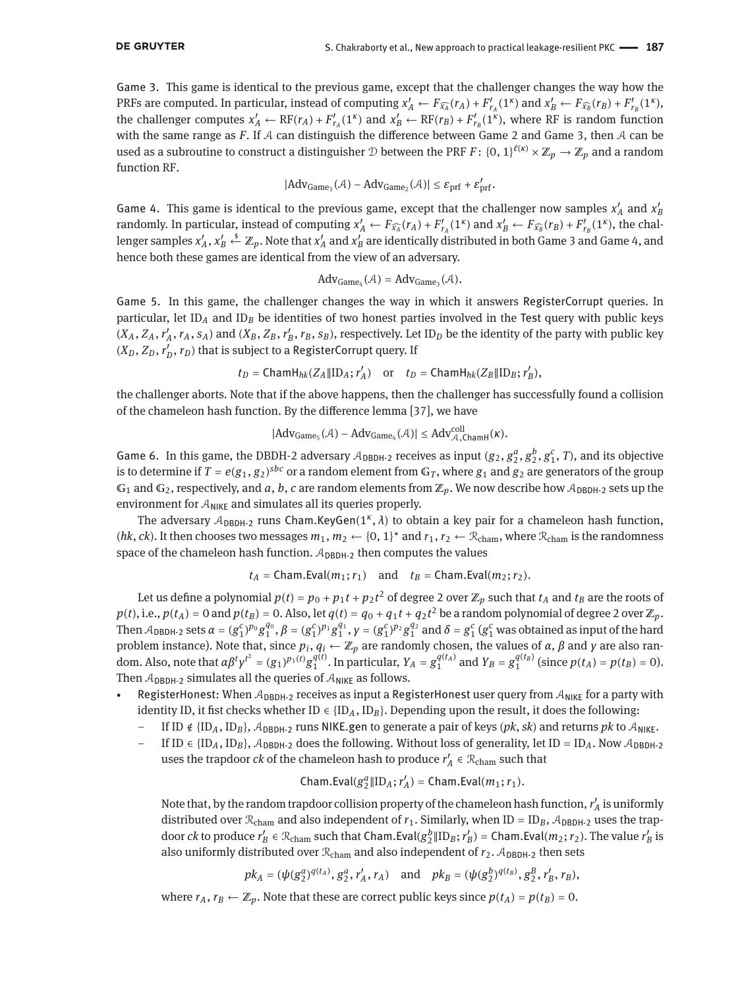Game 3. This game is identical to the previous game, except that the challenger changes the way how the PRFs are computed. In particular, instead of computing  $x'_A \leftarrow F_{\widehat{x_A}}(r_A) + F'_{r_A}(1^{\kappa})$  and  $x'_B \leftarrow F_{\widehat{x_B}}(r_B) + F'_{r_B}(1^{\kappa})$ , the challenger computes  $x'_A \leftarrow RF(r_A) + F'_{r_A}(1^k)$  and  $x'_B \leftarrow RF(r_B) + F'_{r_B}(1^k)$ , where RF is random function with the same range as  $F$ . If  $A$  can distinguish the difference between Game 2 and Game 3, then  $A$  can be used as a subroutine to construct a distinguisher  $\cal D$  between the PRF  $F\colon\{0,1\}^{\ell(\kappa)}\times\Z_p\to\Z_p$  and a random function RF.

$$
|Adv_{Game_3}(\mathcal{A}) - Adv_{Game_2}(\mathcal{A})| \leq \varepsilon_{prf} + \varepsilon'_{prf}.
$$

Game 4. This game is identical to the previous game, except that the challenger now samples  $x'_A$  and  $x'_B$ randomly. In particular, instead of computing  $x'_A \leftarrow F_{\widehat{x_A}}(r_A) + F'_{r_A}(1^{\kappa})$  and  $x'_B \leftarrow F_{\widehat{x_B}}(r_B) + F'_{r_B}(1^{\kappa})$ , the challenger samples  $x'_A$  ,  $x'_B\stackrel{\$}{\leftarrow}\Z_p.$  Note that  $x'_A$  and  $x'_B$  are identically distributed in both Game 3 and Game 4, and hence both these games are identical from the view of an adversary.

$$
Adv_{Game_4}(\mathcal{A}) = Adv_{Game_3}(\mathcal{A}).
$$

Game 5. In this game, the challenger changes the way in which it answers RegisterCorrupt queries. In particular, let ID*<sup>A</sup>* and ID*<sup>B</sup>* be identities of two honest parties involved in the Test query with public keys  $(X_A, Z_A, r'_A, r_A, s_A)$  and  $(X_B, Z_B, r'_B, r_B, s_B)$ , respectively. Let ID<sub>D</sub> be the identity of the party with public key  $(X_D, Z_D, r'_D, r_D)$  that is subject to a RegisterCorrupt query. If

$$
t_D
$$
 = ChamH<sub>hk</sub>( $Z_A$   $||ID_A; r'_A$ ) or  $t_D$  = ChamH<sub>hk</sub>( $Z_B$   $||ID_B; r'_B$ ),

the challenger aborts. Note that if the above happens, then the challenger has successfully found a collision of the chameleon hash function. By the difference lemma [37], we have

$$
|Adv_{Game_5}(\mathcal{A}) - Adv_{Game_4}(\mathcal{A})| \leq Adv_{\mathcal{A},Channel}^{coll}(k).
$$

Game 6. In this game, the DBDH-2 adversary  $A_{DBDH-2}$  receives as input  $(g_2, g_2^a, g_2^b, g_1^c, T)$ , and its objective is to determine if  $T$  =  $e(g_1,g_2)^{sbc}$  or a random element from  $\mathbb{G}_T$ , where  $g_1$  and  $g_2$  are generators of the group  $G_1$  and  $G_2$ , respectively, and *a*, *b*, *c* are random elements from  $\mathbb{Z}_p$ . We now describe how  $A_{\text{DBDH-2}}$  sets up the environment for  $A_{N1KE}$  and simulates all its queries properly.

The adversary  $A_{\sf DBDH-2}$  runs Cham.KeyGen(1<sup>κ</sup>, λ) to obtain a key pair for a chameleon hash function, (*hk*, *ck*). It then chooses two messages  $m_1, m_2 \leftarrow \{0, 1\}^*$  and  $r_1, r_2 \leftarrow \mathcal{R}_{\text{cham}}$ , where  $\mathcal{R}_{\text{cham}}$  is the randomness space of the chameleon hash function.  $A_{DBDH-2}$  then computes the values

$$
t_A
$$
 = Cham.Eval( $m_1$ ;  $r_1$ ) and  $t_B$  = Cham.Eval( $m_2$ ;  $r_2$ ).

Let us define a polynomial  $p(t) = p_0 + p_1 t + p_2 t^2$  of degree 2 over  $\mathbb{Z}_p$  such that  $t_A$  and  $t_B$  are the roots of  $p(t)$ , i.e.,  $p(t_A) = 0$  and  $p(t_B) = 0$ . Also, let  $q(t) = q_0 + q_1t + q_2t^2$  be a random polynomial of degree 2 over  $\mathbb{Z}_p$ . Then  $\mathcal A$ <sub>DBDH-2</sub> sets  $\alpha=(g_1^c)^{p_0}g_1^{q_0}$ ,  $\beta=(g_1^c)^{p_1}g_1^{q_1}$ ,  $\gamma=(g_1^c)^{p_2}g_1^{q_2}$  and  $\delta=g_1^c$   $(g_1^c$  was obtained as input of the hard problem instance). Note that, since  $p_i, q_i \leftarrow \mathbb{Z}_p$  are randomly chosen, the values of α,  $\beta$  and  $\gamma$  are also random. Also, note that  $αβ^t y^{t^2} = (g_1)^{p_1(t)} g_1^{q(t)}$ . In particular,  $Y_A = g_1^{q(t_A)}$  and  $Y_B = g_1^{q(t_B)}$  (since  $p(t_A) = p(t_B) = 0$ ). Then  $A_{DBDH-2}$  simulates all the queries of  $A_{NIKE}$  as follows.

- RegisterHonest: When  $A_{DBDH-2}$  receives as input a RegisterHonest user query from  $A_{NIKE}$  for a party with identity ID, it fist checks whether ID  $\in \{\text{ID}_A, \text{ID}_B\}$ . Depending upon the result, it does the following:
	- If ID  $\notin$  {ID<sub>A</sub>, ID<sub>B</sub>},  $A_{\text{DBDH-2}}$  runs NIKE.gen to generate a pair of keys (*pk*, *sk*) and returns *pk* to  $A_{\text{NIKE}}$ .
	- If ID  $\in \{ID_A, ID_B\}$ ,  $\mathcal{A}_{DBDH-2}$  does the following. Without loss of generality, let ID = ID<sub>A</sub>. Now  $\mathcal{A}_{DBDH-2}$ uses the trapdoor *ck* of the chameleon hash to produce  $r'_A \in \mathcal{R}_{\text{cham}}$  such that

$$
Cham.Eval(g_2^a||ID_A; r'_A) = Cham.Eval(m_1; r_1).
$$

Note that, by the random trapdoor collision property of the chameleon hash function,  $r_A^\prime$  is uniformly distributed over  $\mathcal{R}_{\text{cham}}$  and also independent of  $r_1$ . Similarly, when ID = ID<sub>B</sub>,  $\mathcal{A}_{\text{DBDH-2}}$  uses the trapdoor *ck* to produce  $r'_B \in \mathcal{R}_{\rm cham}$  such that Cham.Eval( $g_2^b$ ||ID $_B$ ;  $r'_B$ ) = Cham.Eval( $m_2$ ;  $r_2$ ). The value  $r'_B$  is also uniformly distributed over  $\mathcal{R}_{\text{cham}}$  and also independent of  $r_2$ .  $\mathcal{A}_{\text{DBDH-2}}$  then sets

$$
pk_A = (\psi(g_2^a)^{q(t_A)}, g_2^a, r_A^r, r_A) \text{ and } pk_B = (\psi(g_2^b)^{q(t_B)}, g_2^B, r_B^r, r_B),
$$

where  $r_A$ ,  $r_B \leftarrow \mathbb{Z}_p$ . Note that these are correct public keys since  $p(t_A) = p(t_B) = 0$ .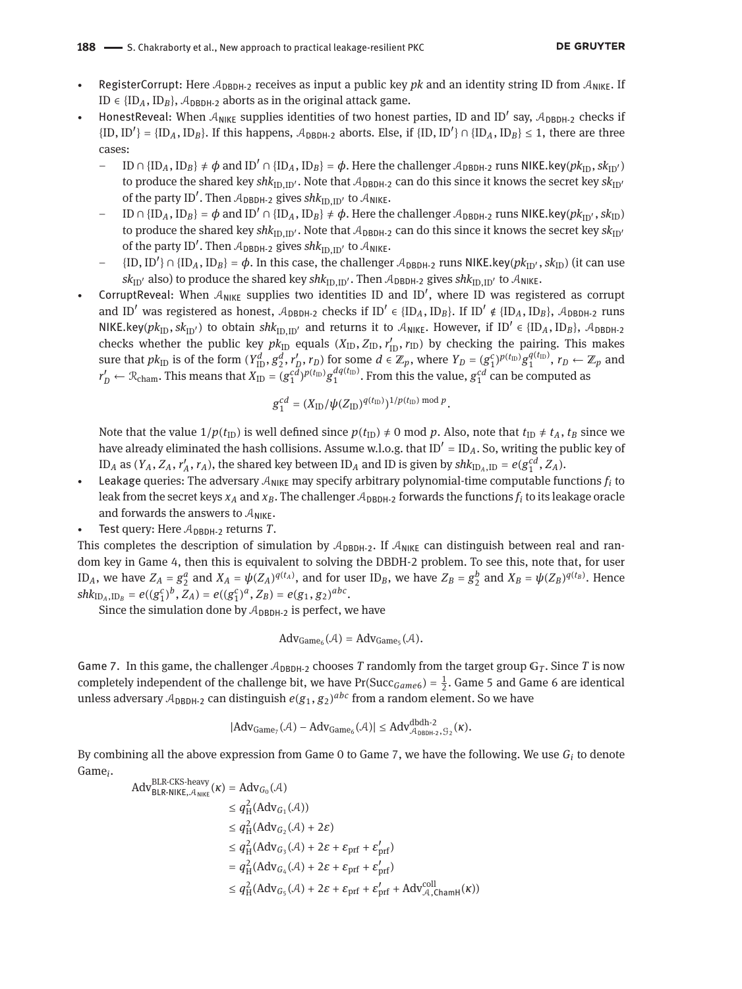- RegisterCorrupt: Here  $A_{DBDH-2}$  receives as input a public key *pk* and an identity string ID from  $A_{NIKE}$ . If ID  $\in$  {ID<sub>A</sub>, ID<sub>B</sub>},  $A_{DBDH-2}$  aborts as in the original attack game.
- HonestReveal: When A<sub>NIKE</sub> supplies identities of two honest parties, ID and ID' say, A<sub>DBDH-2</sub> checks if  ${ID, ID'} = {ID<sub>A</sub>, ID<sub>B</sub>}.$  If this happens,  $A<sub>DBDH-2</sub>$  aborts. Else, if  ${ID, ID'} \cap {ID<sub>A</sub>, ID<sub>B</sub>} \le 1$ , there are three cases:
	- $\vdash$  ID ∩ {ID<sub>A</sub>, ID<sub>B</sub>} ≠  $\phi$  and ID' ∩ {ID<sub>A</sub>, ID<sub>B</sub>} =  $\phi$ . Here the challenger  $\mathcal{A}_{\text{DBDH-2}}$  runs NIKE.key( $pk_{\text{ID}}$ ,  $sk_{\text{ID'}}$ ) to produce the shared key  $shk_{\text{ID,ID'}}$ . Note that  $A_{\text{DBDH-2}}$  can do this since it knows the secret key  $sk_{\text{ID'}}$ of the party ID'. Then  $\mathcal{A}_{\mathsf{DBDH-2}}$  gives  $\mathit{shk}_{\mathsf{ID},\mathsf{ID}'}$  to  $\mathcal{A}_{\mathsf{NIKE}}$ .
	- $ID ∩ {ID<sub>A</sub>, ID<sub>B</sub>} = φ$  and  $ID' ∩ {ID<sub>A</sub>, ID<sub>B</sub>} ≠ φ$ . Here the challenger  $A<sub>DBDH-2</sub>$  runs NIKE.key( $pk<sub>ID'</sub>$ ,  $sk<sub>ID</sub>$ ) to produce the shared key  $shk_{\text{ID.ID'}}$ . Note that  $A_{\text{DBDH-2}}$  can do this since it knows the secret key  $sk_{\text{ID'}}$ of the party ID'. Then  $\mathcal{A}_{\mathsf{DBDH-2}}$  gives  $\mathit{shk}_{\mathsf{ID},\mathsf{ID}'}$  to  $\mathcal{A}_{\mathsf{NIKE}}$ .
	- $-$  {ID, ID'}  $\cap$  {ID<sub>A</sub>, ID<sub>B</sub>} =  $\phi$ . In this case, the challenger  $A_{DBDH-2}$  runs NIKE.key( $pk_{ID'}$ ,  $sk_{ID}$ ) (it can use  $sk_{\text{ID'}}$  also) to produce the shared key *shk*<sub>ID,ID</sub>'. Then  $A_{\text{DBDH-2}}$  gives *shk*<sub>ID,ID</sub>' to  $A_{\text{NIKE}}$ .
- CorruptReveal: When  $A_{NIKE}$  supplies two identities ID and ID', where ID was registered as corrupt and ID' was registered as honest,  $A_{DBDH-2}$  checks if ID'  $\in \{ID_A, ID_B\}$ . If ID'  $\notin \{ID_A, ID_B\}$ ,  $A_{DBDH-2}$  runs NIKE.key( $pk_{ID}$ ,  $sk_{ID'}$ ) to obtain  $shk_{ID,ID'}$  and returns it to  $A_{NIKE}$ . However, if ID'  $\in \{\text{ID}_A, \text{ID}_B\}$ ,  $A_{DBDH-2}$ checks whether the public key  $pk_{\text{ID}}$  equals  $(X_{\text{ID}}, Z_{\text{ID}}, r'_{\text{ID}}, r_{\text{ID}})$  by checking the pairing. This makes sure that  $pk_{\text{ID}}$  is of the form  $(Y_{\text{ID}}^d, g_2^d, r'_D, r_D)$  for some  $d \in \mathbb{Z}_p$ , where  $Y_D = (g_1^c)^{p(t_{\text{ID}})} g_1^{q(t_{\text{ID}})}$ ,  $r_D \leftarrow \mathbb{Z}_p$  and  $r'_D \leftarrow \mathcal{R}_{\text{cham}}$ . This means that  $X_{\text{ID}} = (g_1^{c\bar{d}})^{p(t_{\text{ID}})} g_1^{dq(t_{\text{ID}})}$ . From this the value,  $g_1^{c\bar{d}}$  can be computed as

$$
g_1^{cd} = (X_{\text{ID}}/\psi(Z_{\text{ID}})^{q(t_{\text{ID}})})^{1/p(t_{\text{ID}}) \bmod p}.
$$

Note that the value  $1/p(t_{\text{ID}})$  is well defined since  $p(t_{\text{ID}}) \neq 0$  mod p. Also, note that  $t_{\text{ID}} \neq t_A$ ,  $t_B$  since we have already eliminated the hash collisions. Assume w.l.o.g. that  $ID' = ID<sub>A</sub>$ . So, writing the public key of ID<sub>A</sub> as  $(Y_A, Z_A, r'_A, r_A)$ , the shared key between ID<sub>A</sub> and ID is given by  $shk_{ID_A, ID} = e(g_1^{cd}, Z_A)$ .

- Leakage queries: The adversary  $A_{N1KE}$  may specify arbitrary polynomial-time computable functions  $f_i$  to leak from the secret keys  $x_A$  and  $x_B$ . The challenger  $A_{DBDH-2}$  forwards the functions  $f_i$  to its leakage oracle and forwards the answers to  $A_{NIKF}$ .
- ∙ Test query: Here ADBDH-2 returns *T*.

This completes the description of simulation by  $A_{DBBH-2}$ . If  $A_{NIKE}$  can distinguish between real and random key in Game 4, then this is equivalent to solving the DBDH-2 problem. To see this, note that, for user ID<sub>A</sub>, we have  $Z_A = g_2^a$  and  $X_A = \psi(Z_A)^{q(t_A)}$ , and for user ID<sub>B</sub>, we have  $Z_B = g_2^b$  and  $X_B = \psi(Z_B)^{q(t_B)}$ . Hence  $shk_{\text{ID}_A, \text{ID}_B} = e((g_1^c)^b, Z_A) = e((g_1^c)^a, Z_B) = e(g_1, g_2)^{abc}.$ 

Since the simulation done by  $A_{DBDH-2}$  is perfect, we have

$$
Adv_{Game_6}(\mathcal{A}) = Adv_{Game_5}(\mathcal{A}).
$$

Game 7. In this game, the challenger  $A_{DBDH-2}$  chooses *T* randomly from the target group  $G_T$ . Since *T* is now completely independent of the challenge bit, we have  $Pr(Succ_{Game6}) = \frac{1}{2}$ . Game 5 and Game 6 are identical unless adversary  $\mathcal{A}_{\mathsf{DBDH-2}}$  can distinguish  $e(g_1,g_2)^{abc}$  from a random element. So we have

$$
|Adv_{Game_7}(\mathcal{A}) - Adv_{Game_6}(\mathcal{A})| \leq Adv_{\mathcal{A}_{DBDH-2}, \mathcal{G}_2}(\kappa).
$$

By combining all the above expression from Game 0 to Game 7, we have the following. We use *G<sup>i</sup>* to denote Game*<sup>i</sup>* .

$$
Adv_{BLR\text{-NIKE}, A_{NIKE}}^{BLR\text{-CKS-heavy}}(\kappa) = Adv_{G_0}(\mathcal{A})
$$
  
\n
$$
\leq q_H^2(Adv_{G_1}(\mathcal{A}))
$$
  
\n
$$
\leq q_H^2(Adv_{G_2}(\mathcal{A}) + 2\varepsilon)
$$
  
\n
$$
\leq q_H^2(Adv_{G_3}(\mathcal{A}) + 2\varepsilon + \varepsilon_{prf} + \varepsilon'_{prf})
$$
  
\n
$$
= q_H^2(Adv_{G_4}(\mathcal{A}) + 2\varepsilon + \varepsilon_{prf} + \varepsilon'_{prf})
$$
  
\n
$$
\leq q_H^2(Adv_{G_5}(\mathcal{A}) + 2\varepsilon + \varepsilon_{prf} + \varepsilon'_{prf} + Adv_{\mathcal{A}, \text{ChamH}}^{\text{coll}}(\kappa))
$$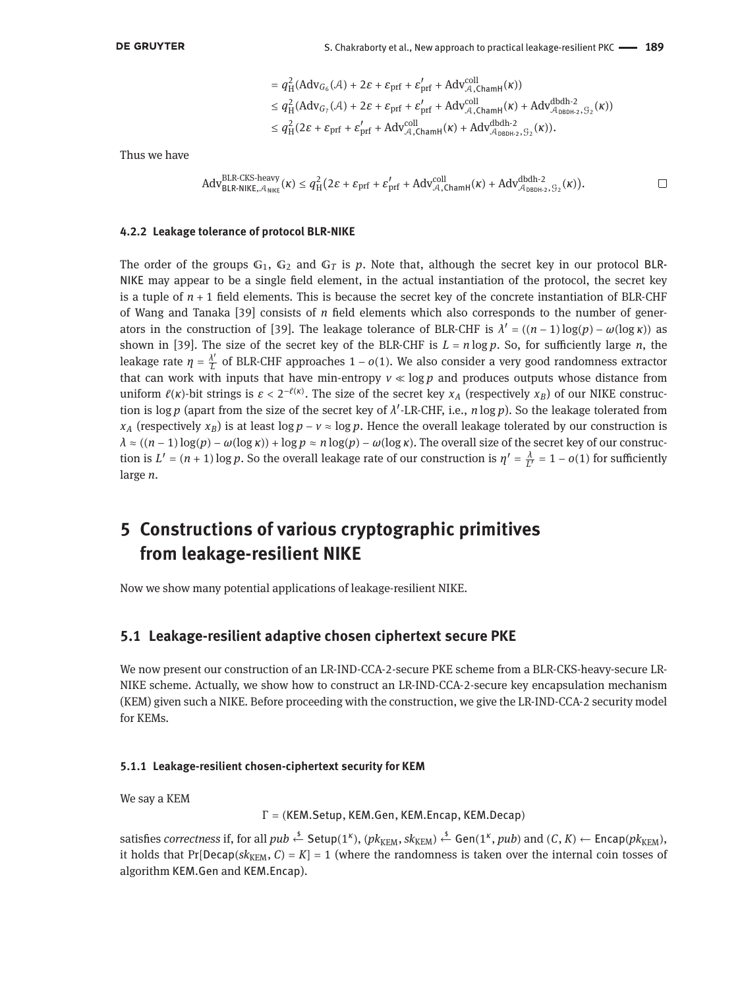$$
= q_{\mathrm{H}}^2(\mathrm{Adv}_{G_6}(\mathcal{A}) + 2\varepsilon + \varepsilon_{\mathrm{prf}} + \varepsilon_{\mathrm{prf}}^{\prime} + \mathrm{Adv}_{\mathcal{A}, \mathrm{ChamH}}^{\mathrm{coll}}(\kappa))
$$
  
\n
$$
\leq q_{\mathrm{H}}^2(\mathrm{Adv}_{G_7}(\mathcal{A}) + 2\varepsilon + \varepsilon_{\mathrm{prf}} + \varepsilon_{\mathrm{prf}}^{\prime} + \mathrm{Adv}_{\mathcal{A}, \mathrm{ChamH}}^{\mathrm{coll}}(\kappa) + \mathrm{Adv}_{\mathcal{A}_{\mathrm{DBDH-2}}, \mathcal{G}_2}^{\mathrm{al}}(\kappa))
$$
  
\n
$$
\leq q_{\mathrm{H}}^2(2\varepsilon + \varepsilon_{\mathrm{prf}} + \varepsilon_{\mathrm{prf}}^{\prime} + \mathrm{Adv}_{\mathcal{A}, \mathrm{ChamH}}^{\mathrm{coll}}(\kappa) + \mathrm{Adv}_{\mathcal{A}_{\mathrm{DBDH-2}}, \mathcal{G}_2}^{\mathrm{albdh-2}}(\kappa)).
$$

Thus we have

$$
Adv_{BLR\text{-NIKE}, \mathcal{A}_{NIKE}}^{BLR\text{-CKS-heavy}}(\kappa) \leq q_H^2 (2\varepsilon + \varepsilon_{\text{prf}} + \varepsilon_{\text{prf}}' + Adv_{\mathcal{A}, \text{ChamH}}^{coll}(\kappa) + Adv_{\mathcal{A}_{\text{DBDH-2}}, \mathcal{G}_2}^{dbdh-2}(\kappa)).
$$

#### **4.2.2 Leakage tolerance of protocol BLR-NIKE**

The order of the groups  $G_1$ ,  $G_2$  and  $G_T$  is p. Note that, although the secret key in our protocol BLR-NIKE may appear to be a single field element, in the actual instantiation of the protocol, the secret key is a tuple of  $n + 1$  field elements. This is because the secret key of the concrete instantiation of BLR-CHF of Wang and Tanaka [39] consists of *n* field elements which also corresponds to the number of generators in the construction of [39]. The leakage tolerance of BLR-CHF is  $\lambda' = ((n-1)\log(p) - \omega(\log \kappa))$  as shown in [39]. The size of the secret key of the BLR-CHF is  $L = n \log p$ . So, for sufficiently large *n*, the leakage rate  $\eta = \frac{\lambda'}{L}$ *L* of BLR-CHF approaches 1 − *o*(1). We also consider a very good randomness extractor that can work with inputs that have min-entropy  $v \ll \log p$  and produces outputs whose distance from uniform  $\ell(\kappa)$ -bit strings is  $\varepsilon < 2^{-\ell(\kappa)}$ . The size of the secret key  $x_A$  (respectively  $x_B$ ) of our NIKE construction is log *p* (apart from the size of the secret key of  $λ'$ -LR-CHF, i.e., *n* log *p*). So the leakage tolerated from *x*<sub>*A*</sub> (respectively *x<sub>B</sub>*) is at least log *p* − *v* ≈ log *p*. Hence the overall leakage tolerated by our construction is  $\lambda \approx ((n-1)\log(p) - \omega(\log k)) + \log p \approx n \log(p) - \omega(\log k)$ . The overall size of the secret key of our construction is  $L' = (n + 1) \log p$ . So the overall leakage rate of our construction is  $\eta' = \frac{\lambda}{L'} = 1 - o(1)$  for sufficiently large *n*.

## **5 Constructions of various cryptographic primitives from leakage-resilient NIKE**

Now we show many potential applications of leakage-resilient NIKE.

### **5.1 Leakage-resilient adaptive chosen ciphertext secure PKE**

We now present our construction of an LR-IND-CCA-2-secure PKE scheme from a BLR-CKS-heavy-secure LR-NIKE scheme. Actually, we show how to construct an LR-IND-CCA-2-secure key encapsulation mechanism (KEM) given such a NIKE. Before proceeding with the construction, we give the LR-IND-CCA-2 security model for KEMs.

#### **5.1.1 Leakage-resilient chosen-ciphertext security for KEM**

We say a KEM

 $\Gamma$  = (KEM.Setup, KEM.Gen, KEM.Encap, KEM.Decap)

 $s$ atisfies *correctness* if, for all  $pub \stackrel{\$}{\leftarrow} \mathsf{Setup}(1^\kappa),$   $(pk_\text{KEM}, sk_\text{KEM}) \stackrel{\$}{\leftarrow} \mathsf{Gen}(1^\kappa, pub)$  and  $(C, K) \leftarrow \mathsf{Encap}(pk_\text{KEM}),$ it holds that Pr[Decap( $sk_{KEM}$ ,  $C$ ) =  $K$ ] = 1 (where the randomness is taken over the internal coin tosses of algorithm KEM.Gen and KEM.Encap).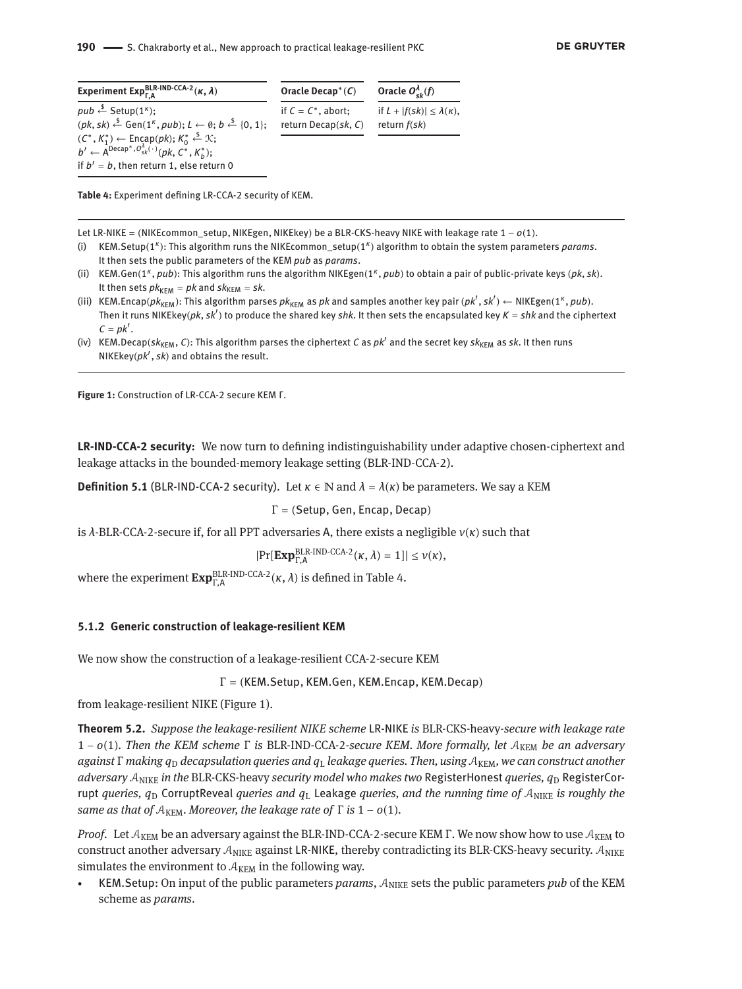| Experiment $Exp_{r_A}^{BLR-IND-CCA-2}$ ( $\kappa$ , $\lambda$ )                                                                                                                 | Oracle Decap <sup>*</sup> $(C)$                  | Oracle $O_{c\nu}^{\lambda}(f)$                                              |
|---------------------------------------------------------------------------------------------------------------------------------------------------------------------------------|--------------------------------------------------|-----------------------------------------------------------------------------|
| pub $\xi$ Setup(1 <sup><math>\kappa</math></sup> );<br>$(pk, sk) \stackrel{\$}{\leftarrow} Gen(1^{\kappa}, pub); L \leftarrow \emptyset; b \stackrel{\$}{\leftarrow} \{0, 1\};$ | if $C = C^*$ , abort;<br>return Decap( $sk, C$ ) | if $L +  f(\mathsf{S}k)  \leq \lambda(\kappa)$ ,<br>return $f(\mathsf{sk})$ |
| $(C^*, K_1^*) \leftarrow$ Encap(pk); $K_0^* \stackrel{\$}{\leftarrow} \mathcal{K}$ ;<br>$b' \leftarrow A^{\text{Decap}^*, O_{sk}^{\lambda}(\cdot)} (pk, C^*, K_h^*)$ ;          |                                                  |                                                                             |
| if $b' = b$ , then return 1, else return 0                                                                                                                                      |                                                  |                                                                             |

**Table 4:** Experiment defining LR-CCA-2 security of KEM.

Let LR-NIKE = (NIKEcommon\_setup, NIKEgen, NIKEkey) be a BLR-CKS-heavy NIKE with leakage rate 1 − *o*(1).

- (i) KEM.Setup(1<sup>*κ*</sup>): This algorithm runs the NIKEcommon\_setup(1<sup>*κ*</sup>) algorithm to obtain the system parameters *params*. It then sets the public parameters of the KEM *pub* as *params*.
- (ii) KEM.Gen(1 *κ* , *pub*): This algorithm runs the algorithm NIKEgen(1 *κ* , *pub*) to obtain a pair of public-private keys (*pk*, *sk*). It then sets  $pk_{KEM} = pk$  and  $sk_{KEM} = sk$ .
- (iii) KEM.Encap(*pk<sub>KEM</sub>): This algorithm parses pk<sub>KEM</sub> as <i>pk* and samples another key pair (*pk<sup>'</sup>*, *sk<sup>'</sup>*) ← NIKEgen(1<sup>κ</sup>, *pub*). Then it runs NIKEkey(*pk*, *sk* ) to produce the shared key *shk*. It then sets the encapsulated key *K* = *shk* and the ciphertext  $C = pk'$ .
- (iv) KEM.Decap(s $k_{KEM}$ , C): This algorithm parses the ciphertext *C* as pk<sup>'</sup> and the secret key sk<sub>KEM</sub> as sk. It then runs NIKEkey(*pk* , *sk*) and obtains the result.

**Figure 1:** Construction of LR-CCA-2 secure KEM Γ.

**LR-IND-CCA-2 security:** We now turn to defining indistinguishability under adaptive chosen-ciphertext and leakage attacks in the bounded-memory leakage setting (BLR-IND-CCA-2).

**Definition 5.1** (BLR-IND-CCA-2 security). Let  $\kappa \in \mathbb{N}$  and  $\lambda = \lambda(\kappa)$  be parameters. We say a KEM

Γ = (Setup, Gen, Encap, Decap)

is *λ*-BLR-CCA-2-secure if, for all PPT adversaries A, there exists a negligible *ν*(*κ*) such that

$$
|\Pr[\mathbf{Exp}_{\Gamma,\mathsf{A}}^{\text{BLR-IND-CCA-2}}(\kappa,\lambda)=1]| \leq \nu(\kappa),
$$

where the experiment  $\mathbf{Exp}_{\Gamma,\mathsf{A}}^{\mathrm{BLR\text{-}IND}\text{-}\mathrm{CCA}\text{-}2}(\kappa,\lambda)$  is defined in Table 4.

#### **5.1.2 Generic construction of leakage-resilient KEM**

We now show the construction of a leakage-resilient CCA-2-secure KEM

 $\Gamma$  = (KEM.Setup, KEM.Gen, KEM.Encap, KEM.Decap)

from leakage-resilient NIKE (Figure 1).

**Theorem 5.2.** *Suppose the leakage-resilient NIKE scheme* LR-NIKE *is* BLR-CKS-heavy*-secure with leakage rate* 1 − *o*(1)*. Then the KEM scheme* Γ *is* BLR-IND-CCA-2*-secure KEM. More formally, let* AKEM *be an adversary against* Γ *making q*<sup>D</sup> *decapsulation queries and q*<sup>L</sup> *leakage queries. Then, using* AKEM*, we can construct another adversary* ANIKE *in the* BLR-CKS-heavy *security model who makes two* RegisterHonest *queries, q*<sup>D</sup> RegisterCorrupt *queries, q*<sup>D</sup> CorruptReveal *queries and q*<sup>L</sup> Leakage *queries, and the running time of* ANIKE *is roughly the same as that of*  $A_{\text{KEM}}$ *. Moreover, the leakage rate of*  $\Gamma$  *is* 1 – *o*(1)*.* 

*Proof.* Let  $A_{KEM}$  be an adversary against the BLR-IND-CCA-2-secure KEM Γ. We now show how to use  $A_{KEM}$  to construct another adversary  $A_{\text{NIKE}}$  against LR-NIKE, thereby contradicting its BLR-CKS-heavy security.  $A_{\text{NIKE}}$ simulates the environment to  $A_{KEM}$  in the following way.

∙ KEM.Setup: On input of the public parameters *params*, ANIKE sets the public parameters *pub* of the KEM scheme as *params*.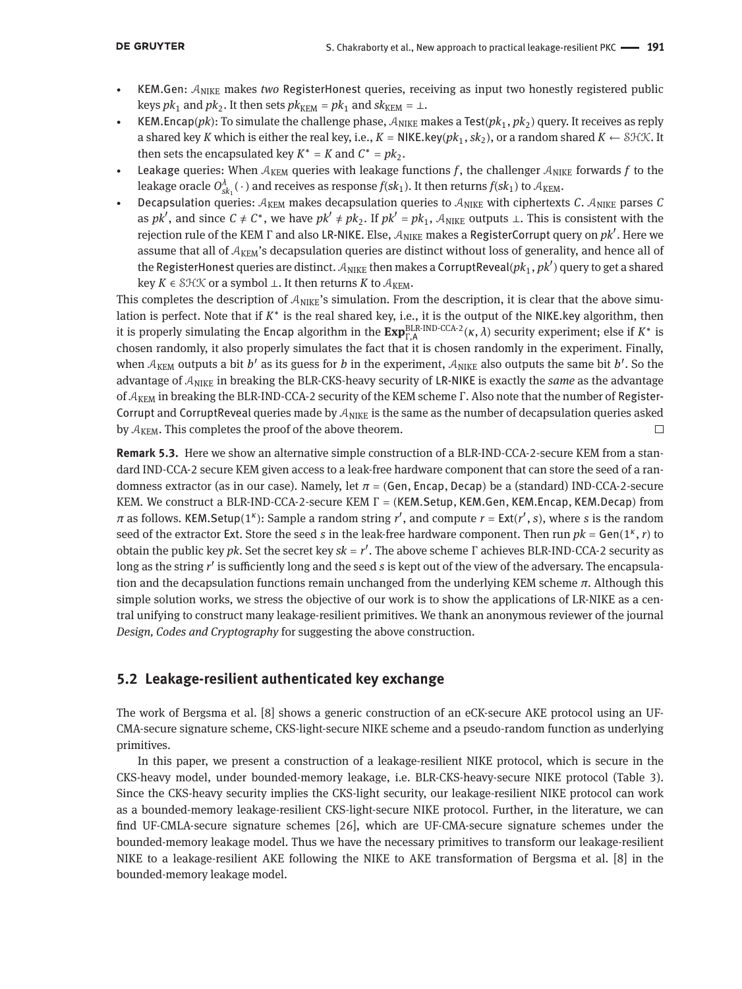- ∙ KEM.Gen: ANIKE makes *two* RegisterHonest queries, receiving as input two honestly registered public keys  $pk_1$  and  $pk_2$ . It then sets  $pk_{\text{KEM}} = pk_1$  and  $sk_{\text{KEM}} = \perp$ .
- ∙ KEM.Encap(*pk*): To simulate the challenge phase, ANIKE makes a Test(*pk*<sup>1</sup> , *pk*<sup>2</sup> ) query. It receives as reply a shared key *K* which is either the real key, i.e.,  $K =$  NIKE.key( $pk_1, sk_2$ ), or a random shared  $K \leftarrow$  SHK. It then sets the encapsulated key  $K^* = K$  and  $C^* = pk_2$ .
- Leakage queries: When  $A_{\text{KEM}}$  queries with leakage functions *f*, the challenger  $A_{\text{NIKE}}$  forwards *f* to the leakage oracle  $O_{sk_1}^{\lambda}(\,\cdot\,)$  and receives as response  $f(sk_1).$  It then returns  $f(sk_1)$  to  $\mathcal{A}_{\mathrm{KEM}}.$
- ∙ Decapsulation queries: AKEM makes decapsulation queries to ANIKE with ciphertexts *C*. ANIKE parses *C* as  $pk'$ , and since  $C \neq C^*$ , we have  $pk' \neq pk_2$ . If  $pk' = pk_1$ ,  $A_{NIKE}$  outputs ⊥. This is consistent with the rejection rule of the KEM  $\Gamma$  and also LR-NIKE. Else,  ${\cal A}_{\rm NIKE}$  makes a RegisterCorrupt query on  $pk'.$  Here we assume that all of  $A_{KEM}$ 's decapsulation queries are distinct without loss of generality, and hence all of the RegisterHonest queries are distinct.  $\mathcal{A}_{\rm NIKE}$  then makes a CorruptReveal( $pk_1, pk'$ ) query to get a shared key *K* ∈ *S*H $K$  or a symbol  $\bot$ . It then returns *K* to  $A_{KEM}$ .

This completes the description of  $A_{NIKE}$ 's simulation. From the description, it is clear that the above simulation is perfect. Note that if *K*<sup>\*</sup> is the real shared key, i.e., it is the output of the NIKE.key algorithm, then it is properly simulating the Encap algorithm in the  $\textbf{Exp}_{\Gamma,A}^{\text{BLR-IND-CCA-2}}(\kappa,\lambda)$  security experiment; else if  $K^*$  is chosen randomly, it also properly simulates the fact that it is chosen randomly in the experiment. Finally, when  $\mathcal{A}_{\rm KEM}$  outputs a bit  $b'$  as its guess for  $b$  in the experiment,  $\mathcal{A}_{\rm NIKE}$  also outputs the same bit  $b'$ . So the advantage of ANIKE in breaking the BLR-CKS-heavy security of LR-NIKE is exactly the *same* as the advantage of AKEM in breaking the BLR-IND-CCA-2 security of the KEM scheme Γ. Also note that the number of Register-Corrupt and CorruptReveal queries made by  $A_{NIKE}$  is the same as the number of decapsulation queries asked by  $A_{KEM}$ . This completes the proof of the above theorem.  $\Box$ 

**Remark 5.3.** Here we show an alternative simple construction of a BLR-IND-CCA-2-secure KEM from a standard IND-CCA-2 secure KEM given access to a leak-free hardware component that can store the seed of a randomness extractor (as in our case). Namely, let *π* = (Gen, Encap, Decap) be a (standard) IND-CCA-2-secure KEM. We construct a BLR-IND-CCA-2-secure KEM  $\Gamma$  = (KEM.Setup, KEM.Gen, KEM.Encap, KEM.Decap) from *π* as follows. KEM.Setup(1<sup>*κ*</sup>): Sample a random string *r'*, and compute *r* = Ext(*r'*, *s*), where *s* is the random seed of the extractor Ext. Store the seed *s* in the leak-free hardware component. Then run *pk* = Gen(1 *κ* , *r*) to obtain the public key *pk*. Set the secret key *sk* = *r* . The above scheme Γ achieves BLR-IND-CCA-2 security as long as the string r' is sufficiently long and the seed *s* is kept out of the view of the adversary. The encapsulation and the decapsulation functions remain unchanged from the underlying KEM scheme *π*. Although this simple solution works, we stress the objective of our work is to show the applications of LR-NIKE as a central unifying to construct many leakage-resilient primitives. We thank an anonymous reviewer of the journal *Design, Codes and Cryptography* for suggesting the above construction.

## **5.2 Leakage-resilient authenticated key exchange**

The work of Bergsma et al. [8] shows a generic construction of an eCK-secure AKE protocol using an UF-CMA-secure signature scheme, CKS-light-secure NIKE scheme and a pseudo-random function as underlying primitives.

In this paper, we present a construction of a leakage-resilient NIKE protocol, which is secure in the CKS-heavy model, under bounded-memory leakage, i.e. BLR-CKS-heavy-secure NIKE protocol (Table 3). Since the CKS-heavy security implies the CKS-light security, our leakage-resilient NIKE protocol can work as a bounded-memory leakage-resilient CKS-light-secure NIKE protocol. Further, in the literature, we can find UF-CMLA-secure signature schemes [26], which are UF-CMA-secure signature schemes under the bounded-memory leakage model. Thus we have the necessary primitives to transform our leakage-resilient NIKE to a leakage-resilient AKE following the NIKE to AKE transformation of Bergsma et al. [8] in the bounded-memory leakage model.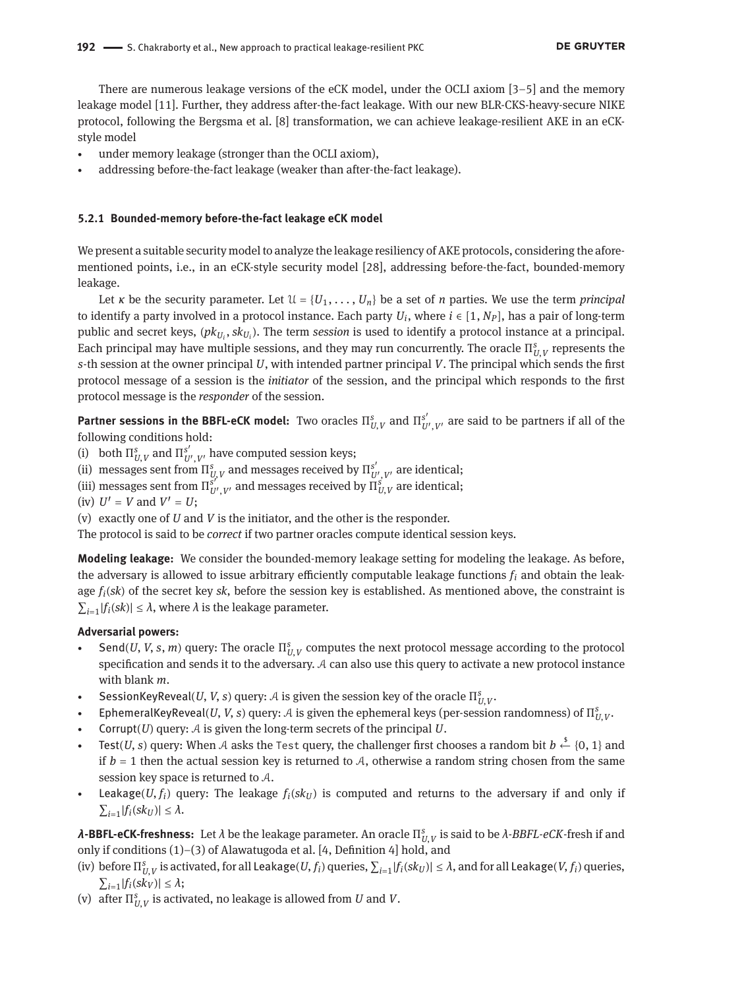There are numerous leakage versions of the eCK model, under the OCLI axiom  $[3-5]$  and the memory leakage model [11]. Further, they address after-the-fact leakage. With our new BLR-CKS-heavy-secure NIKE protocol, following the Bergsma et al. [8] transformation, we can achieve leakage-resilient AKE in an eCKstyle model

- ∙ under memory leakage (stronger than the OCLI axiom),
- ∙ addressing before-the-fact leakage (weaker than after-the-fact leakage).

#### **5.2.1 Bounded-memory before-the-fact leakage eCK model**

We present a suitable security model to analyze the leakage resiliency of AKE protocols, considering the aforementioned points, i.e., in an eCK-style security model [28], addressing before-the-fact, bounded-memory leakage.

Let *κ* be the security parameter. Let  $\mathcal{U} = \{U_1, \ldots, U_n\}$  be a set of *n* parties. We use the term *principal* to identify a party involved in a protocol instance. Each party *U<sup>i</sup>* , where *i* ∈ [1, *NP*], has a pair of long-term public and secret keys, ( $pk_{U_i}, sk_{U_i}$ ). The term *session* is used to identify a protocol instance at a principal. Each principal may have multiple sessions, and they may run concurrently. The oracle  $\Pi_{U,V}^s$  represents the *s*-th session at the owner principal *U*, with intended partner principal *V*. The principal which sends the first protocol message of a session is the *initiator* of the session, and the principal which responds to the first protocol message is the *responder* of the session.

**Partner sessions in the BBFL-eCK model:** Two oracles  $\Pi_{U,V}^s$  and  $\Pi_{U',V'}^{s'}$  are said to be partners if all of the following conditions hold:

- (i) both  $\Pi_{U,V}^s$  and  $\Pi_{U',V'}^{s'}$  have computed session keys;
- (ii) messages sent from  $\Pi_{U,V}^s$  and messages received by  $\Pi_{U',V'}^{s'}$  are identical;
- (iii) messages sent from  $\Pi_{U',V'}^{S'}$  and messages received by  $\Pi_{U,V}^{S'}$  are identical;

 $(iv) U' = V \text{ and } V' = U;$ 

(v) exactly one of *U* and *V* is the initiator, and the other is the responder.

The protocol is said to be *correct* if two partner oracles compute identical session keys.

**Modeling leakage:** We consider the bounded-memory leakage setting for modeling the leakage. As before, the adversary is allowed to issue arbitrary efficiently computable leakage functions  $f_i$  and obtain the leakage  $f_i(s)$  of the secret key  $sk$ , before the session key is established. As mentioned above, the constraint is  $\sum_{i=1} |f_i(s k)| \leq \lambda$ , where  $\lambda$  is the leakage parameter.

#### **Adversarial powers:**

- Send(*U*, *V*, *s*, *m*) query: The oracle Π<sup>*s*</sup><sub>*U*,*V*</sub> computes the next protocol message according to the protocol specification and sends it to the adversary. A can also use this query to activate a new protocol instance with blank *m*.
- ∙ SessionKeyReveal(*U*, *V*, *s*) query: A is given the session key of the oracle Π *s U*,*V* .
- **•** EphemeralKeyReveal(*U*, *V*, *s*) query: A is given the ephemeral keys (per-session randomness) of  $\Pi_{U,V}^{s}$ .
- ∙ Corrupt(*U*) query: A is given the long-term secrets of the principal *U*.
- Test(*U*, *s*) query: When A asks the Test query, the challenger first chooses a random bit  $b \stackrel{s}{\leftarrow} \{0, 1\}$  and if  $b = 1$  then the actual session key is returned to A, otherwise a random string chosen from the same session key space is returned to A.
- Leakage( $U$ ,  $f_i$ ) query: The leakage  $f_i$ ( $s k_l$ ) is computed and returns to the adversary if and only if  $\sum_{i=1} |f_i(s k_U)| \leq \lambda$ .

*λ***-BBFL-eCK-freshness:** Let *λ* be the leakage parameter. An oracle  $\Pi_{U,V}^s$  is said to be *λ-BBFL-eCK-*fresh if and only if conditions (1)–(3) of Alawatugoda et al. [4, Definition 4] hold, and

- (iv) before  $\Pi^s_{U,V}$  is activated, for all Leakage(  $U,f_i)$  queries,  $\sum_{i=1}|f_i(sk_U)|\leq \lambda$ , and for all Leakage(  $V,f_i)$  queries,  $\sum_{i=1} |f_i(s k_V)| \leq \lambda;$
- (v) after  $\Pi_{U,V}^s$  is activated, no leakage is allowed from  $U$  and  $V$ .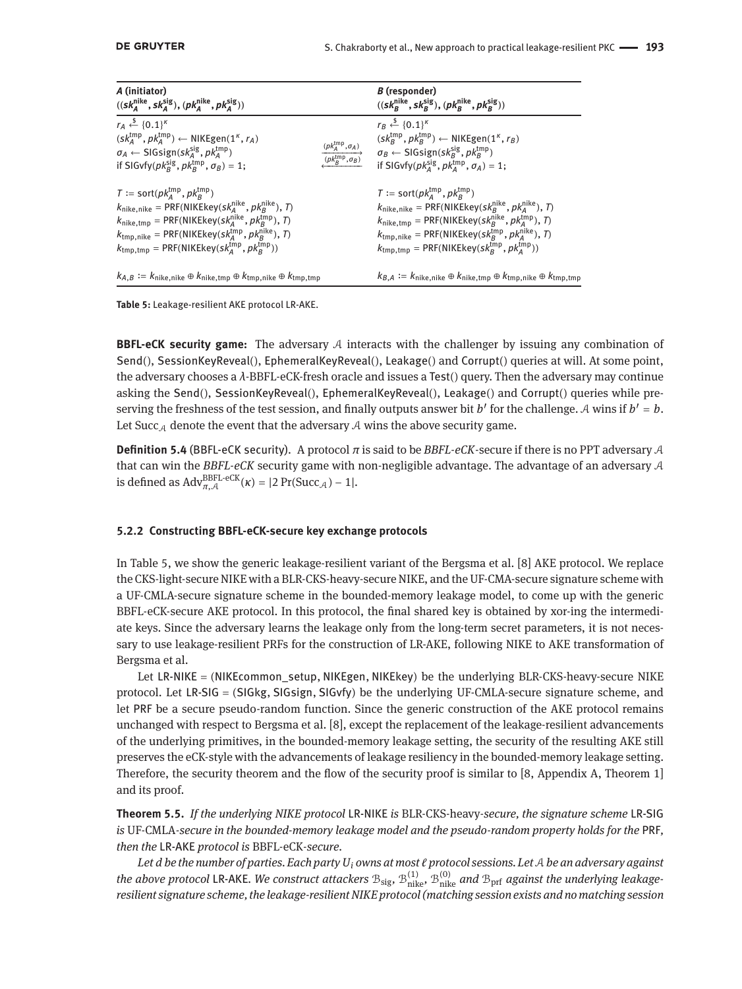| A (initiator)                                                                                                                                                                                                                                                                                                                                                 | <b>B</b> (responder)                                                                                                                                                                                                                                                      |
|---------------------------------------------------------------------------------------------------------------------------------------------------------------------------------------------------------------------------------------------------------------------------------------------------------------------------------------------------------------|---------------------------------------------------------------------------------------------------------------------------------------------------------------------------------------------------------------------------------------------------------------------------|
| $((sk_a^{\text{nike}}, sk_a^{\text{sig}}), (pk_a^{\text{nike}}, pk_a^{\text{sig}}))$                                                                                                                                                                                                                                                                          | $((sk_{B}^{nike}, sk_{B}^{sig}), (pk_{B}^{nike}, pk_{B}^{sig}))$                                                                                                                                                                                                          |
| $r_A \stackrel{\$}{\leftarrow} \{0.1\}^K$<br>$(s k_A^{\text{tmp}}, p k_A^{\text{tmp}}) \leftarrow \text{NIKEgen}(1^k, r_A)$<br>$\frac{(pk_A^{\text{tmp}},\sigma_A)}{(pk_B^{\text{tmp}},\sigma_B)}$<br>$\sigma_A \leftarrow$ SIGsign(s $k_A^{\text{sig}}, \rho k_A^{\text{tmp}}$ )<br>if SIGvfy( $pk^{\text{sig}}_B$ , $pk^{\text{tmp}}_B$ , $\sigma_B$ ) = 1; | $r_R \xleftarrow{5} \{0,1\}^K$<br>$(s k_R^{\text{tmp}}, p k_R^{\text{tmp}}) \leftarrow \text{NIKEgen}(1^{\kappa}, r_B)$<br>$\sigma_B \leftarrow$ SIGsign(s $k_B^{\text{sig}}$ , $pk_B^{\text{tmp}}$ )<br>if SIGvfy( $pk_{A}^{sig}$ , $pk_{A}^{tmp}$ , $\sigma_{A}$ ) = 1; |
| $T := \mathsf{sort}(pk_A^{\mathsf{tmp}}, pk_B^{\mathsf{tmp}})$                                                                                                                                                                                                                                                                                                | $T := \mathsf{sort}(pk^{\mathsf{tmp}}_A, pk^{\mathsf{tmp}}_B)$                                                                                                                                                                                                            |
| $k_{\text{nike},\text{nike}} = \text{PRF}(\text{NIKEkey}(sk_A^{\text{nike}}, pk_B^{\text{nike}}), T)$                                                                                                                                                                                                                                                         | $k_{\text{nike},\text{nike}} = \text{PRF}(\text{NIKEkey}(sk_{R}^{\text{nike}}, pk_{A}^{\text{nike}}), T)$                                                                                                                                                                 |
| $k_{\text{nike,tmp}} = \text{PRF(NIKEkey}(sk_A^{\text{nike}}, pk_B^{\text{tmp}}), T)$                                                                                                                                                                                                                                                                         | $k_{\text{nike,tmp}} = \text{PRF}(\text{NIKEkey}(sk_B^{\text{nike}}, pk_A^{\text{tmp}}), T)$                                                                                                                                                                              |
| $k_{\text{tmp,nike}} = \text{PRF(NIKEkey}(sk_A^{\text{tmp}}, pk_B^{\text{nike}}), T)$                                                                                                                                                                                                                                                                         | $k_{\text{tmp,nike}} = \text{PRF}(\text{NIKEkey}(sk_R^{\text{tmp}}, pk_A^{\text{nike}}), T)$                                                                                                                                                                              |
| $k_{\text{tmp,tmp}} = \text{PRF(NIKEkey}(sk_A^{\text{tmp}}, pk_B^{\text{tmp}}))$                                                                                                                                                                                                                                                                              | $k_{\text{tmp,tmp}} = \text{PRF(NIKEkey}(sk_B^{\text{tmp}}, pk_A^{\text{tmp}}))$                                                                                                                                                                                          |
| $k_{A,B} := k_{\text{nike,nike}} \oplus k_{\text{nike,tmp}} \oplus k_{\text{tmp,nike}} \oplus k_{\text{tmp,tmp}}$                                                                                                                                                                                                                                             | $k_{B,A}$ := $k_{\text{nike,nike}} \oplus k_{\text{nike,tmp}} \oplus k_{\text{tmp,nike}} \oplus k_{\text{tmp,tmp}}$                                                                                                                                                       |

**Table 5:** Leakage-resilient AKE protocol LR-AKE.

**BBFL-eCK security game:** The adversary A interacts with the challenger by issuing any combination of Send(), SessionKeyReveal(), EphemeralKeyReveal(), Leakage() and Corrupt() queries at will. At some point, the adversary chooses a *λ*-BBFL-eCK-fresh oracle and issues a Test() query. Then the adversary may continue asking the Send(), SessionKeyReveal(), EphemeralKeyReveal(), Leakage() and Corrupt() queries while preserving the freshness of the test session, and finally outputs answer bit  $b'$  for the challenge. A wins if  $b' = b$ . Let Succ<sub>A</sub> denote the event that the adversary A wins the above security game.

**Definition 5.4** (BBFL-eCK security). A protocol *π* is said to be *BBFL-eCK*-secure if there is no PPT adversary A that can win the *BBFL-eCK* security game with non-negligible advantage. The advantage of an adversary A is defined as  $\text{Adv}_{\pi,\mathcal{A}}^{\text{BBFL-eCK}}(\kappa) = |2 \text{Pr}(\text{Succ}_{\mathcal{A}}) - 1|.$ 

#### **5.2.2 Constructing BBFL-eCK-secure key exchange protocols**

In Table 5, we show the generic leakage-resilient variant of the Bergsma et al. [8] AKE protocol. We replace the CKS-light-secure NIKE with a BLR-CKS-heavy-secure NIKE, and the UF-CMA-secure signature scheme with a UF-CMLA-secure signature scheme in the bounded-memory leakage model, to come up with the generic BBFL-eCK-secure AKE protocol. In this protocol, the final shared key is obtained by xor-ing the intermediate keys. Since the adversary learns the leakage only from the long-term secret parameters, it is not necessary to use leakage-resilient PRFs for the construction of LR-AKE, following NIKE to AKE transformation of Bergsma et al.

Let LR-NIKE = (NIKEcommon\_setup, NIKEgen, NIKEkey) be the underlying BLR-CKS-heavy-secure NIKE protocol. Let LR-SIG = (SIGkg, SIGsign, SIGvfy) be the underlying UF-CMLA-secure signature scheme, and let PRF be a secure pseudo-random function. Since the generic construction of the AKE protocol remains unchanged with respect to Bergsma et al. [8], except the replacement of the leakage-resilient advancements of the underlying primitives, in the bounded-memory leakage setting, the security of the resulting AKE still preserves the eCK-style with the advancements of leakage resiliency in the bounded-memory leakage setting. Therefore, the security theorem and the flow of the security proof is similar to [8, Appendix A, Theorem 1] and its proof.

**Theorem 5.5.** *If the underlying NIKE protocol* LR-NIKE *is* BLR-CKS-heavy*-secure, the signature scheme* LR-SIG *is* UF-CMLA*-secure in the bounded-memory leakage model and the pseudo-random property holds for the* PRF*, then the* LR-AKE *protocol is* BBFL-eCK*-secure.*

*Let d be the number of parties. Each party U<sup>i</sup> owns at most* ℓ *protocol sessions. Let*A*be an adversary against* the above protocol LR-AKE. We construct attackers  $\mathcal{B}_{\rm sig}$ ,  $\mathcal{B}_{\rm nike}^{(1)}$ ,  $\mathcal{B}_{\rm nike}^{(0)}$  and  $\mathcal{B}_{\rm prf}$  against the underlying leakage*resilient signature scheme, the leakage-resilient NIKE protocol (matching session exists and no matching session*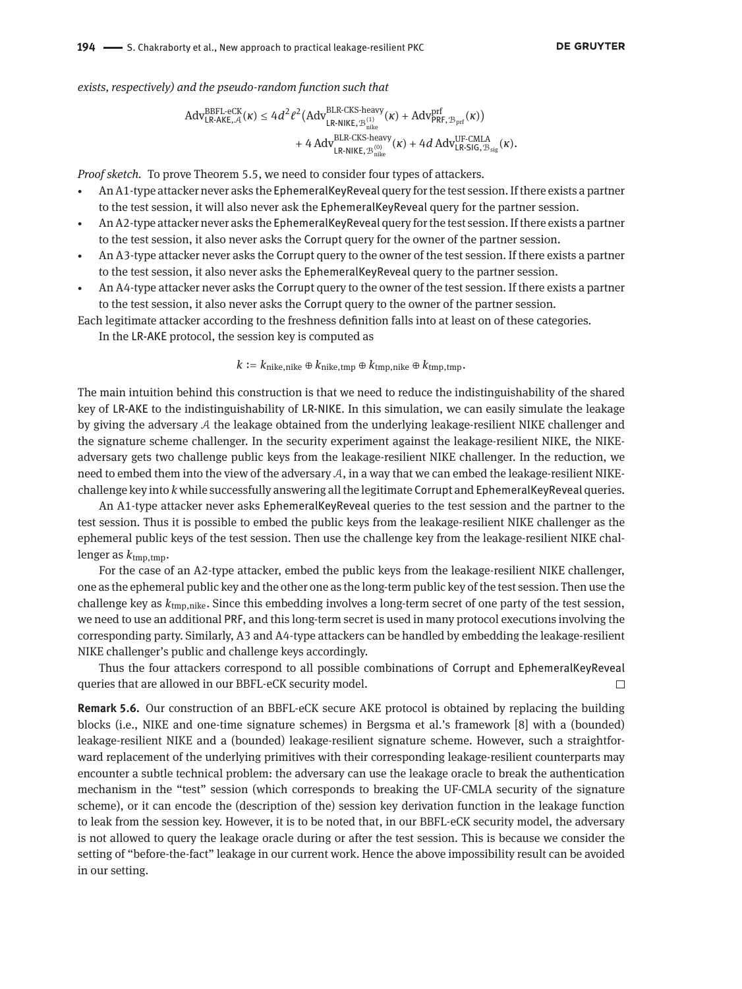*exists, respectively) and the pseudo-random function such that*

$$
\begin{aligned} \text{Adv}^{\text{BBFL-eCK}}_{\text{LR-AKE},\mathcal{A}}(\kappa) &\leq 4d^2\ell^2 \big(\text{Adv}^{\text{BLR-CKS-heavy}}_{\text{LR-NIKE},\mathcal{B}^{\text{(1)}}_{\text{nike}}}(\kappa) + \text{Adv}^{\text{prf}}_{\text{PRF},\mathcal{B}_{\text{prf}}}(\kappa)\big) \\ &+ 4 \text{ Adv}^{\text{BLR-CKS-heavy}}_{\text{LR-NIKE},\mathcal{B}^{\text{(0)}}_{\text{nike}}}(\kappa) + 4d \text{ Adv}^{\text{UF-CMLA}}_{\text{LR-SIG},\mathcal{B}_{\text{sig}}}(\kappa). \end{aligned}
$$

*Proof sketch.* To prove Theorem 5.5, we need to consider four types of attackers.

- ∙ An A1-type attacker never asks the EphemeralKeyReveal query for the test session. If there exists a partner to the test session, it will also never ask the EphemeralKeyReveal query for the partner session.
- ∙ An A2-type attacker never asks the EphemeralKeyReveal query for the test session. If there exists a partner to the test session, it also never asks the Corrupt query for the owner of the partner session.
- ∙ An A3-type attacker never asks the Corrupt query to the owner of the test session. If there exists a partner to the test session, it also never asks the EphemeralKeyReveal query to the partner session.
- ∙ An A4-type attacker never asks the Corrupt query to the owner of the test session. If there exists a partner to the test session, it also never asks the Corrupt query to the owner of the partner session.
- Each legitimate attacker according to the freshness definition falls into at least on of these categories.

In the LR-AKE protocol, the session key is computed as

#### $k := k_{\text{nike},\text{nike}} \oplus k_{\text{nike},\text{tmp}} \oplus k_{\text{tmp},\text{tmp}}.$

The main intuition behind this construction is that we need to reduce the indistinguishability of the shared key of LR-AKE to the indistinguishability of LR-NIKE. In this simulation, we can easily simulate the leakage by giving the adversary A the leakage obtained from the underlying leakage-resilient NIKE challenger and the signature scheme challenger. In the security experiment against the leakage-resilient NIKE, the NIKEadversary gets two challenge public keys from the leakage-resilient NIKE challenger. In the reduction, we need to embed them into the view of the adversary  $A$ , in a way that we can embed the leakage-resilient NIKEchallenge key into *k* while successfully answering all the legitimate Corrupt and EphemeralKeyReveal queries.

An A1-type attacker never asks EphemeralKeyReveal queries to the test session and the partner to the test session. Thus it is possible to embed the public keys from the leakage-resilient NIKE challenger as the ephemeral public keys of the test session. Then use the challenge key from the leakage-resilient NIKE challenger as  $k_{\text{tmp,tmp}}$ .

For the case of an A2-type attacker, embed the public keys from the leakage-resilient NIKE challenger, one as the ephemeral public key and the other one as the long-term public key of the test session. Then use the challenge key as *k*tmp,nike. Since this embedding involves a long-term secret of one party of the test session, we need to use an additional PRF, and this long-term secret is used in many protocol executions involving the corresponding party. Similarly, A3 and A4-type attackers can be handled by embedding the leakage-resilient NIKE challenger's public and challenge keys accordingly.

Thus the four attackers correspond to all possible combinations of Corrupt and EphemeralKeyReveal queries that are allowed in our BBFL-eCK security model.  $\Box$ 

**Remark 5.6.** Our construction of an BBFL-eCK secure AKE protocol is obtained by replacing the building blocks (i.e., NIKE and one-time signature schemes) in Bergsma et al.'s framework [8] with a (bounded) leakage-resilient NIKE and a (bounded) leakage-resilient signature scheme. However, such a straightforward replacement of the underlying primitives with their corresponding leakage-resilient counterparts may encounter a subtle technical problem: the adversary can use the leakage oracle to break the authentication mechanism in the "test" session (which corresponds to breaking the UF-CMLA security of the signature scheme), or it can encode the (description of the) session key derivation function in the leakage function to leak from the session key. However, it is to be noted that, in our BBFL-eCK security model, the adversary is not allowed to query the leakage oracle during or after the test session. This is because we consider the setting of "before-the-fact" leakage in our current work. Hence the above impossibility result can be avoided in our setting.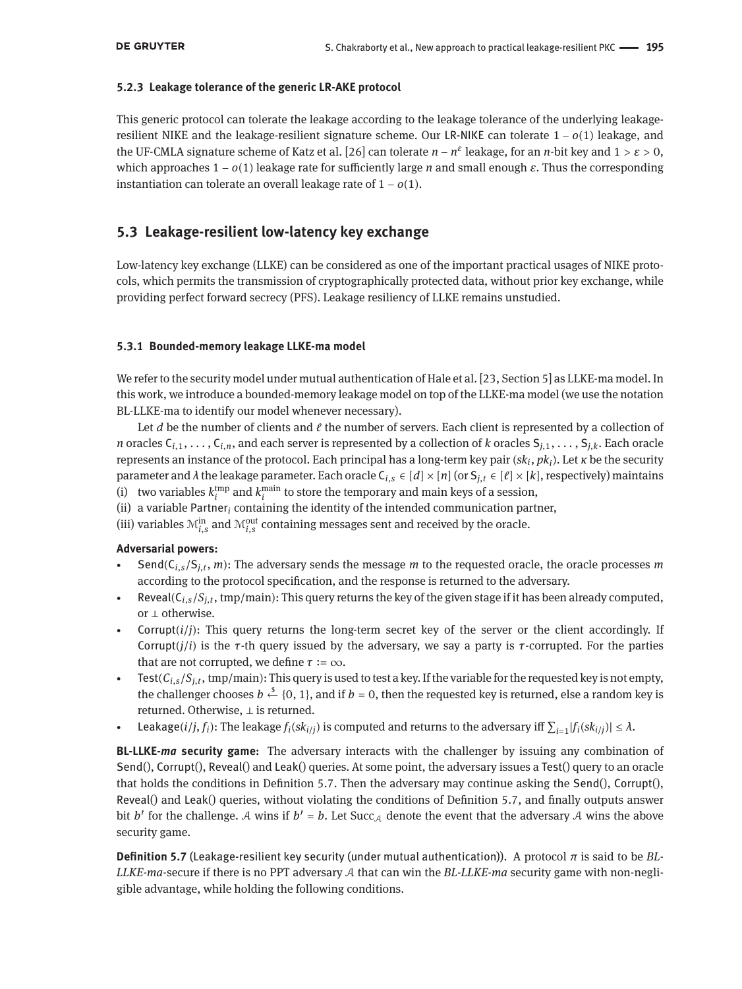#### **5.2.3 Leakage tolerance of the generic LR-AKE protocol**

This generic protocol can tolerate the leakage according to the leakage tolerance of the underlying leakageresilient NIKE and the leakage-resilient signature scheme. Our LR-NIKE can tolerate 1 − *o*(1) leakage, and the UF-CMLA signature scheme of Katz et al. [26] can tolerate *n* − *n ε* leakage, for an *n*-bit key and 1 > *ε* > 0, which approaches 1 − *o*(1) leakage rate for sufficiently large *n* and small enough *ε*. Thus the corresponding instantiation can tolerate an overall leakage rate of 1 − *o*(1).

## **5.3 Leakage-resilient low-latency key exchange**

Low-latency key exchange (LLKE) can be considered as one of the important practical usages of NIKE protocols, which permits the transmission of cryptographically protected data, without prior key exchange, while providing perfect forward secrecy (PFS). Leakage resiliency of LLKE remains unstudied.

### **5.3.1 Bounded-memory leakage LLKE-ma model**

We refer to the security model under mutual authentication of Hale et al. [23, Section 5] as LLKE-ma model. In this work, we introduce a bounded-memory leakage model on top of the LLKE-ma model (we use the notation BL-LLKE-ma to identify our model whenever necessary).

Let  $d$  be the number of clients and  $\ell$  the number of servers. Each client is represented by a collection of *n* oracles  $C_{i,1}, \ldots, C_{i,n}$ , and each server is represented by a collection of *k* oracles  $S_{i,1}, \ldots, S_{i,k}$ . Each oracle represents an instance of the protocol. Each principal has a long-term key pair (*sk<sup>i</sup>* , *pk<sup>i</sup>* ). Let *κ* be the security parameter and *λ* the leakage parameter. Each oracle C*i*,*<sup>s</sup>* ∈ [*d*] × [*n*] (or S*j*,*<sup>t</sup>* ∈ [ℓ] × [*k*], respectively) maintains (i) two variables  $k_i^{\text{tmp}}$  and  $k_i^{\text{main}}$  to store the temporary and main keys of a session,

- (ii) a variable Partner*<sup>i</sup>* containing the identity of the intended communication partner,
- (iii) variables  $\mathcal{M}_{i,s}^{\text{in}}$  and  $\mathcal{M}_{i,s}^{\text{out}}$  containing messages sent and received by the oracle.

#### **Adversarial powers:**

- ∙ Send(C*i*,*s*/S*j*,*<sup>t</sup>* , *m*): The adversary sends the message *m* to the requested oracle, the oracle processes *m* according to the protocol specification, and the response is returned to the adversary.
- ∙ Reveal(C*i*,*s*/*Sj*,*<sup>t</sup>* , tmp/main): This query returns the key of the given stage if it has been already computed, or ⊥ otherwise.
- ∙ Corrupt(*i*/*j*): This query returns the long-term secret key of the server or the client accordingly. If Corrupt(*j*/*i*) is the *τ*-th query issued by the adversary, we say a party is *τ*-corrupted. For the parties that are not corrupted, we define  $\tau := \infty$ .
- ∙ Test(*Ci*,*s*/*Sj*,*<sup>t</sup>* , tmp/main): This query is used to test a key. If the variable for the requested key is not empty, the challenger chooses  $b \stackrel{\$}{\leftarrow} \{0, 1\}$ , and if  $b = 0$ , then the requested key is returned, else a random key is returned. Otherwise, ⊥ is returned.
- ∙ Leakage(*i*/*j*, *fi*): The leakage *fi*(*ski*/*j*) is computed and returns to the adversary iff ∑*i*=<sup>1</sup> |*fi*(*ski*/*j*)| ≤ *λ*.

**BL-LLKE-***ma* **security game:** The adversary interacts with the challenger by issuing any combination of Send(), Corrupt(), Reveal() and Leak() queries. At some point, the adversary issues a Test() query to an oracle that holds the conditions in Definition 5.7. Then the adversary may continue asking the Send(), Corrupt(), Reveal() and Leak() queries, without violating the conditions of Definition 5.7, and finally outputs answer bit *b*<sup> $\prime$ </sup> for the challenge. A wins if *b*<sup> $\prime$ </sup> = *b*. Let Succ<sub>A</sub> denote the event that the adversary A wins the above security game.

**Definition 5.7** (Leakage-resilient key security (under mutual authentication)). A protocol *π* is said to be *BL-LLKE-ma*-secure if there is no PPT adversary A that can win the *BL-LLKE-ma* security game with non-negligible advantage, while holding the following conditions.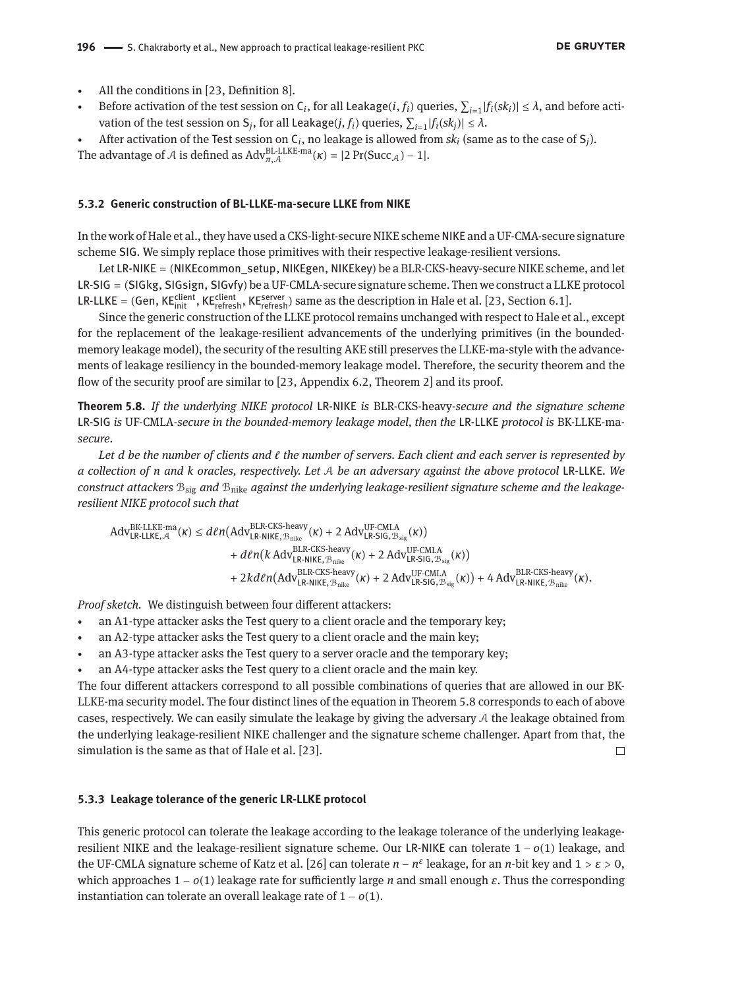- ∙ All the conditions in [23, Definition 8].
- ∙ Before activation of the test session on C*<sup>i</sup>* , for all Leakage(*i*, *fi*) queries, ∑*i*=<sup>1</sup> |*fi*(*ski*)| ≤ *λ*, and before activation of the test session on  $\mathsf{S}_j$ , for all Leakage $(j, f_i)$  queries,  $\sum_{i=1}^{\infty} |f_i(sk_j)| \leq \lambda$ .
- ∙ After activation of the Test session on C*<sup>i</sup>* , no leakage is allowed from *sk<sup>i</sup>* (same as to the case of S*j*). The advantage of A is defined as  $Adv_{\pi,\mathcal{A}}^{BL-LLKE-ma}(\kappa) = |2 Pr(Succ_{\mathcal{A}}) - 1|.$

#### **5.3.2 Generic construction of BL-LLKE-ma-secure LLKE from NIKE**

In the work of Hale et al., they have used a CKS-light-secure NIKE scheme NIKE and a UF-CMA-secure signature scheme SIG. We simply replace those primitives with their respective leakage-resilient versions.

Let LR-NIKE = (NIKEcommon\_setup, NIKEgen, NIKEkey) be a BLR-CKS-heavy-secure NIKE scheme, and let LR-SIG = (SIGkg, SIGsign, SIGvfy) be a UF-CMLA-secure signature scheme. Then we construct a LLKE protocol LR-LLKE = (Gen, KE $_{init}^{client}$ , KE $_{refresh}^{client}$ , KE $_{refresh}^{server}$ ) same as the description in Hale et al. [23, Section 6.1].

Since the generic construction of the LLKE protocol remains unchanged with respect to Hale et al., except for the replacement of the leakage-resilient advancements of the underlying primitives (in the boundedmemory leakage model), the security of the resulting AKE still preserves the LLKE-ma-style with the advancements of leakage resiliency in the bounded-memory leakage model. Therefore, the security theorem and the flow of the security proof are similar to [23, Appendix 6.2, Theorem 2] and its proof.

**Theorem 5.8.** *If the underlying NIKE protocol* LR-NIKE *is* BLR-CKS-heavy*-secure and the signature scheme* LR-SIG *is* UF-CMLA*-secure in the bounded-memory leakage model, then the* LR-LLKE *protocol is* BK-LLKE-ma*secure.*

*Let d be the number of clients and* ℓ *the number of servers. Each client and each server is represented by a collection of n and k oracles, respectively. Let* A *be an adversary against the above protocol* LR-LLKE*. We construct attackers* Bsig *and* Bnike *against the underlying leakage-resilient signature scheme and the leakageresilient NIKE protocol such that*

$$
\begin{aligned} \text{Adv}_{\text{LR-LIKE},\mathcal{A}}^{\text{BK-LIKE},\text{ma}}(\kappa) &\leq \text{d} \ell n \big(\text{Adv}_{\text{LR-NIKE},\mathcal{B}_{\text{nike}}}^{\text{BLR-CKS-heavy}}(\kappa) + 2 \, \text{Adv}_{\text{LR-SIG},\mathcal{B}_{\text{sig}}}^{\text{UF-CMLA}}(\kappa) \big) \\ &+ \text{d} \ell n \big( k \, \text{Adv}_{\text{LR-NIKE},\mathcal{B}_{\text{nike}}}^{\text{BLR-CKS-heavy}}(\kappa) + 2 \, \text{Adv}_{\text{LR-SIG},\mathcal{B}_{\text{sig}}}^{\text{UF-CMLA}}(\kappa) \big) \\ &+ 2 \, \text{k} \text{d} \ell n \big( \text{Adv}_{\text{LR-NIKE},\mathcal{B}_{\text{nike}}}^{\text{BLR-CKS-heavy}}(\kappa) + 2 \, \text{Adv}_{\text{LR-SIG},\mathcal{B}_{\text{sig}}}^{\text{UF-CMLA}}(\kappa) \big) + 4 \, \text{Adv}_{\text{LR-NIKE},\mathcal{B}_{\text{nike}}}^{\text{BLR-CKS-heavy}}(\kappa). \end{aligned}
$$

*Proof sketch.* We distinguish between four different attackers:

- ∙ an A1-type attacker asks the Test query to a client oracle and the temporary key;
- an A2-type attacker asks the Test query to a client oracle and the main key;
- an A3-type attacker asks the Test query to a server oracle and the temporary key;
- ∙ an A4-type attacker asks the Test query to a client oracle and the main key.

The four different attackers correspond to all possible combinations of queries that are allowed in our BK-LLKE-ma security model. The four distinct lines of the equation in Theorem 5.8 corresponds to each of above cases, respectively. We can easily simulate the leakage by giving the adversary  $\mathcal A$  the leakage obtained from the underlying leakage-resilient NIKE challenger and the signature scheme challenger. Apart from that, the simulation is the same as that of Hale et al. [23]. □

#### **5.3.3 Leakage tolerance of the generic LR-LLKE protocol**

This generic protocol can tolerate the leakage according to the leakage tolerance of the underlying leakageresilient NIKE and the leakage-resilient signature scheme. Our LR-NIKE can tolerate 1 − *o*(1) leakage, and the UF-CMLA signature scheme of Katz et al. [26] can tolerate *n* − *n ε* leakage, for an *n*-bit key and 1 > *ε* > 0, which approaches 1 − *o*(1) leakage rate for sufficiently large *n* and small enough *ε*. Thus the corresponding instantiation can tolerate an overall leakage rate of 1 − *o*(1).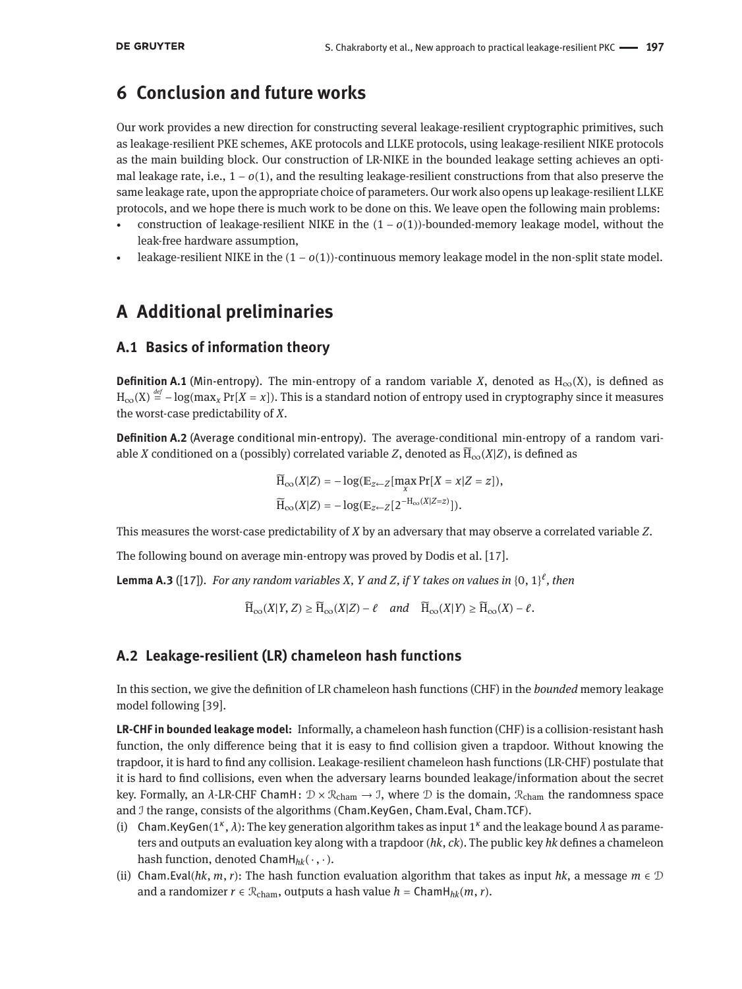## **6 Conclusion and future works**

Our work provides a new direction for constructing several leakage-resilient cryptographic primitives, such as leakage-resilient PKE schemes, AKE protocols and LLKE protocols, using leakage-resilient NIKE protocols as the main building block. Our construction of LR-NIKE in the bounded leakage setting achieves an optimal leakage rate, i.e., 1 − *o*(1), and the resulting leakage-resilient constructions from that also preserve the same leakage rate, upon the appropriate choice of parameters. Our work also opens up leakage-resilient LLKE protocols, and we hope there is much work to be done on this. We leave open the following main problems:

- ∙ construction of leakage-resilient NIKE in the (1 − *o*(1))-bounded-memory leakage model, without the leak-free hardware assumption,
- ∙ leakage-resilient NIKE in the (1 − *o*(1))-continuous memory leakage model in the non-split state model.

## **A Additional preliminaries**

### **A.1 Basics of information theory**

**Definition A.1** (Min-entropy). The min-entropy of a random variable *X*, denoted as  $H_{\infty}(X)$ , is defined as  $H_\infty(X)\stackrel{\text{\it def}}{=} -\log(\max_x\Pr[X=x]).$  This is a standard notion of entropy used in cryptography since it measures the worst-case predictability of *X*.

**Definition A.2** (Average conditional min-entropy). The average-conditional min-entropy of a random variable *X* conditioned on a (possibly) correlated variable *Z*, denoted as  $\overline{H}_{\infty}(X|Z)$ , is defined as

$$
\begin{aligned} &\widetilde{\mathrm{H}}_{\infty}(X|Z)=-\log(\mathbb{E}_{z\leftarrow Z}[\max_{x}\mathrm{Pr}[X=x|Z=z]),\\ &\widetilde{\mathrm{H}}_{\infty}(X|Z)=-\log(\mathbb{E}_{z\leftarrow Z}[2^{-\mathrm{H}_{\infty}(X|Z=z)}]). \end{aligned}
$$

This measures the worst-case predictability of *X* by an adversary that may observe a correlated variable *Z*.

The following bound on average min-entropy was proved by Dodis et al. [17].

**Lemma A.3** ([17]). For any random variables X, Y and Z, if Y takes on values in  $\{0,1\}^{\ell}$ , then

$$
\widetilde{H}_{\infty}(X|Y,Z) \ge \widetilde{H}_{\infty}(X|Z) - \ell \quad and \quad \widetilde{H}_{\infty}(X|Y) \ge \widetilde{H}_{\infty}(X) - \ell.
$$

## **A.2 Leakage-resilient (LR) chameleon hash functions**

In this section, we give the definition of LR chameleon hash functions (CHF) in the *bounded* memory leakage model following [39].

**LR-CHF in bounded leakage model:** Informally, a chameleon hash function (CHF) is a collision-resistant hash function, the only difference being that it is easy to find collision given a trapdoor. Without knowing the trapdoor, it is hard to find any collision. Leakage-resilient chameleon hash functions (LR-CHF) postulate that it is hard to find collisions, even when the adversary learns bounded leakage/information about the secret key. Formally, an *λ*-LR-CHF ChamH:  $\mathcal{D} \times \mathcal{R}_{\text{cham}} \to \mathcal{I}$ , where  $\mathcal{D}$  is the domain,  $\mathcal{R}_{\text{cham}}$  the randomness space and I the range, consists of the algorithms (Cham.KeyGen, Cham.Eval, Cham.TCF).

- (i) Cham.KeyGen(1 *κ* , *λ*): The key generation algorithm takes as input 1 *<sup>κ</sup>* and the leakage bound *λ* as parameters and outputs an evaluation key along with a trapdoor (*hk*, *ck*). The public key *hk* defines a chameleon hash function, denoted ChamH*hk*( ⋅ , ⋅ ).
- (ii) Cham.Eval( $hk$ ,  $m$ ,  $r$ ): The hash function evaluation algorithm that takes as input  $hk$ , a message  $m \in \mathcal{D}$ and a randomizer  $r \in \mathcal{R}_{\text{cham}}$ , outputs a hash value  $h = \text{ChamH}_{hk}(m, r)$ .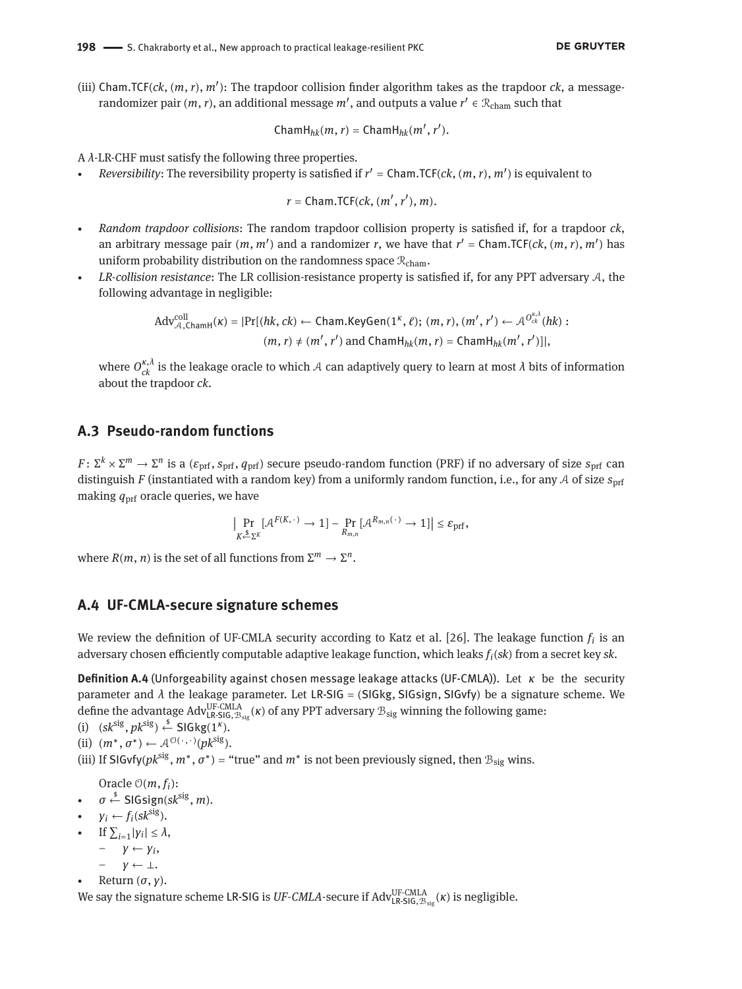Cham $H_{hk}(m, r) = \text{ChamH}_{hk}(m', r').$ 

A *λ*-LR-CHF must satisfy the following three properties.

∙ *Reversibility*: The reversibility property is satisfied if *r* = Cham.TCF(*ck*, (*m*, *r*), *m* ) is equivalent to

$$
r = \text{Cham.TCF}(ck, (m', r'), m).
$$

- ∙ *Random trapdoor collisions*: The random trapdoor collision property is satisfied if, for a trapdoor *ck*, an arbitrary message pair  $(m, m')$  and a randomizer  $r$ , we have that  $r' =$  Cham.TCF( $ck, (m, r), m'$ ) has uniform probability distribution on the randomness space  $\mathcal{R}_{\text{cham}}$ .
- ∙ *LR-collision resistance*: The LR collision-resistance property is satisfied if, for any PPT adversary A, the following advantage in negligible:

$$
Adv_{A,\text{ChamH}}^{\text{coll}}(\kappa) = |Pr[(hk, ck) \leftarrow \text{Cham.KeyGen}(1^{\kappa}, \ell); (m, r), (m', r') \leftarrow \mathcal{A}^{O_{ck}^{\kappa,\lambda}}(hk) : (m, r) \neq (m', r') \text{ and ChamH}_{hk}(m, r) = \text{ChamH}_{hk}(m', r')]|,
$$

where  $O_{ck}^{\kappa,\lambda}$  is the leakage oracle to which  $\cal A$  can adaptively query to learn at most  $\lambda$  bits of information about the trapdoor *ck*.

### **A.3 Pseudo-random functions**

 $F\colon\Sigma^k\times\Sigma^m\to\Sigma^n$  is a  $(\varepsilon_{\rm prf},s_{\rm prf},q_{\rm prf})$  secure pseudo-random function (PRF) if no adversary of size  $s_{\rm prf}$  can distinguish *F* (instantiated with a random key) from a uniformly random function, i.e., for any A of size  $s_{\text{prf}}$ making *q*prf oracle queries, we have

$$
\Big|\Pr_{K \stackrel{\mathbf{f}}{\leftarrow} \Sigma^K}[\mathcal{A}^{F(K, \,\cdot\,)} \to 1] - \Pr_{R_{m,n}}[\mathcal{A}^{R_{m,n}(\,\cdot\,)} \to 1]\Big| \leq \varepsilon_{\text{prf}},
$$

where  $R(m, n)$  is the set of all functions from  $\Sigma^m \to \Sigma^n$ .

### **A.4 UF-CMLA-secure signature schemes**

We review the definition of UF-CMLA security according to Katz et al. [26]. The leakage function  $f_i$  is an adversary chosen efficiently computable adaptive leakage function, which leaks *fi*(*sk*) from a secret key *sk*.

**Definition A.4** (Unforgeability against chosen message leakage attacks (UF-CMLA)). Let *κ* be the security parameter and  $\lambda$  the leakage parameter. Let LR-SIG = (SIGkg, SIGsign, SIGvfy) be a signature scheme. We define the advantage  $\text{Adv}^{\text{UF-CMLA}}_{\text{LR-SIG},\mathcal{B}_{\text{sig}}}(\kappa)$  of any PPT adversary  $\mathcal{B}_{\text{sig}}$  winning the following game:

(i) 
$$
(sk^{sig}, pk^{sig}) \stackrel{\$}{\leftarrow} SIGkg(1^{\kappa}).
$$

(ii) 
$$
(m^*, \sigma^*) \leftarrow \mathcal{A}^{\circ(\cdot, \cdot)}(pk^{\text{sig}}).
$$

(iii) If SIGvfy( $pk^{\text{sig}}, m^*, \sigma^*$ ) = "true" and  $m^*$  is not been previously signed, then  $\mathcal{B}_{\text{sig}}$  wins.

Oracle 
$$
\mathcal{O}(m, f_i)
$$
:

- ∙ *σ* \$← SIGsign(*sk*sig , *m*).
- $\gamma_i \leftarrow f_i(s k^{\text{sig}})$ .
- If  $\sum_{i=1}^{\infty} |\gamma_i| \leq \lambda$ ,
	- *γ* ← *γ<sup>i</sup>* ,
	- *γ* ← ⊥.
- ∙ Return (*σ*, *γ*).

We say the signature scheme LR-SIG is *UF-CMLA*-secure if Adv<sup>UF-CMLA</sup> (κ) is negligible.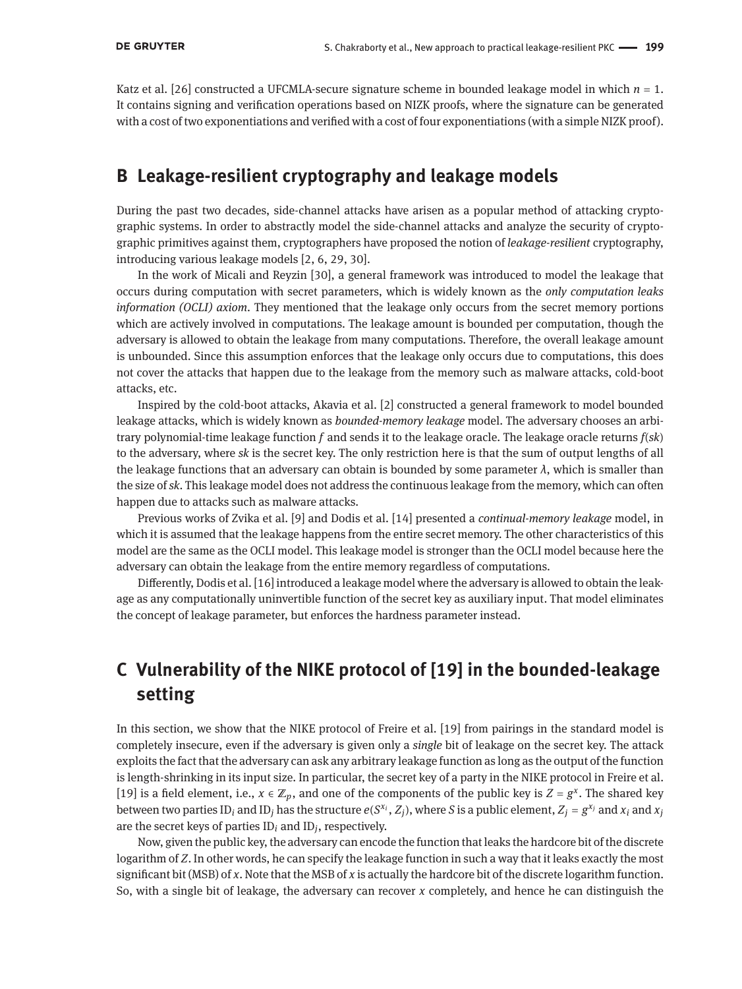Katz et al. [26] constructed a UFCMLA-secure signature scheme in bounded leakage model in which *n* = 1. It contains signing and verification operations based on NIZK proofs, where the signature can be generated with a cost of two exponentiations and verified with a cost of four exponentiations (with a simple NIZK proof).

## **B Leakage-resilient cryptography and leakage models**

During the past two decades, side-channel attacks have arisen as a popular method of attacking cryptographic systems. In order to abstractly model the side-channel attacks and analyze the security of cryptographic primitives against them, cryptographers have proposed the notion of *leakage-resilient* cryptography, introducing various leakage models [2, 6, 29, 30].

In the work of Micali and Reyzin [30], a general framework was introduced to model the leakage that occurs during computation with secret parameters, which is widely known as the *only computation leaks information (OCLI) axiom*. They mentioned that the leakage only occurs from the secret memory portions which are actively involved in computations. The leakage amount is bounded per computation, though the adversary is allowed to obtain the leakage from many computations. Therefore, the overall leakage amount is unbounded. Since this assumption enforces that the leakage only occurs due to computations, this does not cover the attacks that happen due to the leakage from the memory such as malware attacks, cold-boot attacks, etc.

Inspired by the cold-boot attacks, Akavia et al. [2] constructed a general framework to model bounded leakage attacks, which is widely known as *bounded-memory leakage* model. The adversary chooses an arbitrary polynomial-time leakage function *f* and sends it to the leakage oracle. The leakage oracle returns *f*(*sk*) to the adversary, where *sk* is the secret key. The only restriction here is that the sum of output lengths of all the leakage functions that an adversary can obtain is bounded by some parameter *λ*, which is smaller than the size of *sk*. This leakage model does not address the continuous leakage from the memory, which can often happen due to attacks such as malware attacks.

Previous works of Zvika et al. [9] and Dodis et al. [14] presented a *continual-memory leakage* model, in which it is assumed that the leakage happens from the entire secret memory. The other characteristics of this model are the same as the OCLI model. This leakage model is stronger than the OCLI model because here the adversary can obtain the leakage from the entire memory regardless of computations.

Differently, Dodis et al. [16] introduced a leakage model where the adversary is allowed to obtain the leakage as any computationally uninvertible function of the secret key as auxiliary input. That model eliminates the concept of leakage parameter, but enforces the hardness parameter instead.

## **C Vulnerability of the NIKE protocol of [19] in the bounded-leakage setting**

In this section, we show that the NIKE protocol of Freire et al. [19] from pairings in the standard model is completely insecure, even if the adversary is given only a *single* bit of leakage on the secret key. The attack exploits the fact that the adversary can ask any arbitrary leakage function as long as the output of the function is length-shrinking in its input size. In particular, the secret key of a party in the NIKE protocol in Freire et al. [19] is a field element, i.e.,  $x \in \mathbb{Z}_p$ , and one of the components of the public key is  $Z = g^x$ . The shared key between two parties ID<sub>i</sub> and ID<sub>j</sub> has the structure  $e(S^{x_i},Z_j)$ , where S is a public element,  $Z_j=g^{x_j}$  and  $x_i$  and  $x_j$ are the secret keys of parties ID*<sup>i</sup>* and ID*<sup>j</sup>* , respectively.

Now, given the public key, the adversary can encode the function that leaks the hardcore bit of the discrete logarithm of *Z*. In other words, he can specify the leakage function in such a way that it leaks exactly the most significant bit (MSB) of *x*. Note that the MSB of *x* is actually the hardcore bit of the discrete logarithm function. So, with a single bit of leakage, the adversary can recover *x* completely, and hence he can distinguish the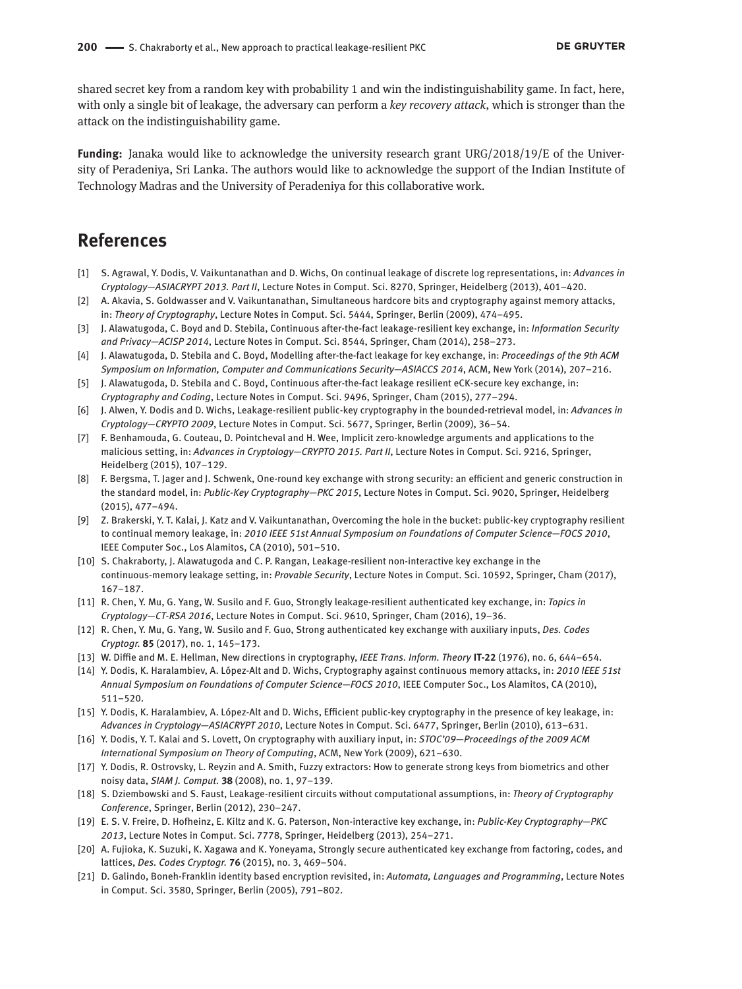shared secret key from a random key with probability 1 and win the indistinguishability game. In fact, here, with only a single bit of leakage, the adversary can perform a *key recovery attack*, which is stronger than the attack on the indistinguishability game.

**Funding:** Janaka would like to acknowledge the university research grant URG/2018/19/E of the University of Peradeniya, Sri Lanka. The authors would like to acknowledge the support of the Indian Institute of Technology Madras and the University of Peradeniya for this collaborative work.

## **References**

- [1] S. Agrawal, Y. Dodis, V. Vaikuntanathan and D. Wichs, On continual leakage of discrete log representations, in: *Advances in Cryptology—ASIACRYPT 2013. Part II*, Lecture Notes in Comput. Sci. 8270, Springer, Heidelberg (2013), 401–420.
- [2] A. Akavia, S. Goldwasser and V. Vaikuntanathan, Simultaneous hardcore bits and cryptography against memory attacks, in: *Theory of Cryptography*, Lecture Notes in Comput. Sci. 5444, Springer, Berlin (2009), 474–495.
- [3] J. Alawatugoda, C. Boyd and D. Stebila, Continuous after-the-fact leakage-resilient key exchange, in: *Information Security and Privacy—ACISP 2014*, Lecture Notes in Comput. Sci. 8544, Springer, Cham (2014), 258–273.
- [4] J. Alawatugoda, D. Stebila and C. Boyd, Modelling after-the-fact leakage for key exchange, in: *Proceedings of the 9th ACM Symposium on Information, Computer and Communications Security—ASIACCS 2014*, ACM, New York (2014), 207–216.
- [5] J. Alawatugoda, D. Stebila and C. Boyd, Continuous after-the-fact leakage resilient eCK-secure key exchange, in: *Cryptography and Coding*, Lecture Notes in Comput. Sci. 9496, Springer, Cham (2015), 277–294.
- [6] J. Alwen, Y. Dodis and D. Wichs, Leakage-resilient public-key cryptography in the bounded-retrieval model, in: *Advances in Cryptology—CRYPTO 2009*, Lecture Notes in Comput. Sci. 5677, Springer, Berlin (2009), 36–54.
- [7] F. Benhamouda, G. Couteau, D. Pointcheval and H. Wee, Implicit zero-knowledge arguments and applications to the malicious setting, in: *Advances in Cryptology—CRYPTO 2015. Part II*, Lecture Notes in Comput. Sci. 9216, Springer, Heidelberg (2015), 107–129.
- [8] F. Bergsma, T. Jager and J. Schwenk, One-round key exchange with strong security: an efficient and generic construction in the standard model, in: *Public-Key Cryptography—PKC 2015*, Lecture Notes in Comput. Sci. 9020, Springer, Heidelberg (2015), 477–494.
- [9] Z. Brakerski, Y. T. Kalai, J. Katz and V. Vaikuntanathan, Overcoming the hole in the bucket: public-key cryptography resilient to continual memory leakage, in: *2010 IEEE 51st Annual Symposium on Foundations of Computer Science—FOCS 2010*, IEEE Computer Soc., Los Alamitos, CA (2010), 501–510.
- [10] S. Chakraborty, J. Alawatugoda and C. P. Rangan, Leakage-resilient non-interactive key exchange in the continuous-memory leakage setting, in: *Provable Security*, Lecture Notes in Comput. Sci. 10592, Springer, Cham (2017), 167–187.
- [11] R. Chen, Y. Mu, G. Yang, W. Susilo and F. Guo, Strongly leakage-resilient authenticated key exchange, in: *Topics in Cryptology—CT-RSA 2016*, Lecture Notes in Comput. Sci. 9610, Springer, Cham (2016), 19–36.
- [12] R. Chen, Y. Mu, G. Yang, W. Susilo and F. Guo, Strong authenticated key exchange with auxiliary inputs, *Des. Codes Cryptogr.* **85** (2017), no. 1, 145–173.
- [13] W. Diffie and M. E. Hellman, New directions in cryptography, *IEEE Trans. Inform. Theory* **IT-22** (1976), no. 6, 644–654.
- [14] Y. Dodis, K. Haralambiev, A. López-Alt and D. Wichs, Cryptography against continuous memory attacks, in: *2010 IEEE 51st Annual Symposium on Foundations of Computer Science—FOCS 2010*, IEEE Computer Soc., Los Alamitos, CA (2010), 511–520.
- [15] Y. Dodis, K. Haralambiev, A. López-Alt and D. Wichs, Efficient public-key cryptography in the presence of key leakage, in: *Advances in Cryptology—ASIACRYPT 2010*, Lecture Notes in Comput. Sci. 6477, Springer, Berlin (2010), 613–631.
- [16] Y. Dodis, Y. T. Kalai and S. Lovett, On cryptography with auxiliary input, in: *STOC'09—Proceedings of the 2009 ACM International Symposium on Theory of Computing*, ACM, New York (2009), 621–630.
- [17] Y. Dodis, R. Ostrovsky, L. Reyzin and A. Smith, Fuzzy extractors: How to generate strong keys from biometrics and other noisy data, *SIAM J. Comput.* **38** (2008), no. 1, 97–139.
- [18] S. Dziembowski and S. Faust, Leakage-resilient circuits without computational assumptions, in: *Theory of Cryptography Conference*, Springer, Berlin (2012), 230–247.
- [19] E. S. V. Freire, D. Hofheinz, E. Kiltz and K. G. Paterson, Non-interactive key exchange, in: *Public-Key Cryptography—PKC 2013*, Lecture Notes in Comput. Sci. 7778, Springer, Heidelberg (2013), 254–271.
- [20] A. Fujioka, K. Suzuki, K. Xagawa and K. Yoneyama, Strongly secure authenticated key exchange from factoring, codes, and lattices, *Des. Codes Cryptogr.* **76** (2015), no. 3, 469–504.
- [21] D. Galindo, Boneh-Franklin identity based encryption revisited, in: *Automata, Languages and Programming*, Lecture Notes in Comput. Sci. 3580, Springer, Berlin (2005), 791–802.